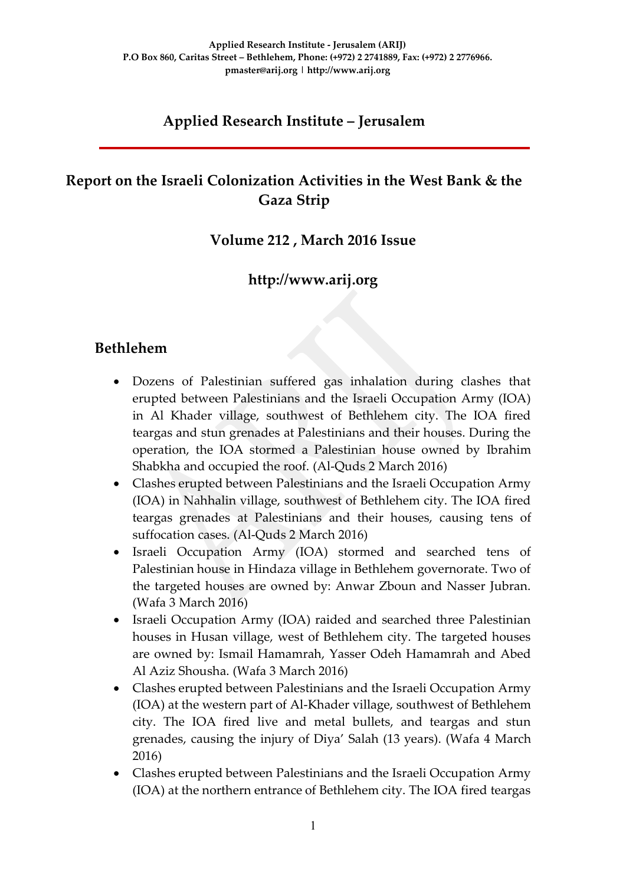# **Applied Research Institute – Jerusalem**

# **Report on the Israeli Colonization Activities in the West Bank & the Gaza Strip**

### **Volume 212 , March 2016 Issue**

### **http://www.arij.org**

### **Bethlehem**

- Dozens of Palestinian suffered gas inhalation during clashes that erupted between Palestinians and the Israeli Occupation Army (IOA) in Al Khader village, southwest of Bethlehem city. The IOA fired teargas and stun grenades at Palestinians and their houses. During the operation, the IOA stormed a Palestinian house owned by Ibrahim Shabkha and occupied the roof. (Al-Quds 2 March 2016)
- Clashes erupted between Palestinians and the Israeli Occupation Army (IOA) in Nahhalin village, southwest of Bethlehem city. The IOA fired teargas grenades at Palestinians and their houses, causing tens of suffocation cases. (Al-Quds 2 March 2016)
- Israeli Occupation Army (IOA) stormed and searched tens of Palestinian house in Hindaza village in Bethlehem governorate. Two of the targeted houses are owned by: Anwar Zboun and Nasser Jubran. (Wafa 3 March 2016)
- Israeli Occupation Army (IOA) raided and searched three Palestinian houses in Husan village, west of Bethlehem city. The targeted houses are owned by: Ismail Hamamrah, Yasser Odeh Hamamrah and Abed Al Aziz Shousha. (Wafa 3 March 2016)
- Clashes erupted between Palestinians and the Israeli Occupation Army (IOA) at the western part of Al-Khader village, southwest of Bethlehem city. The IOA fired live and metal bullets, and teargas and stun grenades, causing the injury of Diya' Salah (13 years). (Wafa 4 March 2016)
- Clashes erupted between Palestinians and the Israeli Occupation Army (IOA) at the northern entrance of Bethlehem city. The IOA fired teargas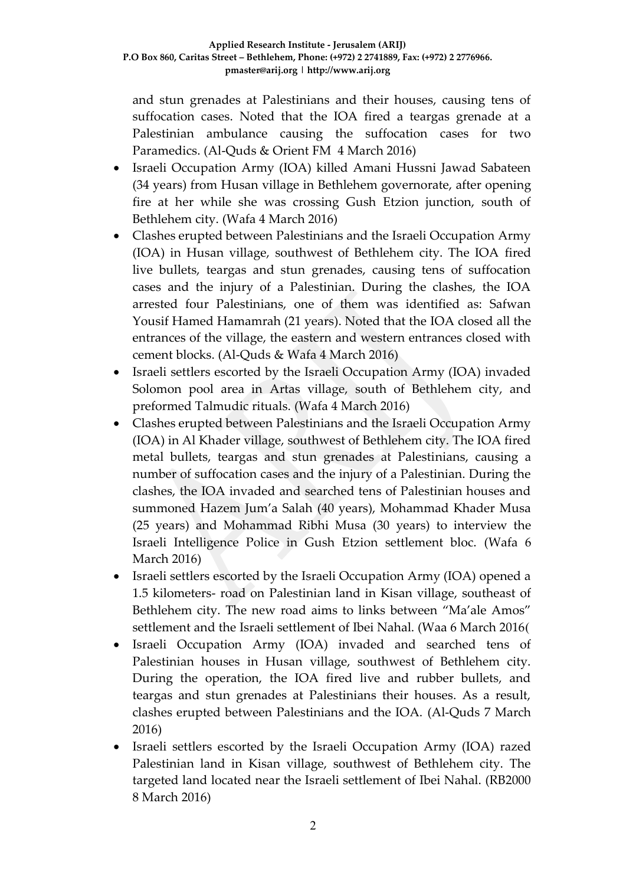and stun grenades at Palestinians and their houses, causing tens of suffocation cases. Noted that the IOA fired a teargas grenade at a Palestinian ambulance causing the suffocation cases for two Paramedics. (Al-Quds & Orient FM 4 March 2016)

- Israeli Occupation Army (IOA) killed Amani Hussni Jawad Sabateen (34 years) from Husan village in Bethlehem governorate, after opening fire at her while she was crossing Gush Etzion junction, south of Bethlehem city. (Wafa 4 March 2016)
- Clashes erupted between Palestinians and the Israeli Occupation Army (IOA) in Husan village, southwest of Bethlehem city. The IOA fired live bullets, teargas and stun grenades, causing tens of suffocation cases and the injury of a Palestinian. During the clashes, the IOA arrested four Palestinians, one of them was identified as: Safwan Yousif Hamed Hamamrah (21 years). Noted that the IOA closed all the entrances of the village, the eastern and western entrances closed with cement blocks. (Al-Quds & Wafa 4 March 2016)
- Israeli settlers escorted by the Israeli Occupation Army (IOA) invaded Solomon pool area in Artas village, south of Bethlehem city, and preformed Talmudic rituals. (Wafa 4 March 2016)
- Clashes erupted between Palestinians and the Israeli Occupation Army (IOA) in Al Khader village, southwest of Bethlehem city. The IOA fired metal bullets, teargas and stun grenades at Palestinians, causing a number of suffocation cases and the injury of a Palestinian. During the clashes, the IOA invaded and searched tens of Palestinian houses and summoned Hazem Jum'a Salah (40 years), Mohammad Khader Musa (25 years) and Mohammad Ribhi Musa (30 years) to interview the Israeli Intelligence Police in Gush Etzion settlement bloc. (Wafa 6 March 2016)
- Israeli settlers escorted by the Israeli Occupation Army (IOA) opened a 1.5 kilometers- road on Palestinian land in Kisan village, southeast of Bethlehem city. The new road aims to links between "Ma'ale Amos" settlement and the Israeli settlement of Ibei Nahal. (Waa 6 March 2016)
- Israeli Occupation Army (IOA) invaded and searched tens of Palestinian houses in Husan village, southwest of Bethlehem city. During the operation, the IOA fired live and rubber bullets, and teargas and stun grenades at Palestinians their houses. As a result, clashes erupted between Palestinians and the IOA. (Al-Quds 7 March 2016)
- Israeli settlers escorted by the Israeli Occupation Army (IOA) razed Palestinian land in Kisan village, southwest of Bethlehem city. The targeted land located near the Israeli settlement of Ibei Nahal. (RB2000 8 March 2016)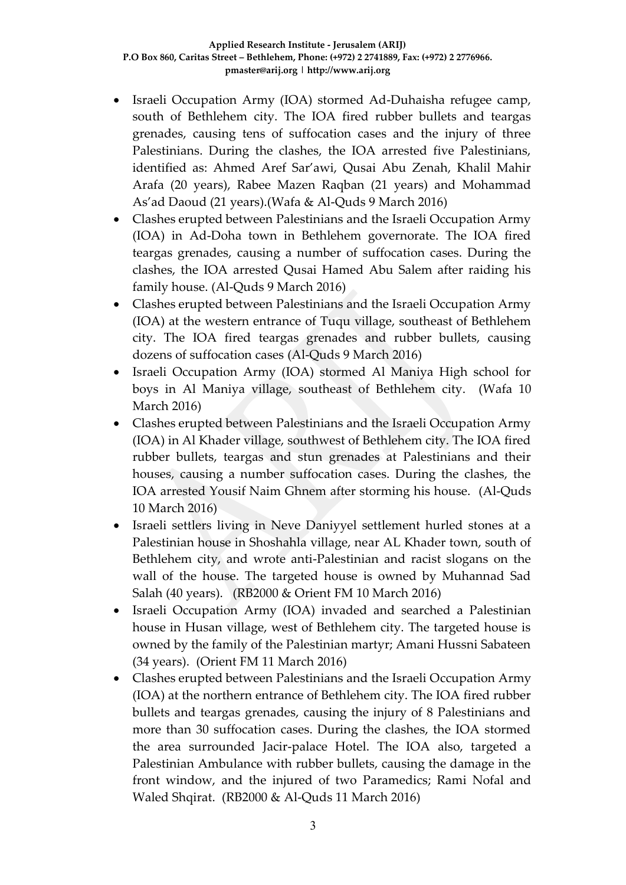- Israeli Occupation Army (IOA) stormed Ad-Duhaisha refugee camp, south of Bethlehem city. The IOA fired rubber bullets and teargas grenades, causing tens of suffocation cases and the injury of three Palestinians. During the clashes, the IOA arrested five Palestinians, identified as: Ahmed Aref Sar'awi, Qusai Abu Zenah, Khalil Mahir Arafa (20 years), Rabee Mazen Raqban (21 years) and Mohammad As'ad Daoud (21 years).(Wafa & Al-Quds 9 March 2016)
- Clashes erupted between Palestinians and the Israeli Occupation Army (IOA) in Ad-Doha town in Bethlehem governorate. The IOA fired teargas grenades, causing a number of suffocation cases. During the clashes, the IOA arrested Qusai Hamed Abu Salem after raiding his family house. (Al-Quds 9 March 2016)
- Clashes erupted between Palestinians and the Israeli Occupation Army (IOA) at the western entrance of Tuqu village, southeast of Bethlehem city. The IOA fired teargas grenades and rubber bullets, causing dozens of suffocation cases (Al-Quds 9 March 2016)
- Israeli Occupation Army (IOA) stormed Al Maniya High school for boys in Al Maniya village, southeast of Bethlehem city. (Wafa 10 March 2016)
- Clashes erupted between Palestinians and the Israeli Occupation Army (IOA) in Al Khader village, southwest of Bethlehem city. The IOA fired rubber bullets, teargas and stun grenades at Palestinians and their houses, causing a number suffocation cases. During the clashes, the IOA arrested Yousif Naim Ghnem after storming his house. (Al-Quds 10 March 2016)
- Israeli settlers living in Neve Daniyyel settlement hurled stones at a Palestinian house in Shoshahla village, near AL Khader town, south of Bethlehem city, and wrote anti-Palestinian and racist slogans on the wall of the house. The targeted house is owned by Muhannad Sad Salah (40 years). (RB2000 & Orient FM 10 March 2016)
- Israeli Occupation Army (IOA) invaded and searched a Palestinian house in Husan village, west of Bethlehem city. The targeted house is owned by the family of the Palestinian martyr; Amani Hussni Sabateen (34 years). (Orient FM 11 March 2016)
- Clashes erupted between Palestinians and the Israeli Occupation Army (IOA) at the northern entrance of Bethlehem city. The IOA fired rubber bullets and teargas grenades, causing the injury of 8 Palestinians and more than 30 suffocation cases. During the clashes, the IOA stormed the area surrounded Jacir-palace Hotel. The IOA also, targeted a Palestinian Ambulance with rubber bullets, causing the damage in the front window, and the injured of two Paramedics; Rami Nofal and Waled Shqirat. (RB2000 & Al-Quds 11 March 2016)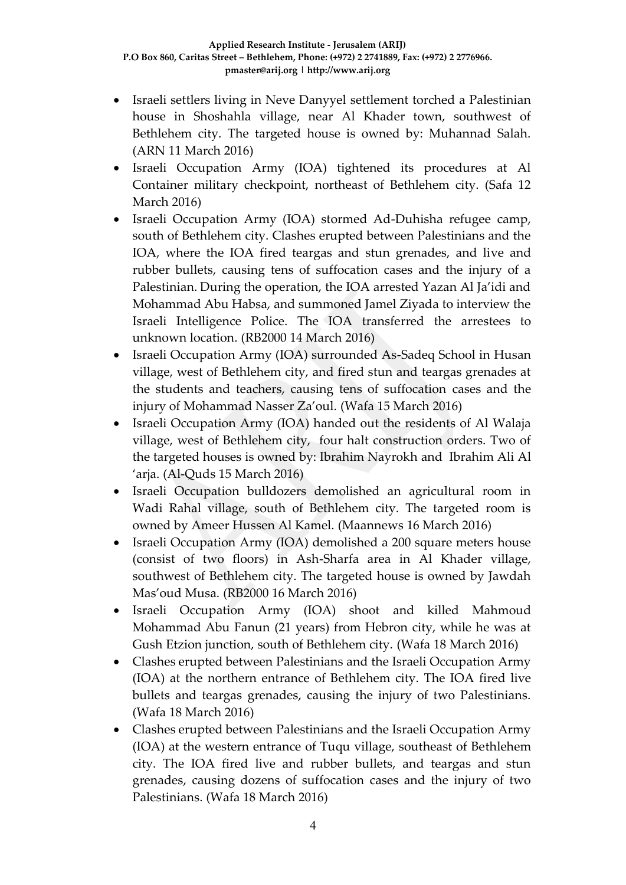- Israeli settlers living in Neve Danyyel settlement torched a Palestinian house in Shoshahla village, near Al Khader town, southwest of Bethlehem city. The targeted house is owned by: Muhannad Salah. (ARN 11 March 2016)
- Israeli Occupation Army (IOA) tightened its procedures at Al Container military checkpoint, northeast of Bethlehem city. (Safa 12 March 2016)
- Israeli Occupation Army (IOA) stormed Ad-Duhisha refugee camp, south of Bethlehem city. Clashes erupted between Palestinians and the IOA, where the IOA fired teargas and stun grenades, and live and rubber bullets, causing tens of suffocation cases and the injury of a Palestinian. During the operation, the IOA arrested Yazan Al Ja'idi and Mohammad Abu Habsa, and summoned Jamel Ziyada to interview the Israeli Intelligence Police. The IOA transferred the arrestees to unknown location. (RB2000 14 March 2016)
- Israeli Occupation Army (IOA) surrounded As-Sadeq School in Husan village, west of Bethlehem city, and fired stun and teargas grenades at the students and teachers, causing tens of suffocation cases and the injury of Mohammad Nasser Za'oul. (Wafa 15 March 2016)
- Israeli Occupation Army (IOA) handed out the residents of Al Walaja village, west of Bethlehem city, four halt construction orders. Two of the targeted houses is owned by: Ibrahim Nayrokh and Ibrahim Ali Al 'arja. (Al-Quds 15 March 2016)
- Israeli Occupation bulldozers demolished an agricultural room in Wadi Rahal village, south of Bethlehem city. The targeted room is owned by Ameer Hussen Al Kamel. (Maannews 16 March 2016)
- Israeli Occupation Army (IOA) demolished a 200 square meters house (consist of two floors) in Ash-Sharfa area in Al Khader village, southwest of Bethlehem city. The targeted house is owned by Jawdah Mas'oud Musa. (RB2000 16 March 2016)
- Israeli Occupation Army (IOA) shoot and killed Mahmoud Mohammad Abu Fanun (21 years) from Hebron city, while he was at Gush Etzion junction, south of Bethlehem city. (Wafa 18 March 2016)
- Clashes erupted between Palestinians and the Israeli Occupation Army (IOA) at the northern entrance of Bethlehem city. The IOA fired live bullets and teargas grenades, causing the injury of two Palestinians. (Wafa 18 March 2016)
- Clashes erupted between Palestinians and the Israeli Occupation Army (IOA) at the western entrance of Tuqu village, southeast of Bethlehem city. The IOA fired live and rubber bullets, and teargas and stun grenades, causing dozens of suffocation cases and the injury of two Palestinians. (Wafa 18 March 2016)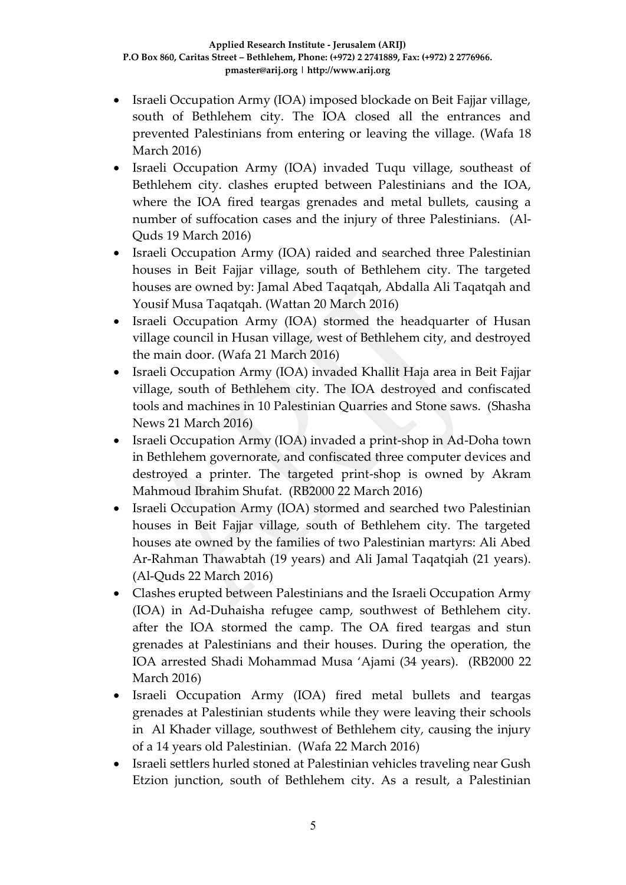- Israeli Occupation Army (IOA) imposed blockade on Beit Fajjar village, south of Bethlehem city. The IOA closed all the entrances and prevented Palestinians from entering or leaving the village. (Wafa 18 March 2016)
- Israeli Occupation Army (IOA) invaded Tuqu village, southeast of Bethlehem city. clashes erupted between Palestinians and the IOA, where the IOA fired teargas grenades and metal bullets, causing a number of suffocation cases and the injury of three Palestinians. (Al-Quds 19 March 2016)
- Israeli Occupation Army (IOA) raided and searched three Palestinian houses in Beit Fajjar village, south of Bethlehem city. The targeted houses are owned by: Jamal Abed Taqatqah, Abdalla Ali Taqatqah and Yousif Musa Taqatqah. (Wattan 20 March 2016)
- Israeli Occupation Army (IOA) stormed the headquarter of Husan village council in Husan village, west of Bethlehem city, and destroyed the main door. (Wafa 21 March 2016)
- Israeli Occupation Army (IOA) invaded Khallit Haja area in Beit Fajjar village, south of Bethlehem city. The IOA destroyed and confiscated tools and machines in 10 Palestinian Quarries and Stone saws. (Shasha News 21 March 2016)
- Israeli Occupation Army (IOA) invaded a print-shop in Ad-Doha town in Bethlehem governorate, and confiscated three computer devices and destroyed a printer. The targeted print-shop is owned by Akram Mahmoud Ibrahim Shufat. (RB2000 22 March 2016)
- Israeli Occupation Army (IOA) stormed and searched two Palestinian houses in Beit Fajjar village, south of Bethlehem city. The targeted houses ate owned by the families of two Palestinian martyrs: Ali Abed Ar-Rahman Thawabtah (19 years) and Ali Jamal Taqatqiah (21 years). (Al-Quds 22 March 2016)
- Clashes erupted between Palestinians and the Israeli Occupation Army (IOA) in Ad-Duhaisha refugee camp, southwest of Bethlehem city. after the IOA stormed the camp. The OA fired teargas and stun grenades at Palestinians and their houses. During the operation, the IOA arrested Shadi Mohammad Musa 'Ajami (34 years). (RB2000 22 March 2016)
- Israeli Occupation Army (IOA) fired metal bullets and teargas grenades at Palestinian students while they were leaving their schools in Al Khader village, southwest of Bethlehem city, causing the injury of a 14 years old Palestinian. (Wafa 22 March 2016)
- Israeli settlers hurled stoned at Palestinian vehicles traveling near Gush Etzion junction, south of Bethlehem city. As a result, a Palestinian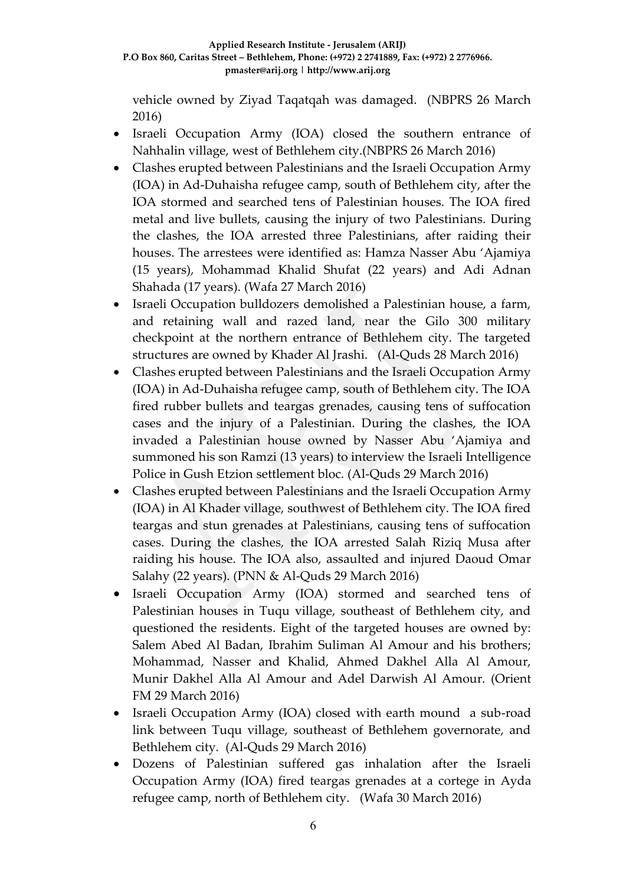vehicle owned by Ziyad Taqatqah was damaged. (NBPRS 26 March 2016)

- Israeli Occupation Army (IOA) closed the southern entrance of Nahhalin village, west of Bethlehem city.(NBPRS 26 March 2016)
- Clashes erupted between Palestinians and the Israeli Occupation Army (IOA) in Ad-Duhaisha refugee camp, south of Bethlehem city, after the IOA stormed and searched tens of Palestinian houses. The IOA fired metal and live bullets, causing the injury of two Palestinians. During the clashes, the IOA arrested three Palestinians, after raiding their houses. The arrestees were identified as: Hamza Nasser Abu 'Ajamiya (15 years), Mohammad Khalid Shufat (22 years) and Adi Adnan Shahada (17 years). (Wafa 27 March 2016)
- Israeli Occupation bulldozers demolished a Palestinian house, a farm, and retaining wall and razed land, near the Gilo 300 military checkpoint at the northern entrance of Bethlehem city. The targeted structures are owned by Khader Al Jrashi. (Al-Quds 28 March 2016)
- Clashes erupted between Palestinians and the Israeli Occupation Army (IOA) in Ad-Duhaisha refugee camp, south of Bethlehem city. The IOA fired rubber bullets and teargas grenades, causing tens of suffocation cases and the injury of a Palestinian. During the clashes, the IOA invaded a Palestinian house owned by Nasser Abu 'Ajamiya and summoned his son Ramzi (13 years) to interview the Israeli Intelligence Police in Gush Etzion settlement bloc. (Al-Quds 29 March 2016)
- Clashes erupted between Palestinians and the Israeli Occupation Army (IOA) in Al Khader village, southwest of Bethlehem city. The IOA fired teargas and stun grenades at Palestinians, causing tens of suffocation cases. During the clashes, the IOA arrested Salah Riziq Musa after raiding his house. The IOA also, assaulted and injured Daoud Omar Salahy (22 years). (PNN & Al-Quds 29 March 2016)
- Israeli Occupation Army (IOA) stormed and searched tens of Palestinian houses in Tuqu village, southeast of Bethlehem city, and questioned the residents. Eight of the targeted houses are owned by: Salem Abed Al Badan, Ibrahim Suliman Al Amour and his brothers; Mohammad, Nasser and Khalid, Ahmed Dakhel Alla Al Amour, Munir Dakhel Alla Al Amour and Adel Darwish Al Amour. (Orient FM 29 March 2016)
- Israeli Occupation Army (IOA) closed with earth mound a sub-road link between Tuqu village, southeast of Bethlehem governorate, and Bethlehem city. (Al-Quds 29 March 2016)
- Dozens of Palestinian suffered gas inhalation after the Israeli Occupation Army (IOA) fired teargas grenades at a cortege in Ayda refugee camp, north of Bethlehem city. (Wafa 30 March 2016)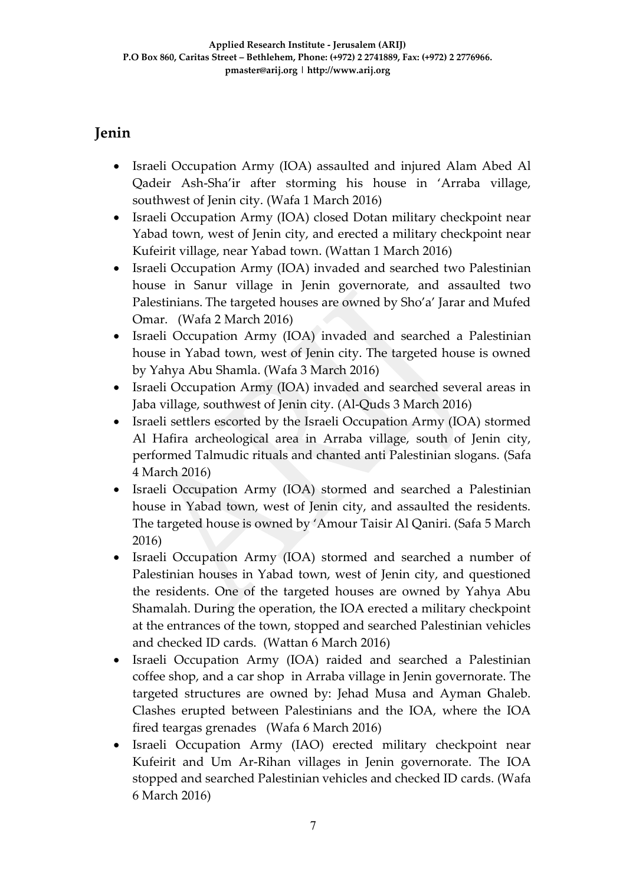# **Jenin**

- Israeli Occupation Army (IOA) assaulted and injured Alam Abed Al Qadeir Ash-Sha'ir after storming his house in 'Arraba village, southwest of Jenin city. (Wafa 1 March 2016)
- Israeli Occupation Army (IOA) closed Dotan military checkpoint near Yabad town, west of Jenin city, and erected a military checkpoint near Kufeirit village, near Yabad town. (Wattan 1 March 2016)
- Israeli Occupation Army (IOA) invaded and searched two Palestinian house in Sanur village in Jenin governorate, and assaulted two Palestinians. The targeted houses are owned by Sho'a' Jarar and Mufed Omar. (Wafa 2 March 2016)
- Israeli Occupation Army (IOA) invaded and searched a Palestinian house in Yabad town, west of Jenin city. The targeted house is owned by Yahya Abu Shamla. (Wafa 3 March 2016)
- Israeli Occupation Army (IOA) invaded and searched several areas in Jaba village, southwest of Jenin city. (Al-Quds 3 March 2016)
- Israeli settlers escorted by the Israeli Occupation Army (IOA) stormed Al Hafira archeological area in Arraba village, south of Jenin city, performed Talmudic rituals and chanted anti Palestinian slogans. (Safa 4 March 2016)
- Israeli Occupation Army (IOA) stormed and searched a Palestinian house in Yabad town, west of Jenin city, and assaulted the residents. The targeted house is owned by 'Amour Taisir Al Qaniri. (Safa 5 March 2016)
- Israeli Occupation Army (IOA) stormed and searched a number of Palestinian houses in Yabad town, west of Jenin city, and questioned the residents. One of the targeted houses are owned by Yahya Abu Shamalah. During the operation, the IOA erected a military checkpoint at the entrances of the town, stopped and searched Palestinian vehicles and checked ID cards. (Wattan 6 March 2016)
- Israeli Occupation Army (IOA) raided and searched a Palestinian coffee shop, and a car shop in Arraba village in Jenin governorate. The targeted structures are owned by: Jehad Musa and Ayman Ghaleb. Clashes erupted between Palestinians and the IOA, where the IOA fired teargas grenades (Wafa 6 March 2016)
- Israeli Occupation Army (IAO) erected military checkpoint near Kufeirit and Um Ar-Rihan villages in Jenin governorate. The IOA stopped and searched Palestinian vehicles and checked ID cards. (Wafa 6 March 2016)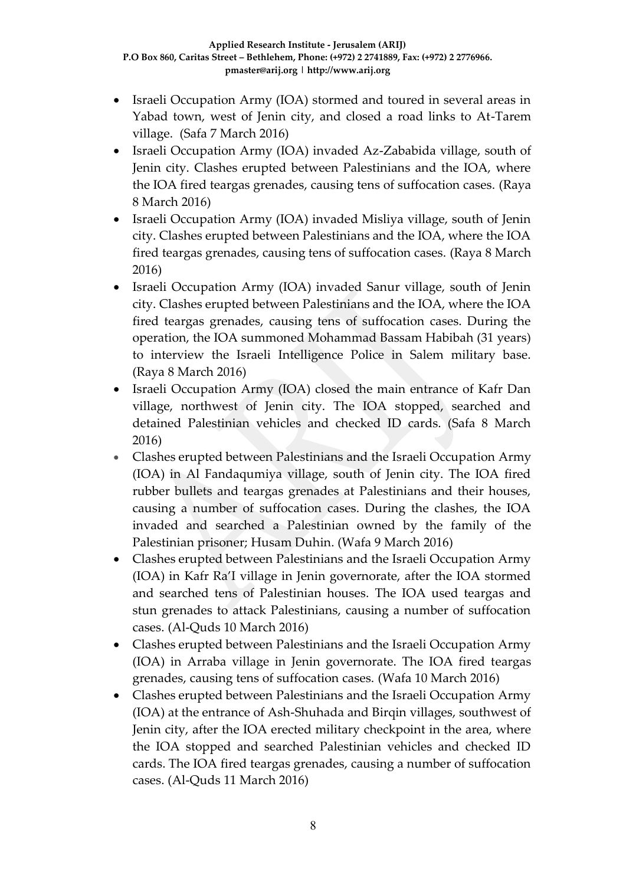- Israeli Occupation Army (IOA) stormed and toured in several areas in Yabad town, west of Jenin city, and closed a road links to At-Tarem village. (Safa 7 March 2016)
- Israeli Occupation Army (IOA) invaded Az-Zababida village, south of Jenin city. Clashes erupted between Palestinians and the IOA, where the IOA fired teargas grenades, causing tens of suffocation cases. (Raya 8 March 2016)
- Israeli Occupation Army (IOA) invaded Misliya village, south of Jenin city. Clashes erupted between Palestinians and the IOA, where the IOA fired teargas grenades, causing tens of suffocation cases. (Raya 8 March 2016)
- Israeli Occupation Army (IOA) invaded Sanur village, south of Jenin city. Clashes erupted between Palestinians and the IOA, where the IOA fired teargas grenades, causing tens of suffocation cases. During the operation, the IOA summoned Mohammad Bassam Habibah (31 years) to interview the Israeli Intelligence Police in Salem military base. (Raya 8 March 2016)
- Israeli Occupation Army (IOA) closed the main entrance of Kafr Dan village, northwest of Jenin city. The IOA stopped, searched and detained Palestinian vehicles and checked ID cards. (Safa 8 March 2016)
- Clashes erupted between Palestinians and the Israeli Occupation Army (IOA) in Al Fandaqumiya village, south of Jenin city. The IOA fired rubber bullets and teargas grenades at Palestinians and their houses, causing a number of suffocation cases. During the clashes, the IOA invaded and searched a Palestinian owned by the family of the Palestinian prisoner; Husam Duhin. (Wafa 9 March 2016)
- Clashes erupted between Palestinians and the Israeli Occupation Army (IOA) in Kafr Ra'I village in Jenin governorate, after the IOA stormed and searched tens of Palestinian houses. The IOA used teargas and stun grenades to attack Palestinians, causing a number of suffocation cases. (Al-Quds 10 March 2016)
- Clashes erupted between Palestinians and the Israeli Occupation Army (IOA) in Arraba village in Jenin governorate. The IOA fired teargas grenades, causing tens of suffocation cases. (Wafa 10 March 2016)
- Clashes erupted between Palestinians and the Israeli Occupation Army (IOA) at the entrance of Ash-Shuhada and Birqin villages, southwest of Jenin city, after the IOA erected military checkpoint in the area, where the IOA stopped and searched Palestinian vehicles and checked ID cards. The IOA fired teargas grenades, causing a number of suffocation cases. (Al-Quds 11 March 2016)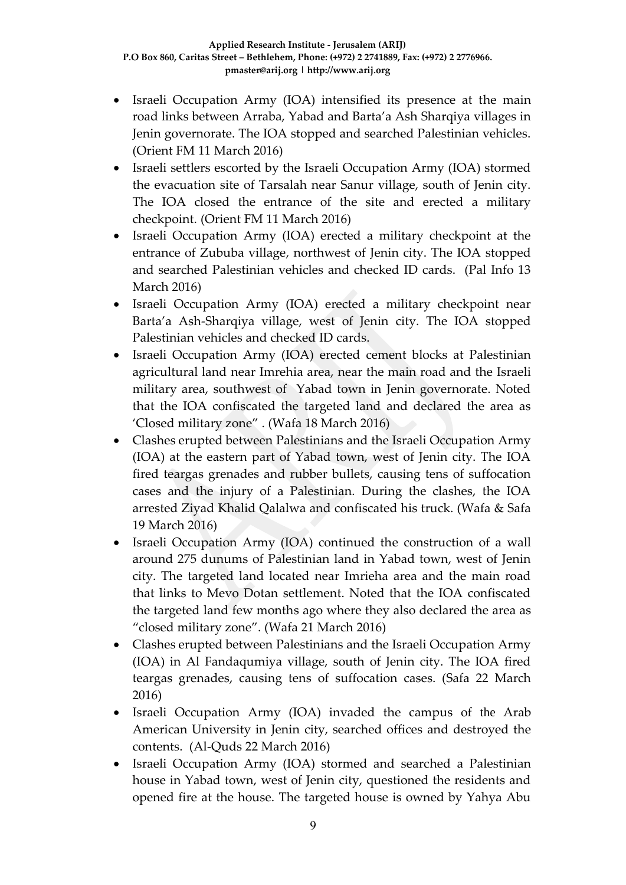- Israeli Occupation Army (IOA) intensified its presence at the main road links between Arraba, Yabad and Barta'a Ash Sharqiya villages in Jenin governorate. The IOA stopped and searched Palestinian vehicles. (Orient FM 11 March 2016)
- Israeli settlers escorted by the Israeli Occupation Army (IOA) stormed the evacuation site of Tarsalah near Sanur village, south of Jenin city. The IOA closed the entrance of the site and erected a military checkpoint. (Orient FM 11 March 2016)
- Israeli Occupation Army (IOA) erected a military checkpoint at the entrance of Zububa village, northwest of Jenin city. The IOA stopped and searched Palestinian vehicles and checked ID cards. (Pal Info 13 March 2016)
- Israeli Occupation Army (IOA) erected a military checkpoint near Barta'a Ash-Sharqiya village, west of Jenin city. The IOA stopped Palestinian vehicles and checked ID cards.
- Israeli Occupation Army (IOA) erected cement blocks at Palestinian agricultural land near Imrehia area, near the main road and the Israeli military area, southwest of Yabad town in Jenin governorate. Noted that the IOA confiscated the targeted land and declared the area as 'Closed military zone" . (Wafa 18 March 2016)
- Clashes erupted between Palestinians and the Israeli Occupation Army (IOA) at the eastern part of Yabad town, west of Jenin city. The IOA fired teargas grenades and rubber bullets, causing tens of suffocation cases and the injury of a Palestinian. During the clashes, the IOA arrested Ziyad Khalid Qalalwa and confiscated his truck. (Wafa & Safa 19 March 2016)
- Israeli Occupation Army (IOA) continued the construction of a wall around 275 dunums of Palestinian land in Yabad town, west of Jenin city. The targeted land located near Imrieha area and the main road that links to Mevo Dotan settlement. Noted that the IOA confiscated the targeted land few months ago where they also declared the area as "closed military zone". (Wafa 21 March 2016)
- Clashes erupted between Palestinians and the Israeli Occupation Army (IOA) in Al Fandaqumiya village, south of Jenin city. The IOA fired teargas grenades, causing tens of suffocation cases. (Safa 22 March 2016)
- Israeli Occupation Army (IOA) invaded the campus of the Arab American University in Jenin city, searched offices and destroyed the contents. (Al-Quds 22 March 2016)
- Israeli Occupation Army (IOA) stormed and searched a Palestinian house in Yabad town, west of Jenin city, questioned the residents and opened fire at the house. The targeted house is owned by Yahya Abu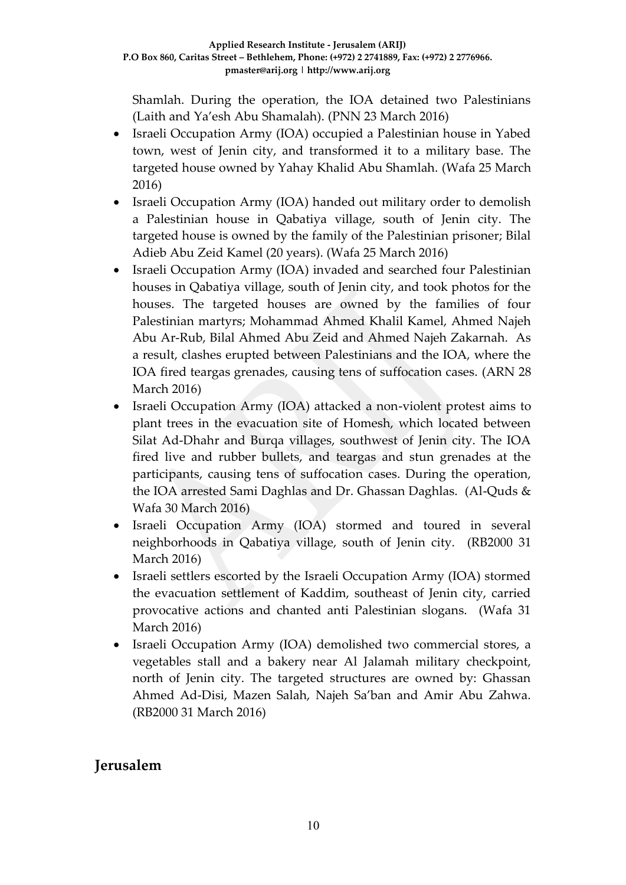Shamlah. During the operation, the IOA detained two Palestinians (Laith and Ya'esh Abu Shamalah). (PNN 23 March 2016)

- Israeli Occupation Army (IOA) occupied a Palestinian house in Yabed town, west of Jenin city, and transformed it to a military base. The targeted house owned by Yahay Khalid Abu Shamlah. (Wafa 25 March 2016)
- Israeli Occupation Army (IOA) handed out military order to demolish a Palestinian house in Qabatiya village, south of Jenin city. The targeted house is owned by the family of the Palestinian prisoner; Bilal Adieb Abu Zeid Kamel (20 years). (Wafa 25 March 2016)
- Israeli Occupation Army (IOA) invaded and searched four Palestinian houses in Qabatiya village, south of Jenin city, and took photos for the houses. The targeted houses are owned by the families of four Palestinian martyrs; Mohammad Ahmed Khalil Kamel, Ahmed Najeh Abu Ar-Rub, Bilal Ahmed Abu Zeid and Ahmed Najeh Zakarnah. As a result, clashes erupted between Palestinians and the IOA, where the IOA fired teargas grenades, causing tens of suffocation cases. (ARN 28 March 2016)
- Israeli Occupation Army (IOA) attacked a non-violent protest aims to plant trees in the evacuation site of Homesh, which located between Silat Ad-Dhahr and Burqa villages, southwest of Jenin city. The IOA fired live and rubber bullets, and teargas and stun grenades at the participants, causing tens of suffocation cases. During the operation, the IOA arrested Sami Daghlas and Dr. Ghassan Daghlas. (Al-Quds & Wafa 30 March 2016)
- Israeli Occupation Army (IOA) stormed and toured in several neighborhoods in Qabatiya village, south of Jenin city. (RB2000 31 March 2016)
- Israeli settlers escorted by the Israeli Occupation Army (IOA) stormed the evacuation settlement of Kaddim, southeast of Jenin city, carried provocative actions and chanted anti Palestinian slogans. (Wafa 31 March 2016)
- Israeli Occupation Army (IOA) demolished two commercial stores, a vegetables stall and a bakery near Al Jalamah military checkpoint, north of Jenin city. The targeted structures are owned by: Ghassan Ahmed Ad-Disi, Mazen Salah, Najeh Sa'ban and Amir Abu Zahwa. (RB2000 31 March 2016)

# **Jerusalem**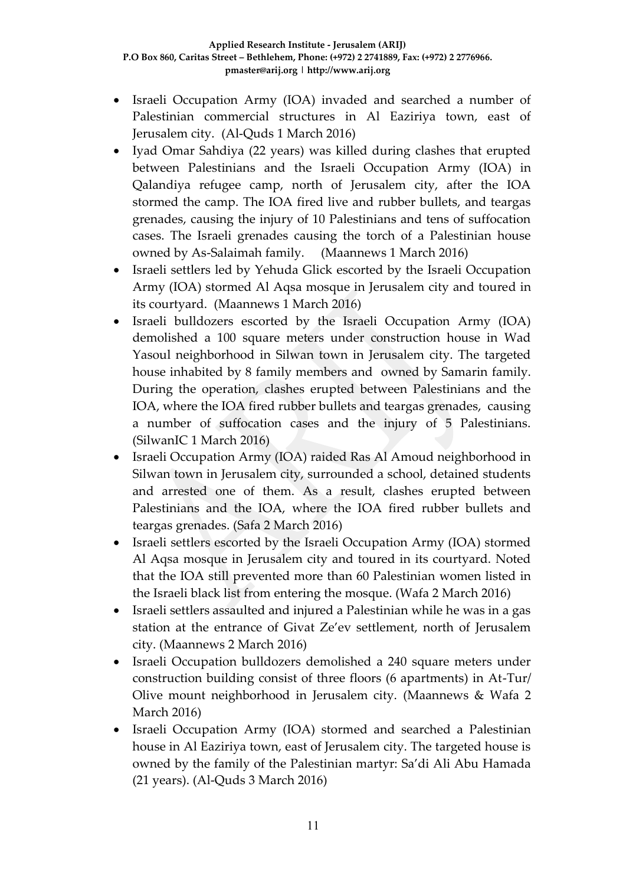- Israeli Occupation Army (IOA) invaded and searched a number of Palestinian commercial structures in Al Eaziriya town, east of Jerusalem city. (Al-Quds 1 March 2016)
- Iyad Omar Sahdiya (22 years) was killed during clashes that erupted between Palestinians and the Israeli Occupation Army (IOA) in Qalandiya refugee camp, north of Jerusalem city, after the IOA stormed the camp. The IOA fired live and rubber bullets, and teargas grenades, causing the injury of 10 Palestinians and tens of suffocation cases. The Israeli grenades causing the torch of a Palestinian house owned by As-Salaimah family. (Maannews 1 March 2016)
- Israeli settlers led by Yehuda Glick escorted by the Israeli Occupation Army (IOA) stormed Al Aqsa mosque in Jerusalem city and toured in its courtyard. (Maannews 1 March 2016)
- Israeli bulldozers escorted by the Israeli Occupation Army (IOA) demolished a 100 square meters under construction house in Wad Yasoul neighborhood in Silwan town in Jerusalem city. The targeted house inhabited by 8 family members and owned by Samarin family. During the operation, clashes erupted between Palestinians and the IOA, where the IOA fired rubber bullets and teargas grenades, causing a number of suffocation cases and the injury of 5 Palestinians. (SilwanIC 1 March 2016)
- Israeli Occupation Army (IOA) raided Ras Al Amoud neighborhood in Silwan town in Jerusalem city, surrounded a school, detained students and arrested one of them. As a result, clashes erupted between Palestinians and the IOA, where the IOA fired rubber bullets and teargas grenades. (Safa 2 March 2016)
- Israeli settlers escorted by the Israeli Occupation Army (IOA) stormed Al Aqsa mosque in Jerusalem city and toured in its courtyard. Noted that the IOA still prevented more than 60 Palestinian women listed in the Israeli black list from entering the mosque. (Wafa 2 March 2016)
- Israeli settlers assaulted and injured a Palestinian while he was in a gas station at the entrance of Givat Ze'ev settlement, north of Jerusalem city. (Maannews 2 March 2016)
- Israeli Occupation bulldozers demolished a 240 square meters under construction building consist of three floors (6 apartments) in At-Tur/ Olive mount neighborhood in Jerusalem city. (Maannews & Wafa 2 March 2016)
- Israeli Occupation Army (IOA) stormed and searched a Palestinian house in Al Eaziriya town, east of Jerusalem city. The targeted house is owned by the family of the Palestinian martyr: Sa'di Ali Abu Hamada (21 years). (Al-Quds 3 March 2016)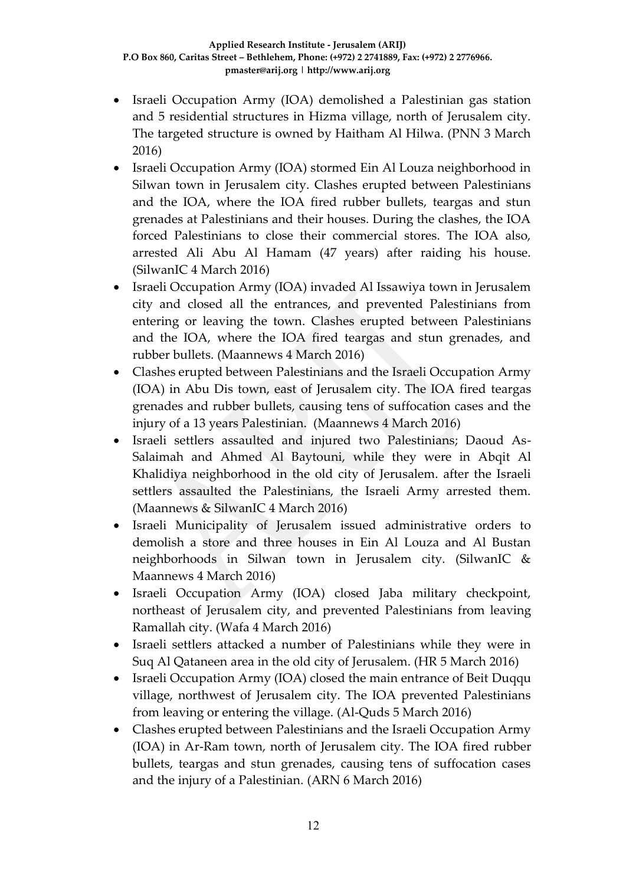- Israeli Occupation Army (IOA) demolished a Palestinian gas station and 5 residential structures in Hizma village, north of Jerusalem city. The targeted structure is owned by Haitham Al Hilwa. (PNN 3 March 2016)
- Israeli Occupation Army (IOA) stormed Ein Al Louza neighborhood in Silwan town in Jerusalem city. Clashes erupted between Palestinians and the IOA, where the IOA fired rubber bullets, teargas and stun grenades at Palestinians and their houses. During the clashes, the IOA forced Palestinians to close their commercial stores. The IOA also, arrested Ali Abu Al Hamam (47 years) after raiding his house. (SilwanIC 4 March 2016)
- Israeli Occupation Army (IOA) invaded Al Issawiya town in Jerusalem city and closed all the entrances, and prevented Palestinians from entering or leaving the town. Clashes erupted between Palestinians and the IOA, where the IOA fired teargas and stun grenades, and rubber bullets. (Maannews 4 March 2016)
- Clashes erupted between Palestinians and the Israeli Occupation Army (IOA) in Abu Dis town, east of Jerusalem city. The IOA fired teargas grenades and rubber bullets, causing tens of suffocation cases and the injury of a 13 years Palestinian. (Maannews 4 March 2016)
- Israeli settlers assaulted and injured two Palestinians; Daoud As-Salaimah and Ahmed Al Baytouni, while they were in Abqit Al Khalidiya neighborhood in the old city of Jerusalem. after the Israeli settlers assaulted the Palestinians, the Israeli Army arrested them. (Maannews & SilwanIC 4 March 2016)
- Israeli Municipality of Jerusalem issued administrative orders to demolish a store and three houses in Ein Al Louza and Al Bustan neighborhoods in Silwan town in Jerusalem city. (SilwanIC & Maannews 4 March 2016)
- Israeli Occupation Army (IOA) closed Jaba military checkpoint, northeast of Jerusalem city, and prevented Palestinians from leaving Ramallah city. (Wafa 4 March 2016)
- Israeli settlers attacked a number of Palestinians while they were in Suq Al Qataneen area in the old city of Jerusalem. (HR 5 March 2016)
- Israeli Occupation Army (IOA) closed the main entrance of Beit Duqqu village, northwest of Jerusalem city. The IOA prevented Palestinians from leaving or entering the village. (Al-Quds 5 March 2016)
- Clashes erupted between Palestinians and the Israeli Occupation Army (IOA) in Ar-Ram town, north of Jerusalem city. The IOA fired rubber bullets, teargas and stun grenades, causing tens of suffocation cases and the injury of a Palestinian. (ARN 6 March 2016)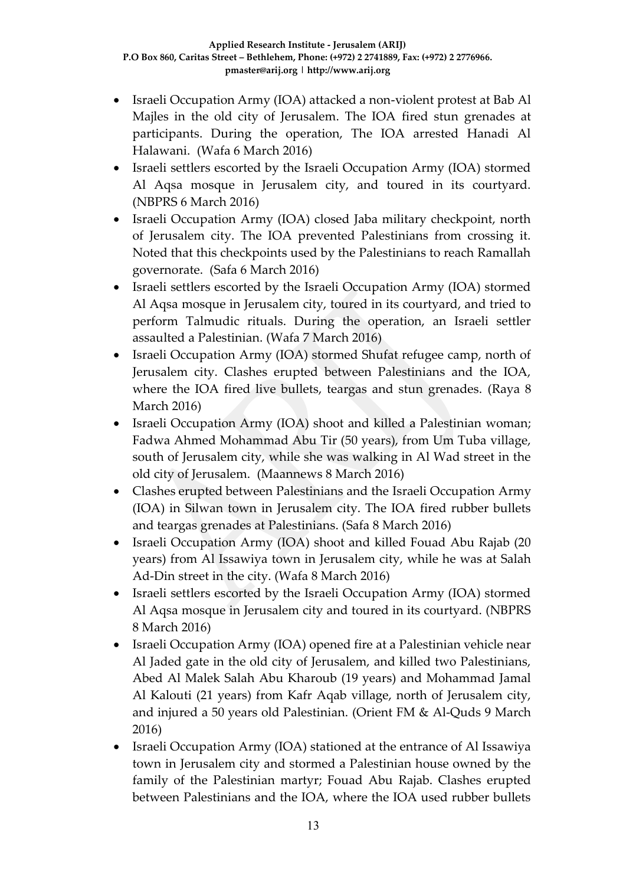- Israeli Occupation Army (IOA) attacked a non-violent protest at Bab Al Majles in the old city of Jerusalem. The IOA fired stun grenades at participants. During the operation, The IOA arrested Hanadi Al Halawani. (Wafa 6 March 2016)
- Israeli settlers escorted by the Israeli Occupation Army (IOA) stormed Al Aqsa mosque in Jerusalem city, and toured in its courtyard. (NBPRS 6 March 2016)
- Israeli Occupation Army (IOA) closed Jaba military checkpoint, north of Jerusalem city. The IOA prevented Palestinians from crossing it. Noted that this checkpoints used by the Palestinians to reach Ramallah governorate. (Safa 6 March 2016)
- Israeli settlers escorted by the Israeli Occupation Army (IOA) stormed Al Aqsa mosque in Jerusalem city, toured in its courtyard, and tried to perform Talmudic rituals. During the operation, an Israeli settler assaulted a Palestinian. (Wafa 7 March 2016)
- Israeli Occupation Army (IOA) stormed Shufat refugee camp, north of Jerusalem city. Clashes erupted between Palestinians and the IOA, where the IOA fired live bullets, teargas and stun grenades. (Raya 8 March 2016)
- Israeli Occupation Army (IOA) shoot and killed a Palestinian woman; Fadwa Ahmed Mohammad Abu Tir (50 years), from Um Tuba village, south of Jerusalem city, while she was walking in Al Wad street in the old city of Jerusalem. (Maannews 8 March 2016)
- Clashes erupted between Palestinians and the Israeli Occupation Army (IOA) in Silwan town in Jerusalem city. The IOA fired rubber bullets and teargas grenades at Palestinians. (Safa 8 March 2016)
- Israeli Occupation Army (IOA) shoot and killed Fouad Abu Rajab (20 years) from Al Issawiya town in Jerusalem city, while he was at Salah Ad-Din street in the city. (Wafa 8 March 2016)
- Israeli settlers escorted by the Israeli Occupation Army (IOA) stormed Al Aqsa mosque in Jerusalem city and toured in its courtyard. (NBPRS 8 March 2016)
- Israeli Occupation Army (IOA) opened fire at a Palestinian vehicle near Al Jaded gate in the old city of Jerusalem, and killed two Palestinians, Abed Al Malek Salah Abu Kharoub (19 years) and Mohammad Jamal Al Kalouti (21 years) from Kafr Aqab village, north of Jerusalem city, and injured a 50 years old Palestinian. (Orient FM & Al-Quds 9 March 2016)
- Israeli Occupation Army (IOA) stationed at the entrance of Al Issawiya town in Jerusalem city and stormed a Palestinian house owned by the family of the Palestinian martyr; Fouad Abu Rajab. Clashes erupted between Palestinians and the IOA, where the IOA used rubber bullets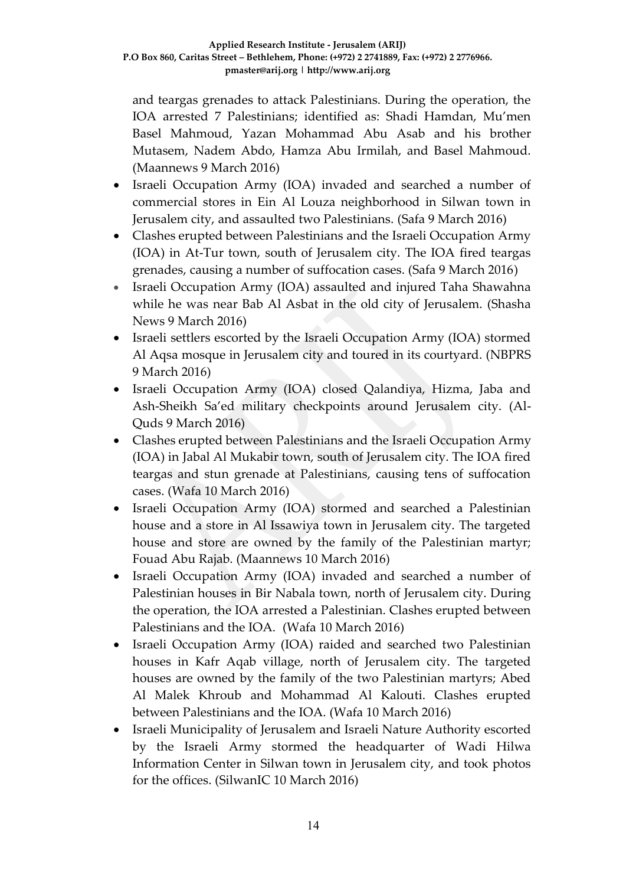and teargas grenades to attack Palestinians. During the operation, the IOA arrested 7 Palestinians; identified as: Shadi Hamdan, Mu'men Basel Mahmoud, Yazan Mohammad Abu Asab and his brother Mutasem, Nadem Abdo, Hamza Abu Irmilah, and Basel Mahmoud. (Maannews 9 March 2016)

- Israeli Occupation Army (IOA) invaded and searched a number of commercial stores in Ein Al Louza neighborhood in Silwan town in Jerusalem city, and assaulted two Palestinians. (Safa 9 March 2016)
- Clashes erupted between Palestinians and the Israeli Occupation Army (IOA) in At-Tur town, south of Jerusalem city. The IOA fired teargas grenades, causing a number of suffocation cases. (Safa 9 March 2016)
- Israeli Occupation Army (IOA) assaulted and injured Taha Shawahna while he was near Bab Al Asbat in the old city of Jerusalem. (Shasha News 9 March 2016)
- Israeli settlers escorted by the Israeli Occupation Army (IOA) stormed Al Aqsa mosque in Jerusalem city and toured in its courtyard. (NBPRS 9 March 2016)
- Israeli Occupation Army (IOA) closed Qalandiya, Hizma, Jaba and Ash-Sheikh Sa'ed military checkpoints around Jerusalem city. (Al-Quds 9 March 2016)
- Clashes erupted between Palestinians and the Israeli Occupation Army (IOA) in Jabal Al Mukabir town, south of Jerusalem city. The IOA fired teargas and stun grenade at Palestinians, causing tens of suffocation cases. (Wafa 10 March 2016)
- Israeli Occupation Army (IOA) stormed and searched a Palestinian house and a store in Al Issawiya town in Jerusalem city. The targeted house and store are owned by the family of the Palestinian martyr; Fouad Abu Rajab. (Maannews 10 March 2016)
- Israeli Occupation Army (IOA) invaded and searched a number of Palestinian houses in Bir Nabala town, north of Jerusalem city. During the operation, the IOA arrested a Palestinian. Clashes erupted between Palestinians and the IOA. (Wafa 10 March 2016)
- Israeli Occupation Army (IOA) raided and searched two Palestinian houses in Kafr Aqab village, north of Jerusalem city. The targeted houses are owned by the family of the two Palestinian martyrs; Abed Al Malek Khroub and Mohammad Al Kalouti. Clashes erupted between Palestinians and the IOA. (Wafa 10 March 2016)
- Israeli Municipality of Jerusalem and Israeli Nature Authority escorted by the Israeli Army stormed the headquarter of Wadi Hilwa Information Center in Silwan town in Jerusalem city, and took photos for the offices. (SilwanIC 10 March 2016)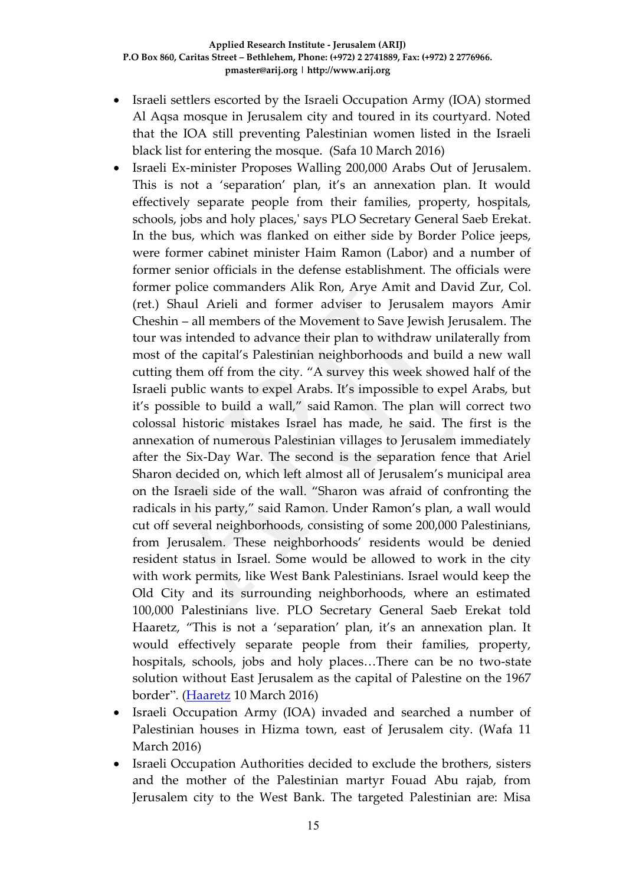- Israeli settlers escorted by the Israeli Occupation Army (IOA) stormed Al Aqsa mosque in Jerusalem city and toured in its courtyard. Noted that the IOA still preventing Palestinian women listed in the Israeli black list for entering the mosque. (Safa 10 March 2016)
- Israeli Ex-minister Proposes Walling 200,000 Arabs Out of Jerusalem. This is not a 'separation' plan, it's an annexation plan. It would effectively separate people from their families, property, hospitals, schools, jobs and holy places,' says PLO Secretary General Saeb Erekat. In the bus, which was flanked on either side by Border Police jeeps, were former cabinet minister Haim Ramon (Labor) and a number of former senior officials in the defense establishment. The officials were former police commanders Alik Ron, Arye Amit and David Zur, Col. (ret.) Shaul Arieli and former adviser to Jerusalem mayors Amir Cheshin – all members of the Movement to Save Jewish Jerusalem. The tour was intended to advance their plan to withdraw unilaterally from most of the capital's Palestinian neighborhoods and build a new wall cutting them off from the city. "A survey this week showed half of the Israeli public wants to expel Arabs. It's impossible to expel Arabs, but it's possible to build a wall," said Ramon. The plan will correct two colossal historic mistakes Israel has made, he said. The first is the annexation of numerous Palestinian villages to Jerusalem immediately after the Six-Day War. The second is the separation fence that Ariel Sharon decided on, which left almost all of Jerusalem's municipal area on the Israeli side of the wall. "Sharon was afraid of confronting the radicals in his party," said Ramon. Under Ramon's plan, a wall would cut off several neighborhoods, consisting of some 200,000 Palestinians, from Jerusalem. These neighborhoods' residents would be denied resident status in Israel. Some would be allowed to work in the city with work permits, like West Bank Palestinians. Israel would keep the Old City and its surrounding neighborhoods, where an estimated 100,000 Palestinians live. PLO Secretary General Saeb Erekat told Haaretz, "This is not a 'separation' plan, it's an annexation plan. It would effectively separate people from their families, property, hospitals, schools, jobs and holy places…There can be no two-state solution without East Jerusalem as the capital of Palestine on the 1967 border". [\(Haaretz](http://www.haaretz.com/israel-news/.premium-1.707969) 10 March 2016)
- Israeli Occupation Army (IOA) invaded and searched a number of Palestinian houses in Hizma town, east of Jerusalem city. (Wafa 11 March 2016)
- Israeli Occupation Authorities decided to exclude the brothers, sisters and the mother of the Palestinian martyr Fouad Abu rajab, from Jerusalem city to the West Bank. The targeted Palestinian are: Misa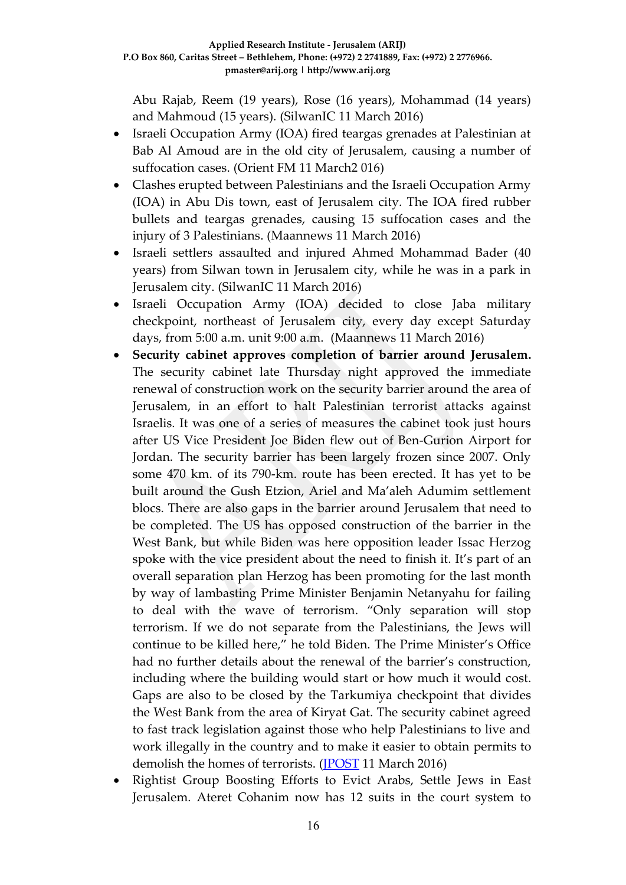Abu Rajab, Reem (19 years), Rose (16 years), Mohammad (14 years) and Mahmoud (15 years). (SilwanIC 11 March 2016)

- Israeli Occupation Army (IOA) fired teargas grenades at Palestinian at Bab Al Amoud are in the old city of Jerusalem, causing a number of suffocation cases. (Orient FM 11 March2 016)
- Clashes erupted between Palestinians and the Israeli Occupation Army (IOA) in Abu Dis town, east of Jerusalem city. The IOA fired rubber bullets and teargas grenades, causing 15 suffocation cases and the injury of 3 Palestinians. (Maannews 11 March 2016)
- Israeli settlers assaulted and injured Ahmed Mohammad Bader (40 years) from Silwan town in Jerusalem city, while he was in a park in Jerusalem city. (SilwanIC 11 March 2016)
- Israeli Occupation Army (IOA) decided to close Jaba military checkpoint, northeast of Jerusalem city, every day except Saturday days, from 5:00 a.m. unit 9:00 a.m. (Maannews 11 March 2016)
- **Security cabinet approves completion of barrier around Jerusalem.**  The security cabinet late Thursday night approved the immediate renewal of construction work on the security barrier around the area of Jerusalem, in an effort to halt Palestinian terrorist attacks against Israelis. It was one of a series of measures the cabinet took just hours after US Vice President Joe Biden flew out of Ben-Gurion Airport for Jordan. The security barrier has been largely frozen since 2007. Only some 470 km. of its 790-km. route has been erected. It has yet to be built around the Gush Etzion, Ariel and Ma'aleh Adumim settlement blocs. There are also gaps in the barrier around Jerusalem that need to be completed. The US has opposed construction of the barrier in the West Bank, but while Biden was here opposition leader Issac Herzog spoke with the vice president about the need to finish it. It's part of an overall separation plan Herzog has been promoting for the last month by way of lambasting Prime Minister Benjamin Netanyahu for failing to deal with the wave of terrorism. "Only separation will stop terrorism. If we do not separate from the Palestinians, the Jews will continue to be killed here," he told Biden. The Prime Minister's Office had no further details about the renewal of the barrier's construction, including where the building would start or how much it would cost. Gaps are also to be closed by the Tarkumiya checkpoint that divides the West Bank from the area of Kiryat Gat. The security cabinet agreed to fast track legislation against those who help Palestinians to live and work illegally in the country and to make it easier to obtain permits to demolish the homes of terrorists. [\(JPOST](http://www.jpost.com/Arab-Israeli-Conflict/Security-cabinet-approves-completion-of-barrier-around-Jerusalem-447571) 11 March 2016)
- Rightist Group Boosting Efforts to Evict Arabs, Settle Jews in East Jerusalem. Ateret Cohanim now has 12 suits in the court system to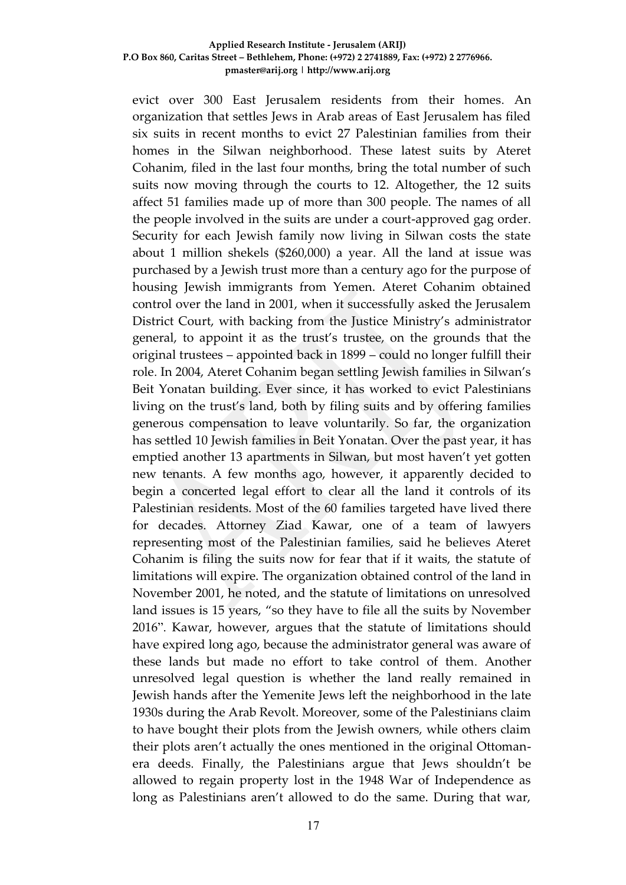#### **Applied Research Institute - Jerusalem (ARIJ) P.O Box 860, Caritas Street – Bethlehem, Phone: (+972) 2 2741889, Fax: (+972) 2 2776966. pmaster@arij.org | http://www.arij.org**

evict over 300 East Jerusalem residents from their homes. An organization that settles Jews in Arab areas of East Jerusalem has filed six suits in recent months to evict 27 Palestinian families from their homes in the Silwan neighborhood. These latest suits by Ateret Cohanim, filed in the last four months, bring the total number of such suits now moving through the courts to 12. Altogether, the 12 suits affect 51 families made up of more than 300 people. The names of all the people involved in the suits are under a court-approved gag order. Security for each Jewish family now living in Silwan costs the state about 1 million shekels (\$260,000) a year. All the land at issue was purchased by a Jewish trust more than a century ago for the purpose of housing Jewish immigrants from Yemen. Ateret Cohanim obtained control over the land in 2001, when it successfully asked the Jerusalem District Court, with backing from the Justice Ministry's administrator general, to appoint it as the trust's trustee, on the grounds that the original trustees – appointed back in 1899 – could no longer fulfill their role. In 2004, Ateret Cohanim began settling Jewish families in Silwan's Beit Yonatan building. Ever since, it has worked to evict Palestinians living on the trust's land, both by filing suits and by offering families generous compensation to leave voluntarily. So far, the organization has settled 10 Jewish families in Beit Yonatan. Over the past year, it has emptied another 13 apartments in Silwan, but most haven't yet gotten new tenants. A few months ago, however, it apparently decided to begin a concerted legal effort to clear all the land it controls of its Palestinian residents. Most of the 60 families targeted have lived there for decades. Attorney Ziad Kawar, one of a team of lawyers representing most of the Palestinian families, said he believes Ateret Cohanim is filing the suits now for fear that if it waits, the statute of limitations will expire. The organization obtained control of the land in November 2001, he noted, and the statute of limitations on unresolved land issues is 15 years, "so they have to file all the suits by November 2016". Kawar, however, argues that the statute of limitations should have expired long ago, because the administrator general was aware of these lands but made no effort to take control of them. Another unresolved legal question is whether the land really remained in Jewish hands after the Yemenite Jews left the neighborhood in the late 1930s during the Arab Revolt. Moreover, some of the Palestinians claim to have bought their plots from the Jewish owners, while others claim their plots aren't actually the ones mentioned in the original Ottomanera deeds. Finally, the Palestinians argue that Jews shouldn't be allowed to regain property lost in the 1948 War of Independence as long as Palestinians aren't allowed to do the same. During that war,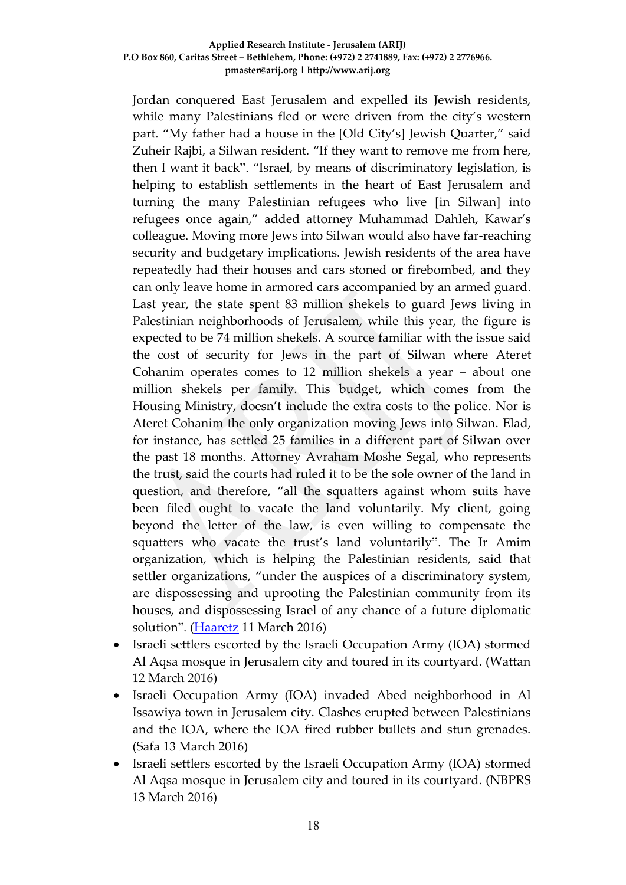#### **Applied Research Institute - Jerusalem (ARIJ) P.O Box 860, Caritas Street – Bethlehem, Phone: (+972) 2 2741889, Fax: (+972) 2 2776966. pmaster@arij.org | http://www.arij.org**

Jordan conquered East Jerusalem and expelled its Jewish residents, while many Palestinians fled or were driven from the city's western part. "My father had a house in the [Old City's] Jewish Quarter," said Zuheir Rajbi, a Silwan resident. "If they want to remove me from here, then I want it back". "Israel, by means of discriminatory legislation, is helping to establish settlements in the heart of East Jerusalem and turning the many Palestinian refugees who live [in Silwan] into refugees once again," added attorney Muhammad Dahleh, Kawar's colleague. Moving more Jews into Silwan would also have far-reaching security and budgetary implications. Jewish residents of the area have repeatedly had their houses and cars stoned or firebombed, and they can only leave home in armored cars accompanied by an armed guard. Last year, the state spent 83 million shekels to guard Jews living in Palestinian neighborhoods of Jerusalem, while this year, the figure is expected to be 74 million shekels. A source familiar with the issue said the cost of security for Jews in the part of Silwan where Ateret Cohanim operates comes to 12 million shekels a year – about one million shekels per family. This budget, which comes from the Housing Ministry, doesn't include the extra costs to the police. Nor is Ateret Cohanim the only organization moving Jews into Silwan. Elad, for instance, has settled 25 families in a different part of Silwan over the past 18 months. Attorney Avraham Moshe Segal, who represents the trust, said the courts had ruled it to be the sole owner of the land in question, and therefore, "all the squatters against whom suits have been filed ought to vacate the land voluntarily. My client, going beyond the letter of the law, is even willing to compensate the squatters who vacate the trust's land voluntarily". The Ir Amim organization, which is helping the Palestinian residents, said that settler organizations, "under the auspices of a discriminatory system, are dispossessing and uprooting the Palestinian community from its houses, and dispossessing Israel of any chance of a future diplomatic solution". [\(Haaretz](http://www.haaretz.com/israel-news/.premium-1.708243) 11 March 2016)

- Israeli settlers escorted by the Israeli Occupation Army (IOA) stormed Al Aqsa mosque in Jerusalem city and toured in its courtyard. (Wattan 12 March 2016)
- Israeli Occupation Army (IOA) invaded Abed neighborhood in Al Issawiya town in Jerusalem city. Clashes erupted between Palestinians and the IOA, where the IOA fired rubber bullets and stun grenades. (Safa 13 March 2016)
- Israeli settlers escorted by the Israeli Occupation Army (IOA) stormed Al Aqsa mosque in Jerusalem city and toured in its courtyard. (NBPRS 13 March 2016)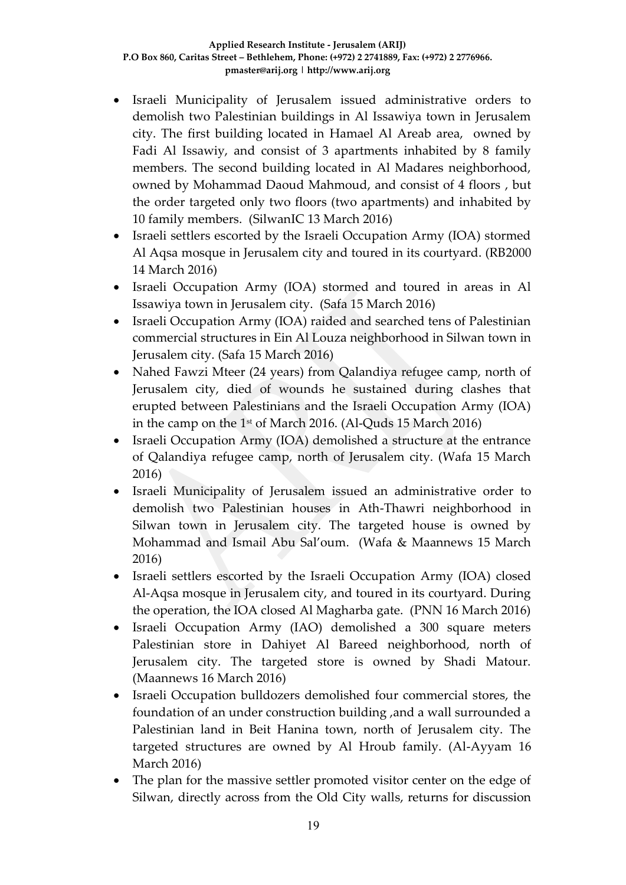- Israeli Municipality of Jerusalem issued administrative orders to demolish two Palestinian buildings in Al Issawiya town in Jerusalem city. The first building located in Hamael Al Areab area, owned by Fadi Al Issawiy, and consist of 3 apartments inhabited by 8 family members. The second building located in Al Madares neighborhood, owned by Mohammad Daoud Mahmoud, and consist of 4 floors , but the order targeted only two floors (two apartments) and inhabited by 10 family members. (SilwanIC 13 March 2016)
- Israeli settlers escorted by the Israeli Occupation Army (IOA) stormed Al Aqsa mosque in Jerusalem city and toured in its courtyard. (RB2000 14 March 2016)
- Israeli Occupation Army (IOA) stormed and toured in areas in Al Issawiya town in Jerusalem city. (Safa 15 March 2016)
- Israeli Occupation Army (IOA) raided and searched tens of Palestinian commercial structures in Ein Al Louza neighborhood in Silwan town in Jerusalem city. (Safa 15 March 2016)
- Nahed Fawzi Mteer (24 years) from Qalandiya refugee camp, north of Jerusalem city, died of wounds he sustained during clashes that erupted between Palestinians and the Israeli Occupation Army (IOA) in the camp on the 1st of March 2016. (Al-Quds 15 March 2016)
- Israeli Occupation Army (IOA) demolished a structure at the entrance of Qalandiya refugee camp, north of Jerusalem city. (Wafa 15 March 2016)
- Israeli Municipality of Jerusalem issued an administrative order to demolish two Palestinian houses in Ath-Thawri neighborhood in Silwan town in Jerusalem city. The targeted house is owned by Mohammad and Ismail Abu Sal'oum. (Wafa & Maannews 15 March 2016)
- Israeli settlers escorted by the Israeli Occupation Army (IOA) closed Al-Aqsa mosque in Jerusalem city, and toured in its courtyard. During the operation, the IOA closed Al Magharba gate. (PNN 16 March 2016)
- Israeli Occupation Army (IAO) demolished a 300 square meters Palestinian store in Dahiyet Al Bareed neighborhood, north of Jerusalem city. The targeted store is owned by Shadi Matour. (Maannews 16 March 2016)
- Israeli Occupation bulldozers demolished four commercial stores, the foundation of an under construction building ,and a wall surrounded a Palestinian land in Beit Hanina town, north of Jerusalem city. The targeted structures are owned by Al Hroub family. (Al-Ayyam 16 March 2016)
- The plan for the massive settler promoted visitor center on the edge of Silwan, directly across from the Old City walls, returns for discussion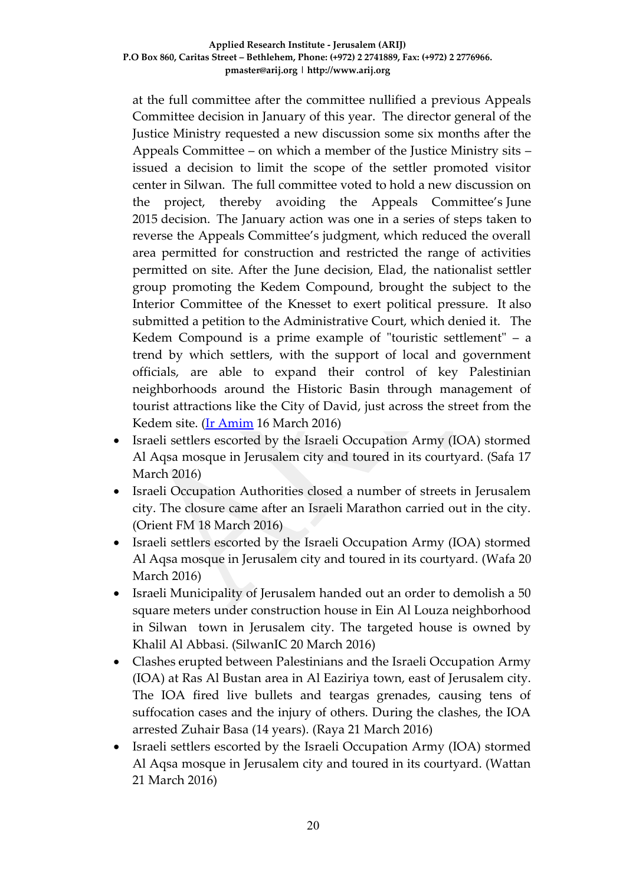at the full committee after the committee nullified a previous Appeals Committee decision in January of this year. The director general of the Justice Ministry requested a new discussion some six months after the Appeals Committee – on which a member of the Justice Ministry sits – issued a decision to limit the scope of the settler promoted visitor center in Silwan. The full committee voted to hold a new discussion on the project, thereby avoiding the Appeals Committee's June 2015 decision. The January action was one in a series of steps taken to reverse the Appeals Committee's judgment, which reduced the overall area permitted for construction and restricted the range of activities permitted on site. After the June decision, Elad, the nationalist settler group promoting the Kedem Compound, brought the subject to the Interior Committee of the Knesset to exert political pressure. It also submitted a petition to the Administrative Court, which denied it. The Kedem Compound is a prime example of "touristic settlement" – a trend by which settlers, with the support of local and government officials, are able to expand their control of key Palestinian neighborhoods around the Historic Basin through management of tourist attractions like the City of David, just across the street from the Kedem site. [\(Ir Amim](http://altro.co.il/newsletters/show/7893?key=a7e7d4de5230480f4c74880e36013fd3) 16 March 2016)

- Israeli settlers escorted by the Israeli Occupation Army (IOA) stormed Al Aqsa mosque in Jerusalem city and toured in its courtyard. (Safa 17 March 2016)
- Israeli Occupation Authorities closed a number of streets in Jerusalem city. The closure came after an Israeli Marathon carried out in the city. (Orient FM 18 March 2016)
- Israeli settlers escorted by the Israeli Occupation Army (IOA) stormed Al Aqsa mosque in Jerusalem city and toured in its courtyard. (Wafa 20 March 2016)
- Israeli Municipality of Jerusalem handed out an order to demolish a 50 square meters under construction house in Ein Al Louza neighborhood in Silwan town in Jerusalem city. The targeted house is owned by Khalil Al Abbasi. (SilwanIC 20 March 2016)
- Clashes erupted between Palestinians and the Israeli Occupation Army (IOA) at Ras Al Bustan area in Al Eaziriya town, east of Jerusalem city. The IOA fired live bullets and teargas grenades, causing tens of suffocation cases and the injury of others. During the clashes, the IOA arrested Zuhair Basa (14 years). (Raya 21 March 2016)
- Israeli settlers escorted by the Israeli Occupation Army (IOA) stormed Al Aqsa mosque in Jerusalem city and toured in its courtyard. (Wattan 21 March 2016)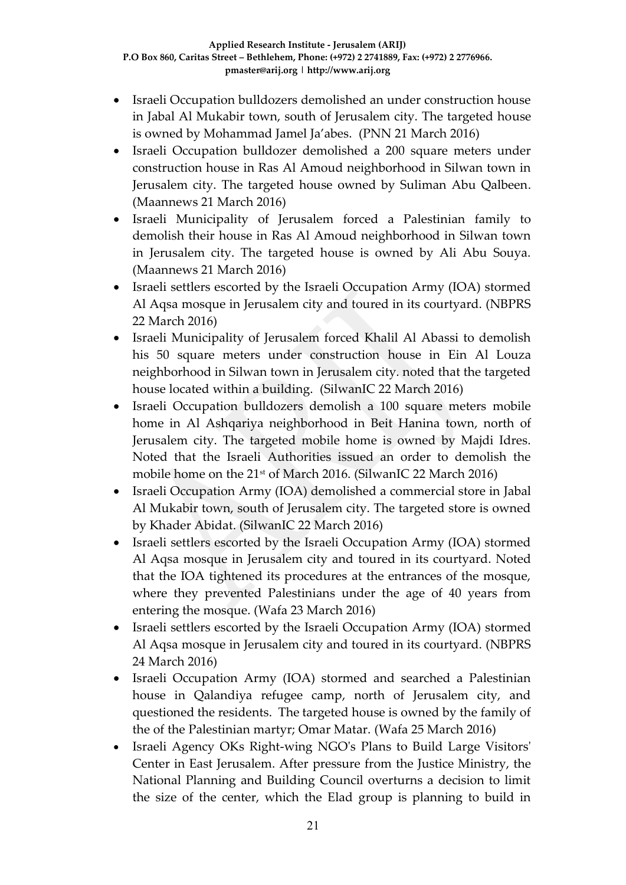- Israeli Occupation bulldozers demolished an under construction house in Jabal Al Mukabir town, south of Jerusalem city. The targeted house is owned by Mohammad Jamel Ja'abes. (PNN 21 March 2016)
- Israeli Occupation bulldozer demolished a 200 square meters under construction house in Ras Al Amoud neighborhood in Silwan town in Jerusalem city. The targeted house owned by Suliman Abu Qalbeen. (Maannews 21 March 2016)
- Israeli Municipality of Jerusalem forced a Palestinian family to demolish their house in Ras Al Amoud neighborhood in Silwan town in Jerusalem city. The targeted house is owned by Ali Abu Souya. (Maannews 21 March 2016)
- Israeli settlers escorted by the Israeli Occupation Army (IOA) stormed Al Aqsa mosque in Jerusalem city and toured in its courtyard. (NBPRS 22 March 2016)
- Israeli Municipality of Jerusalem forced Khalil Al Abassi to demolish his 50 square meters under construction house in Ein Al Louza neighborhood in Silwan town in Jerusalem city. noted that the targeted house located within a building. (SilwanIC 22 March 2016)
- Israeli Occupation bulldozers demolish a 100 square meters mobile home in Al Ashqariya neighborhood in Beit Hanina town, north of Jerusalem city. The targeted mobile home is owned by Majdi Idres. Noted that the Israeli Authorities issued an order to demolish the mobile home on the 21<sup>st</sup> of March 2016. (SilwanIC 22 March 2016)
- Israeli Occupation Army (IOA) demolished a commercial store in Jabal Al Mukabir town, south of Jerusalem city. The targeted store is owned by Khader Abidat. (SilwanIC 22 March 2016)
- Israeli settlers escorted by the Israeli Occupation Army (IOA) stormed Al Aqsa mosque in Jerusalem city and toured in its courtyard. Noted that the IOA tightened its procedures at the entrances of the mosque, where they prevented Palestinians under the age of 40 years from entering the mosque. (Wafa 23 March 2016)
- Israeli settlers escorted by the Israeli Occupation Army (IOA) stormed Al Aqsa mosque in Jerusalem city and toured in its courtyard. (NBPRS 24 March 2016)
- Israeli Occupation Army (IOA) stormed and searched a Palestinian house in Qalandiya refugee camp, north of Jerusalem city, and questioned the residents. The targeted house is owned by the family of the of the Palestinian martyr; Omar Matar. (Wafa 25 March 2016)
- Israeli Agency OKs Right-wing NGO's Plans to Build Large Visitors' Center in East Jerusalem. After pressure from the Justice Ministry, the National Planning and Building Council overturns a decision to limit the size of the center, which the Elad group is planning to build in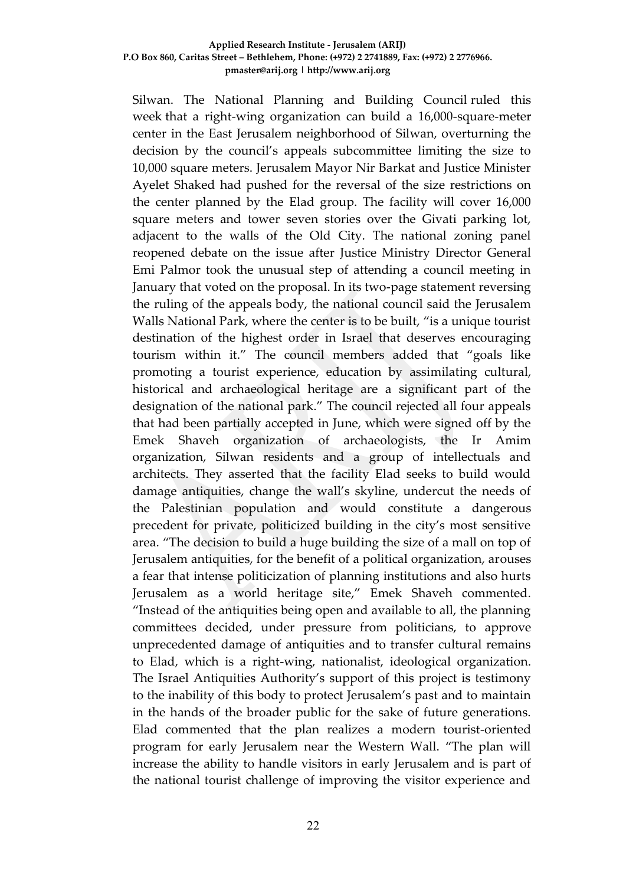#### **Applied Research Institute - Jerusalem (ARIJ) P.O Box 860, Caritas Street – Bethlehem, Phone: (+972) 2 2741889, Fax: (+972) 2 2776966. pmaster@arij.org | http://www.arij.org**

Silwan. The National Planning and Building Council ruled this week that a right-wing organization can build a 16,000-square-meter center in the East Jerusalem neighborhood of Silwan, overturning the decision by the council's appeals subcommittee limiting the size to 10,000 square meters. Jerusalem Mayor Nir Barkat and Justice Minister Ayelet Shaked had pushed for the reversal of the size restrictions on the center planned by the Elad group. The facility will cover 16,000 square meters and tower seven stories over the Givati parking lot, adjacent to the walls of the Old City. The national zoning panel reopened debate on the issue after Justice Ministry Director General Emi Palmor took the unusual step of attending a council meeting in January that voted on the proposal. In its two-page statement reversing the ruling of the appeals body, the national council said the Jerusalem Walls National Park, where the center is to be built, "is a unique tourist destination of the highest order in Israel that deserves encouraging tourism within it." The council members added that "goals like promoting a tourist experience, education by assimilating cultural, historical and archaeological heritage are a significant part of the designation of the national park." The council rejected all four appeals that had been partially accepted in June, which were signed off by the Emek Shaveh organization of archaeologists, the Ir Amim organization, Silwan residents and a group of intellectuals and architects. They asserted that the facility Elad seeks to build would damage antiquities, change the wall's skyline, undercut the needs of the Palestinian population and would constitute a dangerous precedent for private, politicized building in the city's most sensitive area. "The decision to build a huge building the size of a mall on top of Jerusalem antiquities, for the benefit of a political organization, arouses a fear that intense politicization of planning institutions and also hurts Jerusalem as a world heritage site," Emek Shaveh commented. "Instead of the antiquities being open and available to all, the planning committees decided, under pressure from politicians, to approve unprecedented damage of antiquities and to transfer cultural remains to Elad, which is a right-wing, nationalist, ideological organization. The Israel Antiquities Authority's support of this project is testimony to the inability of this body to protect Jerusalem's past and to maintain in the hands of the broader public for the sake of future generations. Elad commented that the plan realizes a modern tourist-oriented program for early Jerusalem near the Western Wall. "The plan will increase the ability to handle visitors in early Jerusalem and is part of the national tourist challenge of improving the visitor experience and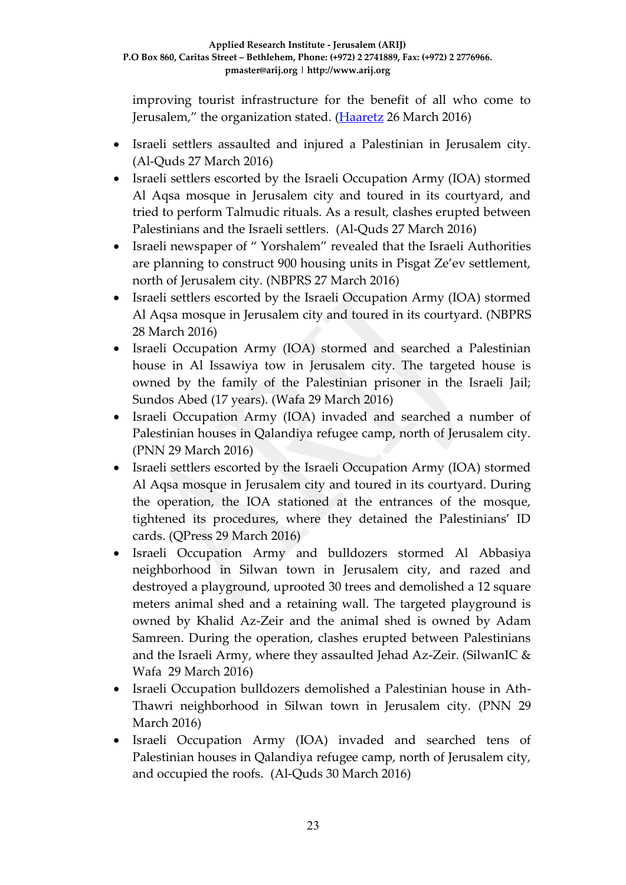improving tourist infrastructure for the benefit of all who come to Jerusalem," the organization stated. [\(Haaretz](http://www.haaretz.com/israel-news/.premium-1.710869) 26 March 2016)

- Israeli settlers assaulted and injured a Palestinian in Jerusalem city. (Al-Quds 27 March 2016)
- Israeli settlers escorted by the Israeli Occupation Army (IOA) stormed Al Aqsa mosque in Jerusalem city and toured in its courtyard, and tried to perform Talmudic rituals. As a result, clashes erupted between Palestinians and the Israeli settlers. (Al-Quds 27 March 2016)
- Israeli newspaper of " Yorshalem" revealed that the Israeli Authorities are planning to construct 900 housing units in Pisgat Ze'ev settlement, north of Jerusalem city. (NBPRS 27 March 2016)
- Israeli settlers escorted by the Israeli Occupation Army (IOA) stormed Al Aqsa mosque in Jerusalem city and toured in its courtyard. (NBPRS 28 March 2016)
- Israeli Occupation Army (IOA) stormed and searched a Palestinian house in Al Issawiya tow in Jerusalem city. The targeted house is owned by the family of the Palestinian prisoner in the Israeli Jail; Sundos Abed (17 years). (Wafa 29 March 2016)
- Israeli Occupation Army (IOA) invaded and searched a number of Palestinian houses in Qalandiya refugee camp, north of Jerusalem city. (PNN 29 March 2016)
- Israeli settlers escorted by the Israeli Occupation Army (IOA) stormed Al Aqsa mosque in Jerusalem city and toured in its courtyard. During the operation, the IOA stationed at the entrances of the mosque, tightened its procedures, where they detained the Palestinians' ID cards. (QPress 29 March 2016)
- Israeli Occupation Army and bulldozers stormed Al Abbasiya neighborhood in Silwan town in Jerusalem city, and razed and destroyed a playground, uprooted 30 trees and demolished a 12 square meters animal shed and a retaining wall. The targeted playground is owned by Khalid Az-Zeir and the animal shed is owned by Adam Samreen. During the operation, clashes erupted between Palestinians and the Israeli Army, where they assaulted Jehad Az-Zeir. (SilwanIC & Wafa 29 March 2016)
- Israeli Occupation bulldozers demolished a Palestinian house in Ath-Thawri neighborhood in Silwan town in Jerusalem city. (PNN 29 March 2016)
- Israeli Occupation Army (IOA) invaded and searched tens of Palestinian houses in Qalandiya refugee camp, north of Jerusalem city, and occupied the roofs. (Al-Quds 30 March 2016)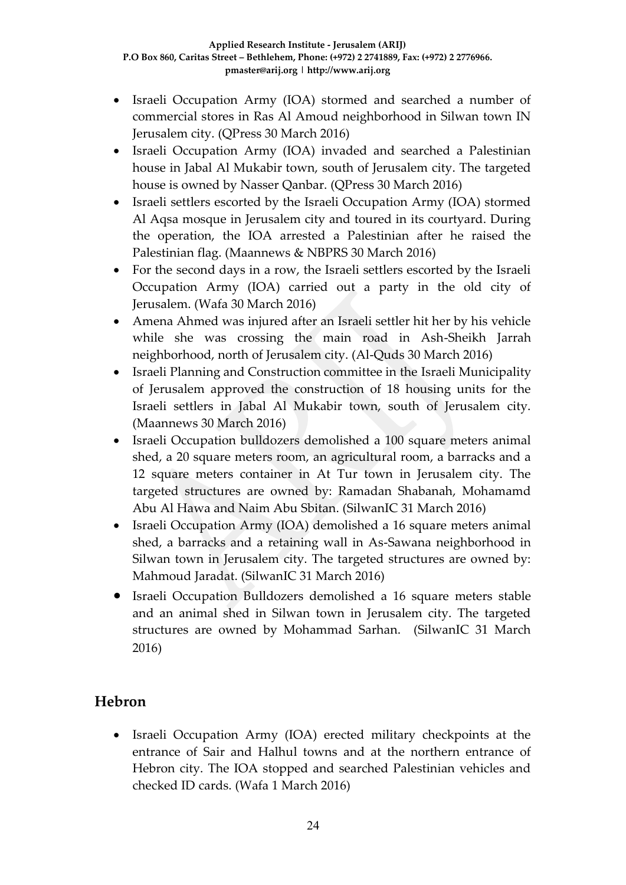- Israeli Occupation Army (IOA) stormed and searched a number of commercial stores in Ras Al Amoud neighborhood in Silwan town IN Jerusalem city. (QPress 30 March 2016)
- Israeli Occupation Army (IOA) invaded and searched a Palestinian house in Jabal Al Mukabir town, south of Jerusalem city. The targeted house is owned by Nasser Qanbar. (QPress 30 March 2016)
- Israeli settlers escorted by the Israeli Occupation Army (IOA) stormed Al Aqsa mosque in Jerusalem city and toured in its courtyard. During the operation, the IOA arrested a Palestinian after he raised the Palestinian flag. (Maannews & NBPRS 30 March 2016)
- For the second days in a row, the Israeli settlers escorted by the Israeli Occupation Army (IOA) carried out a party in the old city of Jerusalem. (Wafa 30 March 2016)
- Amena Ahmed was injured after an Israeli settler hit her by his vehicle while she was crossing the main road in Ash-Sheikh Jarrah neighborhood, north of Jerusalem city. (Al-Quds 30 March 2016)
- Israeli Planning and Construction committee in the Israeli Municipality of Jerusalem approved the construction of 18 housing units for the Israeli settlers in Jabal Al Mukabir town, south of Jerusalem city. (Maannews 30 March 2016)
- Israeli Occupation bulldozers demolished a 100 square meters animal shed, a 20 square meters room, an agricultural room, a barracks and a 12 square meters container in At Tur town in Jerusalem city. The targeted structures are owned by: Ramadan Shabanah, Mohamamd Abu Al Hawa and Naim Abu Sbitan. (SilwanIC 31 March 2016)
- Israeli Occupation Army (IOA) demolished a 16 square meters animal shed, a barracks and a retaining wall in As-Sawana neighborhood in Silwan town in Jerusalem city. The targeted structures are owned by: Mahmoud Jaradat. (SilwanIC 31 March 2016)
- Israeli Occupation Bulldozers demolished a 16 square meters stable and an animal shed in Silwan town in Jerusalem city. The targeted structures are owned by Mohammad Sarhan. (SilwanIC 31 March 2016)

# **Hebron**

 Israeli Occupation Army (IOA) erected military checkpoints at the entrance of Sair and Halhul towns and at the northern entrance of Hebron city. The IOA stopped and searched Palestinian vehicles and checked ID cards. (Wafa 1 March 2016)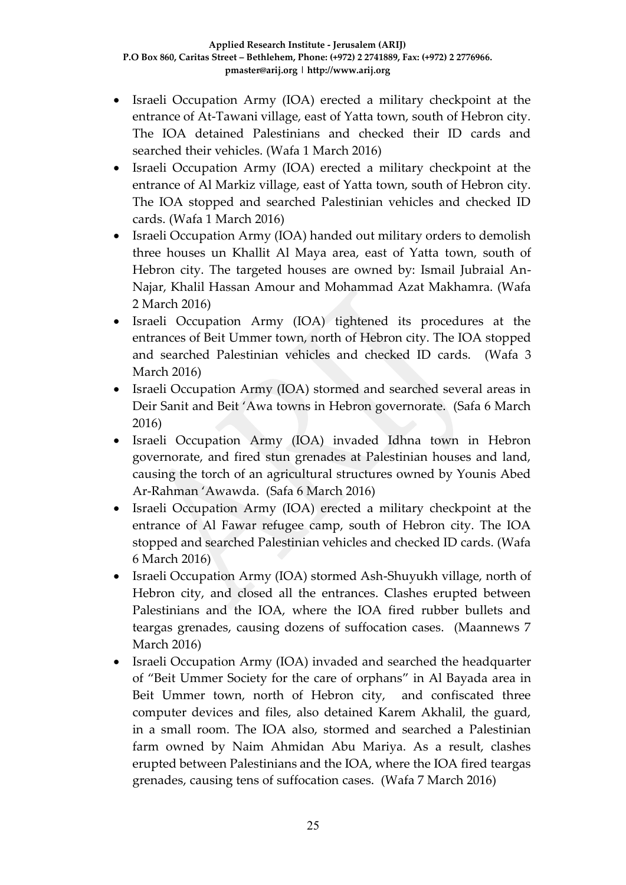- Israeli Occupation Army (IOA) erected a military checkpoint at the entrance of At-Tawani village, east of Yatta town, south of Hebron city. The IOA detained Palestinians and checked their ID cards and searched their vehicles. (Wafa 1 March 2016)
- Israeli Occupation Army (IOA) erected a military checkpoint at the entrance of Al Markiz village, east of Yatta town, south of Hebron city. The IOA stopped and searched Palestinian vehicles and checked ID cards. (Wafa 1 March 2016)
- Israeli Occupation Army (IOA) handed out military orders to demolish three houses un Khallit Al Maya area, east of Yatta town, south of Hebron city. The targeted houses are owned by: Ismail Jubraial An-Najar, Khalil Hassan Amour and Mohammad Azat Makhamra. (Wafa 2 March 2016)
- Israeli Occupation Army (IOA) tightened its procedures at the entrances of Beit Ummer town, north of Hebron city. The IOA stopped and searched Palestinian vehicles and checked ID cards. (Wafa 3 March 2016)
- Israeli Occupation Army (IOA) stormed and searched several areas in Deir Sanit and Beit 'Awa towns in Hebron governorate. (Safa 6 March 2016)
- Israeli Occupation Army (IOA) invaded Idhna town in Hebron governorate, and fired stun grenades at Palestinian houses and land, causing the torch of an agricultural structures owned by Younis Abed Ar-Rahman 'Awawda. (Safa 6 March 2016)
- Israeli Occupation Army (IOA) erected a military checkpoint at the entrance of Al Fawar refugee camp, south of Hebron city. The IOA stopped and searched Palestinian vehicles and checked ID cards. (Wafa 6 March 2016)
- Israeli Occupation Army (IOA) stormed Ash-Shuyukh village, north of Hebron city, and closed all the entrances. Clashes erupted between Palestinians and the IOA, where the IOA fired rubber bullets and teargas grenades, causing dozens of suffocation cases. (Maannews 7 March 2016)
- Israeli Occupation Army (IOA) invaded and searched the headquarter of "Beit Ummer Society for the care of orphans" in Al Bayada area in Beit Ummer town, north of Hebron city, and confiscated three computer devices and files, also detained Karem Akhalil, the guard, in a small room. The IOA also, stormed and searched a Palestinian farm owned by Naim Ahmidan Abu Mariya. As a result, clashes erupted between Palestinians and the IOA, where the IOA fired teargas grenades, causing tens of suffocation cases. (Wafa 7 March 2016)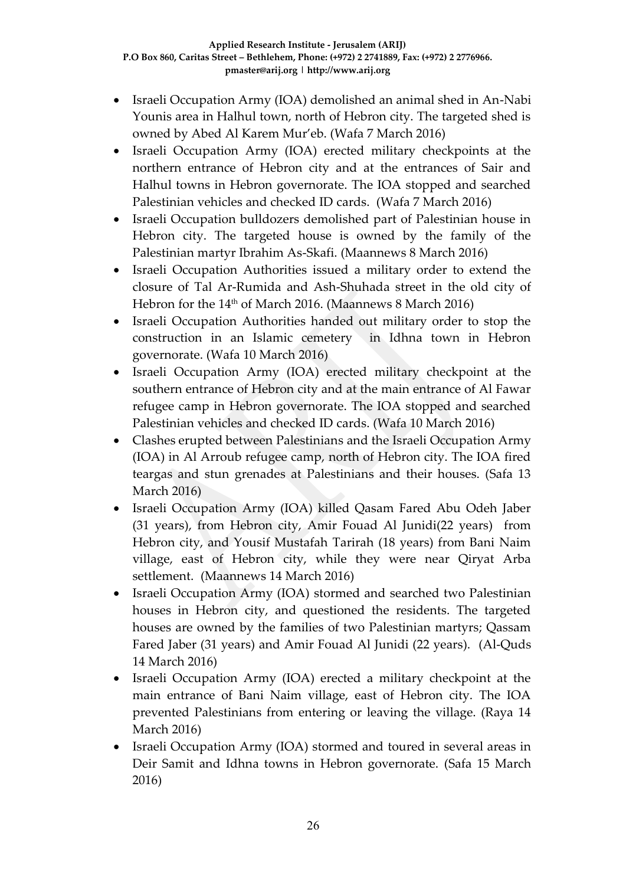- Israeli Occupation Army (IOA) demolished an animal shed in An-Nabi Younis area in Halhul town, north of Hebron city. The targeted shed is owned by Abed Al Karem Mur'eb. (Wafa 7 March 2016)
- Israeli Occupation Army (IOA) erected military checkpoints at the northern entrance of Hebron city and at the entrances of Sair and Halhul towns in Hebron governorate. The IOA stopped and searched Palestinian vehicles and checked ID cards. (Wafa 7 March 2016)
- Israeli Occupation bulldozers demolished part of Palestinian house in Hebron city. The targeted house is owned by the family of the Palestinian martyr Ibrahim As-Skafi. (Maannews 8 March 2016)
- Israeli Occupation Authorities issued a military order to extend the closure of Tal Ar-Rumida and Ash-Shuhada street in the old city of Hebron for the 14th of March 2016. (Maannews 8 March 2016)
- Israeli Occupation Authorities handed out military order to stop the construction in an Islamic cemetery in Idhna town in Hebron governorate. (Wafa 10 March 2016)
- Israeli Occupation Army (IOA) erected military checkpoint at the southern entrance of Hebron city and at the main entrance of Al Fawar refugee camp in Hebron governorate. The IOA stopped and searched Palestinian vehicles and checked ID cards. (Wafa 10 March 2016)
- Clashes erupted between Palestinians and the Israeli Occupation Army (IOA) in Al Arroub refugee camp, north of Hebron city. The IOA fired teargas and stun grenades at Palestinians and their houses. (Safa 13 March 2016)
- Israeli Occupation Army (IOA) killed Qasam Fared Abu Odeh Jaber (31 years), from Hebron city, Amir Fouad Al Junidi(22 years) from Hebron city, and Yousif Mustafah Tarirah (18 years) from Bani Naim village, east of Hebron city, while they were near Qiryat Arba settlement. (Maannews 14 March 2016)
- Israeli Occupation Army (IOA) stormed and searched two Palestinian houses in Hebron city, and questioned the residents. The targeted houses are owned by the families of two Palestinian martyrs; Qassam Fared Jaber (31 years) and Amir Fouad Al Junidi (22 years). (Al-Quds 14 March 2016)
- Israeli Occupation Army (IOA) erected a military checkpoint at the main entrance of Bani Naim village, east of Hebron city. The IOA prevented Palestinians from entering or leaving the village. (Raya 14 March 2016)
- Israeli Occupation Army (IOA) stormed and toured in several areas in Deir Samit and Idhna towns in Hebron governorate. (Safa 15 March 2016)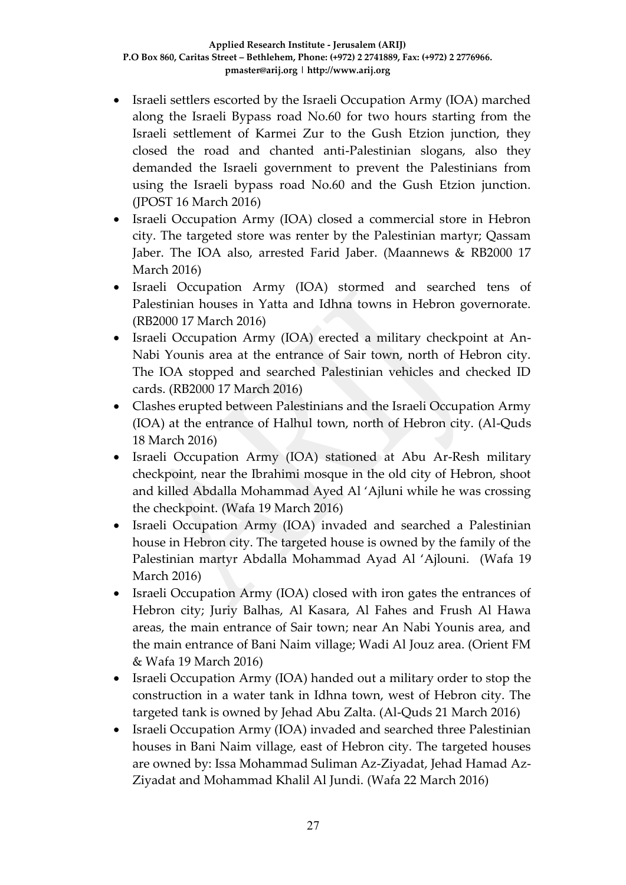- Israeli settlers escorted by the Israeli Occupation Army (IOA) marched along the Israeli Bypass road No.60 for two hours starting from the Israeli settlement of Karmei Zur to the Gush Etzion junction, they closed the road and chanted anti-Palestinian slogans, also they demanded the Israeli government to prevent the Palestinians from using the Israeli bypass road No.60 and the Gush Etzion junction. (JPOST 16 March 2016)
- Israeli Occupation Army (IOA) closed a commercial store in Hebron city. The targeted store was renter by the Palestinian martyr; Qassam Jaber. The IOA also, arrested Farid Jaber. (Maannews & RB2000 17 March 2016)
- Israeli Occupation Army (IOA) stormed and searched tens of Palestinian houses in Yatta and Idhna towns in Hebron governorate. (RB2000 17 March 2016)
- Israeli Occupation Army (IOA) erected a military checkpoint at An-Nabi Younis area at the entrance of Sair town, north of Hebron city. The IOA stopped and searched Palestinian vehicles and checked ID cards. (RB2000 17 March 2016)
- Clashes erupted between Palestinians and the Israeli Occupation Army (IOA) at the entrance of Halhul town, north of Hebron city. (Al-Quds 18 March 2016)
- Israeli Occupation Army (IOA) stationed at Abu Ar-Resh military checkpoint, near the Ibrahimi mosque in the old city of Hebron, shoot and killed Abdalla Mohammad Ayed Al 'Ajluni while he was crossing the checkpoint. (Wafa 19 March 2016)
- Israeli Occupation Army (IOA) invaded and searched a Palestinian house in Hebron city. The targeted house is owned by the family of the Palestinian martyr Abdalla Mohammad Ayad Al 'Ajlouni. (Wafa 19 March 2016)
- Israeli Occupation Army (IOA) closed with iron gates the entrances of Hebron city; Juriy Balhas, Al Kasara, Al Fahes and Frush Al Hawa areas, the main entrance of Sair town; near An Nabi Younis area, and the main entrance of Bani Naim village; Wadi Al Jouz area. (Orient FM & Wafa 19 March 2016)
- Israeli Occupation Army (IOA) handed out a military order to stop the construction in a water tank in Idhna town, west of Hebron city. The targeted tank is owned by Jehad Abu Zalta. (Al-Quds 21 March 2016)
- Israeli Occupation Army (IOA) invaded and searched three Palestinian houses in Bani Naim village, east of Hebron city. The targeted houses are owned by: Issa Mohammad Suliman Az-Ziyadat, Jehad Hamad Az-Ziyadat and Mohammad Khalil Al Jundi. (Wafa 22 March 2016)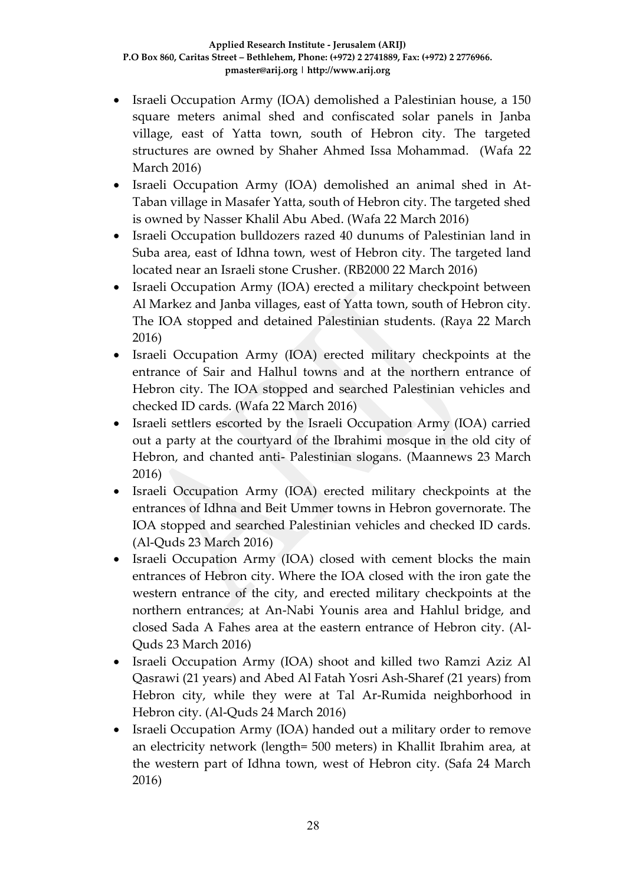- Israeli Occupation Army (IOA) demolished a Palestinian house, a 150 square meters animal shed and confiscated solar panels in Janba village, east of Yatta town, south of Hebron city. The targeted structures are owned by Shaher Ahmed Issa Mohammad. (Wafa 22 March 2016)
- Israeli Occupation Army (IOA) demolished an animal shed in At-Taban village in Masafer Yatta, south of Hebron city. The targeted shed is owned by Nasser Khalil Abu Abed. (Wafa 22 March 2016)
- Israeli Occupation bulldozers razed 40 dunums of Palestinian land in Suba area, east of Idhna town, west of Hebron city. The targeted land located near an Israeli stone Crusher. (RB2000 22 March 2016)
- Israeli Occupation Army (IOA) erected a military checkpoint between Al Markez and Janba villages, east of Yatta town, south of Hebron city. The IOA stopped and detained Palestinian students. (Raya 22 March 2016)
- Israeli Occupation Army (IOA) erected military checkpoints at the entrance of Sair and Halhul towns and at the northern entrance of Hebron city. The IOA stopped and searched Palestinian vehicles and checked ID cards. (Wafa 22 March 2016)
- Israeli settlers escorted by the Israeli Occupation Army (IOA) carried out a party at the courtyard of the Ibrahimi mosque in the old city of Hebron, and chanted anti- Palestinian slogans. (Maannews 23 March 2016)
- Israeli Occupation Army (IOA) erected military checkpoints at the entrances of Idhna and Beit Ummer towns in Hebron governorate. The IOA stopped and searched Palestinian vehicles and checked ID cards. (Al-Quds 23 March 2016)
- Israeli Occupation Army (IOA) closed with cement blocks the main entrances of Hebron city. Where the IOA closed with the iron gate the western entrance of the city, and erected military checkpoints at the northern entrances; at An-Nabi Younis area and Hahlul bridge, and closed Sada A Fahes area at the eastern entrance of Hebron city. (Al-Quds 23 March 2016)
- Israeli Occupation Army (IOA) shoot and killed two Ramzi Aziz Al Qasrawi (21 years) and Abed Al Fatah Yosri Ash-Sharef (21 years) from Hebron city, while they were at Tal Ar-Rumida neighborhood in Hebron city. (Al-Quds 24 March 2016)
- Israeli Occupation Army (IOA) handed out a military order to remove an electricity network (length= 500 meters) in Khallit Ibrahim area, at the western part of Idhna town, west of Hebron city. (Safa 24 March 2016)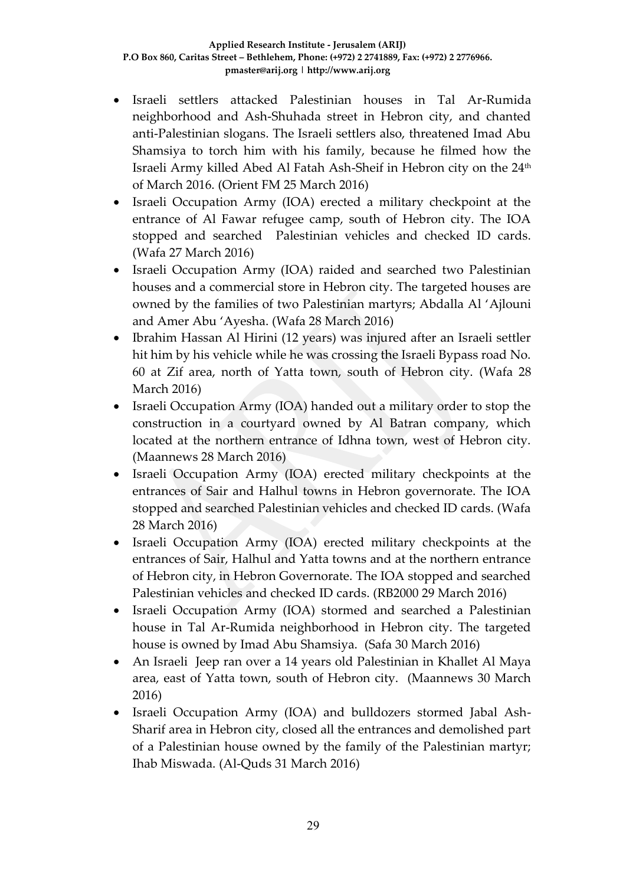- Israeli settlers attacked Palestinian houses in Tal Ar-Rumida neighborhood and Ash-Shuhada street in Hebron city, and chanted anti-Palestinian slogans. The Israeli settlers also, threatened Imad Abu Shamsiya to torch him with his family, because he filmed how the Israeli Army killed Abed Al Fatah Ash-Sheif in Hebron city on the 24<sup>th</sup> of March 2016. (Orient FM 25 March 2016)
- Israeli Occupation Army (IOA) erected a military checkpoint at the entrance of Al Fawar refugee camp, south of Hebron city. The IOA stopped and searched Palestinian vehicles and checked ID cards. (Wafa 27 March 2016)
- Israeli Occupation Army (IOA) raided and searched two Palestinian houses and a commercial store in Hebron city. The targeted houses are owned by the families of two Palestinian martyrs; Abdalla Al 'Ajlouni and Amer Abu 'Ayesha. (Wafa 28 March 2016)
- Ibrahim Hassan Al Hirini (12 years) was injured after an Israeli settler hit him by his vehicle while he was crossing the Israeli Bypass road No. 60 at Zif area, north of Yatta town, south of Hebron city. (Wafa 28 March 2016)
- Israeli Occupation Army (IOA) handed out a military order to stop the construction in a courtyard owned by Al Batran company, which located at the northern entrance of Idhna town, west of Hebron city. (Maannews 28 March 2016)
- Israeli Occupation Army (IOA) erected military checkpoints at the entrances of Sair and Halhul towns in Hebron governorate. The IOA stopped and searched Palestinian vehicles and checked ID cards. (Wafa 28 March 2016)
- Israeli Occupation Army (IOA) erected military checkpoints at the entrances of Sair, Halhul and Yatta towns and at the northern entrance of Hebron city, in Hebron Governorate. The IOA stopped and searched Palestinian vehicles and checked ID cards. (RB2000 29 March 2016)
- Israeli Occupation Army (IOA) stormed and searched a Palestinian house in Tal Ar-Rumida neighborhood in Hebron city. The targeted house is owned by Imad Abu Shamsiya. (Safa 30 March 2016)
- An Israeli Jeep ran over a 14 years old Palestinian in Khallet Al Maya area, east of Yatta town, south of Hebron city. (Maannews 30 March 2016)
- Israeli Occupation Army (IOA) and bulldozers stormed Jabal Ash-Sharif area in Hebron city, closed all the entrances and demolished part of a Palestinian house owned by the family of the Palestinian martyr; Ihab Miswada. (Al-Quds 31 March 2016)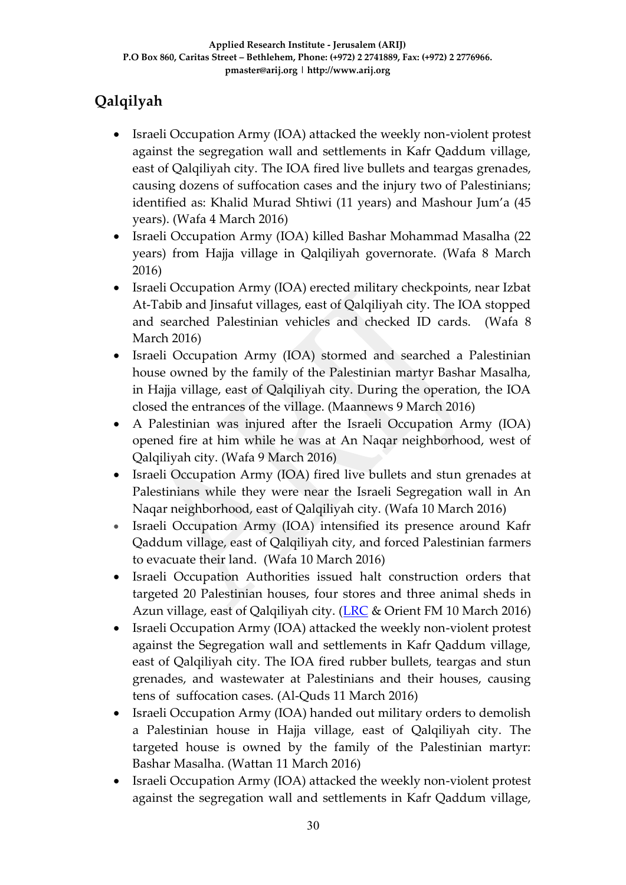# **Qalqilyah**

- Israeli Occupation Army (IOA) attacked the weekly non-violent protest against the segregation wall and settlements in Kafr Qaddum village, east of Qalqiliyah city. The IOA fired live bullets and teargas grenades, causing dozens of suffocation cases and the injury two of Palestinians; identified as: Khalid Murad Shtiwi (11 years) and Mashour Jum'a (45 years). (Wafa 4 March 2016)
- Israeli Occupation Army (IOA) killed Bashar Mohammad Masalha (22 years) from Hajja village in Qalqiliyah governorate. (Wafa 8 March 2016)
- Israeli Occupation Army (IOA) erected military checkpoints, near Izbat At-Tabib and Jinsafut villages, east of Qalqiliyah city. The IOA stopped and searched Palestinian vehicles and checked ID cards. (Wafa 8 March 2016)
- Israeli Occupation Army (IOA) stormed and searched a Palestinian house owned by the family of the Palestinian martyr Bashar Masalha, in Hajja village, east of Qalqiliyah city. During the operation, the IOA closed the entrances of the village. (Maannews 9 March 2016)
- A Palestinian was injured after the Israeli Occupation Army (IOA) opened fire at him while he was at An Naqar neighborhood, west of Qalqiliyah city. (Wafa 9 March 2016)
- Israeli Occupation Army (IOA) fired live bullets and stun grenades at Palestinians while they were near the Israeli Segregation wall in An Naqar neighborhood, east of Qalqiliyah city. (Wafa 10 March 2016)
- Israeli Occupation Army (IOA) intensified its presence around Kafr Qaddum village, east of Qalqiliyah city, and forced Palestinian farmers to evacuate their land. (Wafa 10 March 2016)
- Israeli Occupation Authorities issued halt construction orders that targeted 20 Palestinian houses, four stores and three animal sheds in Azun village, east of Qalqiliyah city. ( $LRC \&$  Orient FM 10 March 2016)
- Israeli Occupation Army (IOA) attacked the weekly non-violent protest against the Segregation wall and settlements in Kafr Qaddum village, east of Qalqiliyah city. The IOA fired rubber bullets, teargas and stun grenades, and wastewater at Palestinians and their houses, causing tens of suffocation cases. (Al-Quds 11 March 2016)
- Israeli Occupation Army (IOA) handed out military orders to demolish a Palestinian house in Hajja village, east of Qalqiliyah city. The targeted house is owned by the family of the Palestinian martyr: Bashar Masalha. (Wattan 11 March 2016)
- Israeli Occupation Army (IOA) attacked the weekly non-violent protest against the segregation wall and settlements in Kafr Qaddum village,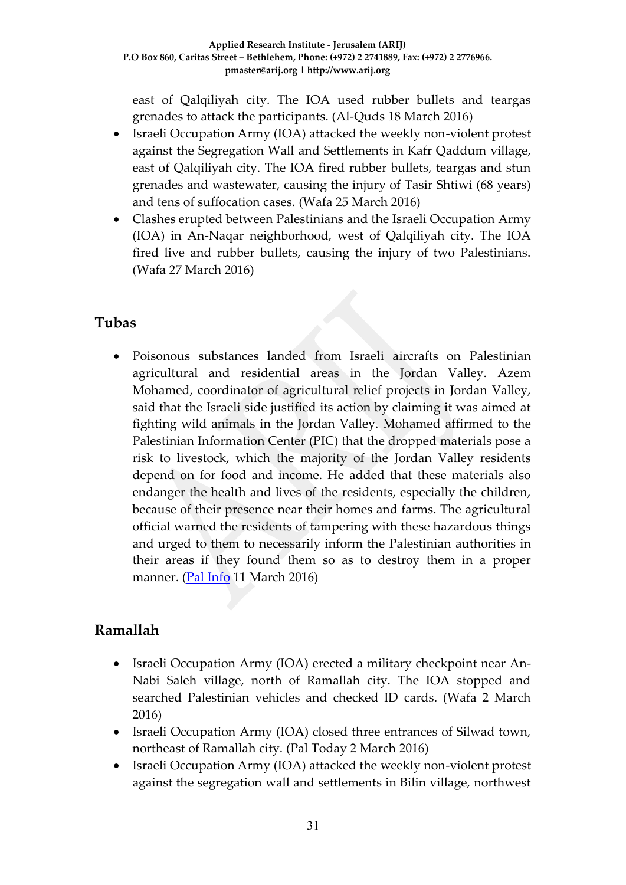east of Qalqiliyah city. The IOA used rubber bullets and teargas grenades to attack the participants. (Al-Quds 18 March 2016)

- Israeli Occupation Army (IOA) attacked the weekly non-violent protest against the Segregation Wall and Settlements in Kafr Qaddum village, east of Qalqiliyah city. The IOA fired rubber bullets, teargas and stun grenades and wastewater, causing the injury of Tasir Shtiwi (68 years) and tens of suffocation cases. (Wafa 25 March 2016)
- Clashes erupted between Palestinians and the Israeli Occupation Army (IOA) in An-Naqar neighborhood, west of Qalqiliyah city. The IOA fired live and rubber bullets, causing the injury of two Palestinians. (Wafa 27 March 2016)

### **Tubas**

 Poisonous substances landed from Israeli aircrafts on Palestinian agricultural and residential areas in the Jordan Valley. Azem Mohamed, coordinator of agricultural relief projects in Jordan Valley, said that the Israeli side justified its action by claiming it was aimed at fighting wild animals in the Jordan Valley. Mohamed affirmed to the Palestinian Information Center (PIC) that the dropped materials pose a risk to livestock, which the majority of the Jordan Valley residents depend on for food and income. He added that these materials also endanger the health and lives of the residents, especially the children, because of their presence near their homes and farms. The agricultural official warned the residents of tampering with these hazardous things and urged to them to necessarily inform the Palestinian authorities in their areas if they found them so as to destroy them in a proper manner. [\(Pal Info](https://www.palinfo.com/news/2016/3/11/%D8%B7%D8%A7%D8%A6%D8%B1%D8%A7%D8%AA-%D8%A7%D9%84%D8%A7%D8%AD%D8%AA%D9%84%D8%A7%D9%84-%D8%AA%D9%84%D9%82%D9%8A-%D9%85%D9%88%D8%A7%D8%AF-%D8%B3%D8%A7%D9%85%D8%A9-%D9%81%D9%8A-%D8%A7%D9%84%D8%A7%D8%BA%D9%88%D8%A7%D8%B1-%D8%A7%D9%84%D9%81%D9%84%D8%B3%D8%B7%D9%8A%D9%86%D9%8A%D8%A9) 11 March 2016)

# **Ramallah**

- Israeli Occupation Army (IOA) erected a military checkpoint near An-Nabi Saleh village, north of Ramallah city. The IOA stopped and searched Palestinian vehicles and checked ID cards. (Wafa 2 March 2016)
- Israeli Occupation Army (IOA) closed three entrances of Silwad town, northeast of Ramallah city. (Pal Today 2 March 2016)
- Israeli Occupation Army (IOA) attacked the weekly non-violent protest against the segregation wall and settlements in Bilin village, northwest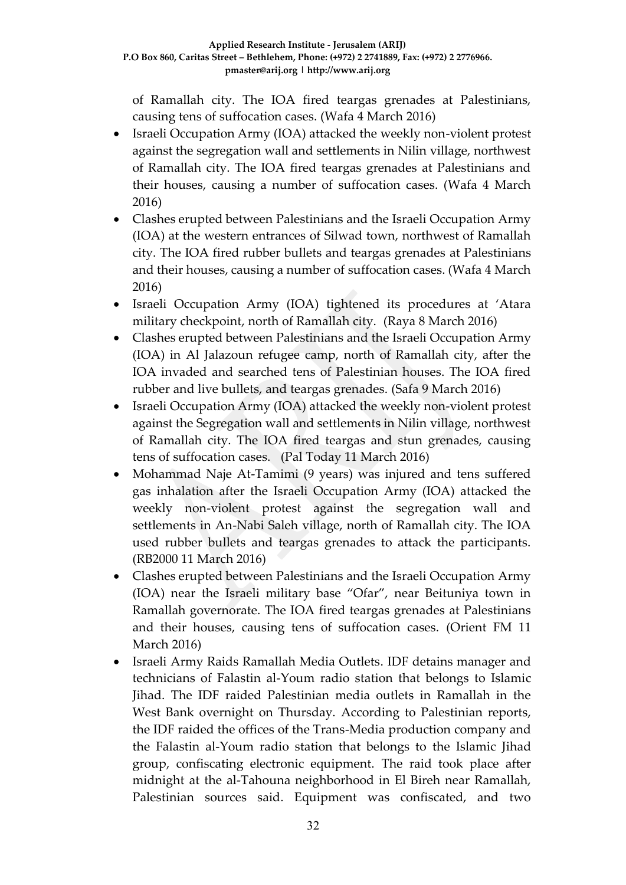of Ramallah city. The IOA fired teargas grenades at Palestinians, causing tens of suffocation cases. (Wafa 4 March 2016)

- Israeli Occupation Army (IOA) attacked the weekly non-violent protest against the segregation wall and settlements in Nilin village, northwest of Ramallah city. The IOA fired teargas grenades at Palestinians and their houses, causing a number of suffocation cases. (Wafa 4 March 2016)
- Clashes erupted between Palestinians and the Israeli Occupation Army (IOA) at the western entrances of Silwad town, northwest of Ramallah city. The IOA fired rubber bullets and teargas grenades at Palestinians and their houses, causing a number of suffocation cases. (Wafa 4 March 2016)
- Israeli Occupation Army (IOA) tightened its procedures at 'Atara military checkpoint, north of Ramallah city. (Raya 8 March 2016)
- Clashes erupted between Palestinians and the Israeli Occupation Army (IOA) in Al Jalazoun refugee camp, north of Ramallah city, after the IOA invaded and searched tens of Palestinian houses. The IOA fired rubber and live bullets, and teargas grenades. (Safa 9 March 2016)
- Israeli Occupation Army (IOA) attacked the weekly non-violent protest against the Segregation wall and settlements in Nilin village, northwest of Ramallah city. The IOA fired teargas and stun grenades, causing tens of suffocation cases. (Pal Today 11 March 2016)
- Mohammad Naje At-Tamimi (9 years) was injured and tens suffered gas inhalation after the Israeli Occupation Army (IOA) attacked the weekly non-violent protest against the segregation wall and settlements in An-Nabi Saleh village, north of Ramallah city. The IOA used rubber bullets and teargas grenades to attack the participants. (RB2000 11 March 2016)
- Clashes erupted between Palestinians and the Israeli Occupation Army (IOA) near the Israeli military base "Ofar", near Beituniya town in Ramallah governorate. The IOA fired teargas grenades at Palestinians and their houses, causing tens of suffocation cases. (Orient FM 11 March 2016)
- Israeli Army Raids Ramallah Media Outlets. IDF detains manager and technicians of Falastin al-Youm radio station that belongs to Islamic Jihad. The IDF raided Palestinian media outlets in Ramallah in the West Bank overnight on Thursday. According to Palestinian reports, the IDF raided the offices of the Trans-Media production company and the Falastin al-Youm radio station that belongs to the Islamic Jihad group, confiscating electronic equipment. The raid took place after midnight at the al-Tahouna neighborhood in El Bireh near Ramallah, Palestinian sources said. Equipment was confiscated, and two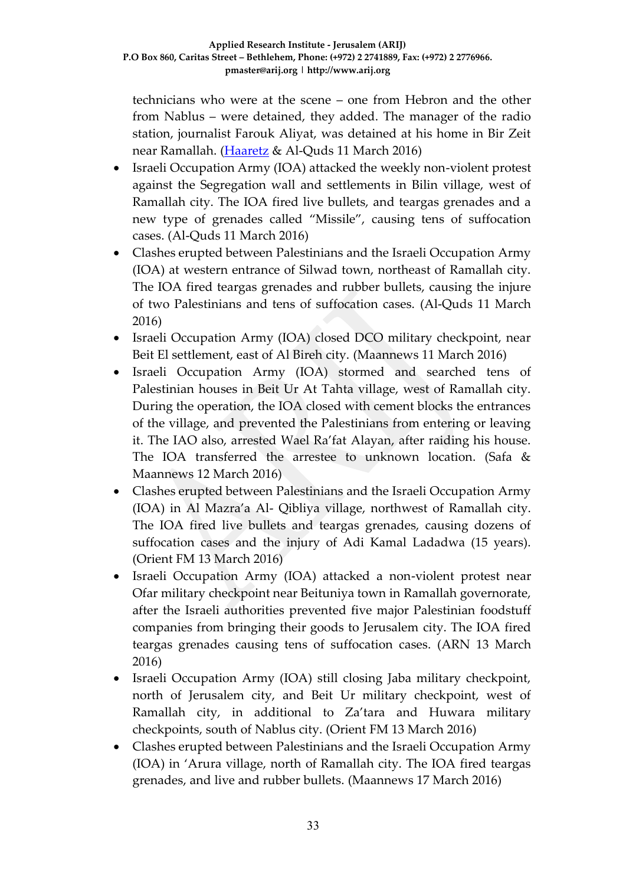technicians who were at the scene – one from Hebron and the other from Nablus – were detained, they added. The manager of the radio station, journalist Farouk Aliyat, was detained at his home in Bir Zeit near Ramallah. [\(Haaretz](http://www.haaretz.com/israel-news/.premium-1.708261) & Al-Quds 11 March 2016)

- Israeli Occupation Army (IOA) attacked the weekly non-violent protest against the Segregation wall and settlements in Bilin village, west of Ramallah city. The IOA fired live bullets, and teargas grenades and a new type of grenades called "Missile", causing tens of suffocation cases. (Al-Quds 11 March 2016)
- Clashes erupted between Palestinians and the Israeli Occupation Army (IOA) at western entrance of Silwad town, northeast of Ramallah city. The IOA fired teargas grenades and rubber bullets, causing the injure of two Palestinians and tens of suffocation cases. (Al-Quds 11 March 2016)
- Israeli Occupation Army (IOA) closed DCO military checkpoint, near Beit El settlement, east of Al Bireh city. (Maannews 11 March 2016)
- Israeli Occupation Army (IOA) stormed and searched tens of Palestinian houses in Beit Ur At Tahta village, west of Ramallah city. During the operation, the IOA closed with cement blocks the entrances of the village, and prevented the Palestinians from entering or leaving it. The IAO also, arrested Wael Ra'fat Alayan, after raiding his house. The IOA transferred the arrestee to unknown location. (Safa & Maannews 12 March 2016)
- Clashes erupted between Palestinians and the Israeli Occupation Army (IOA) in Al Mazra'a Al- Qibliya village, northwest of Ramallah city. The IOA fired live bullets and teargas grenades, causing dozens of suffocation cases and the injury of Adi Kamal Ladadwa (15 years). (Orient FM 13 March 2016)
- Israeli Occupation Army (IOA) attacked a non-violent protest near Ofar military checkpoint near Beituniya town in Ramallah governorate, after the Israeli authorities prevented five major Palestinian foodstuff companies from bringing their goods to Jerusalem city. The IOA fired teargas grenades causing tens of suffocation cases. (ARN 13 March 2016)
- Israeli Occupation Army (IOA) still closing Jaba military checkpoint, north of Jerusalem city, and Beit Ur military checkpoint, west of Ramallah city, in additional to Za'tara and Huwara military checkpoints, south of Nablus city. (Orient FM 13 March 2016)
- Clashes erupted between Palestinians and the Israeli Occupation Army (IOA) in 'Arura village, north of Ramallah city. The IOA fired teargas grenades, and live and rubber bullets. (Maannews 17 March 2016)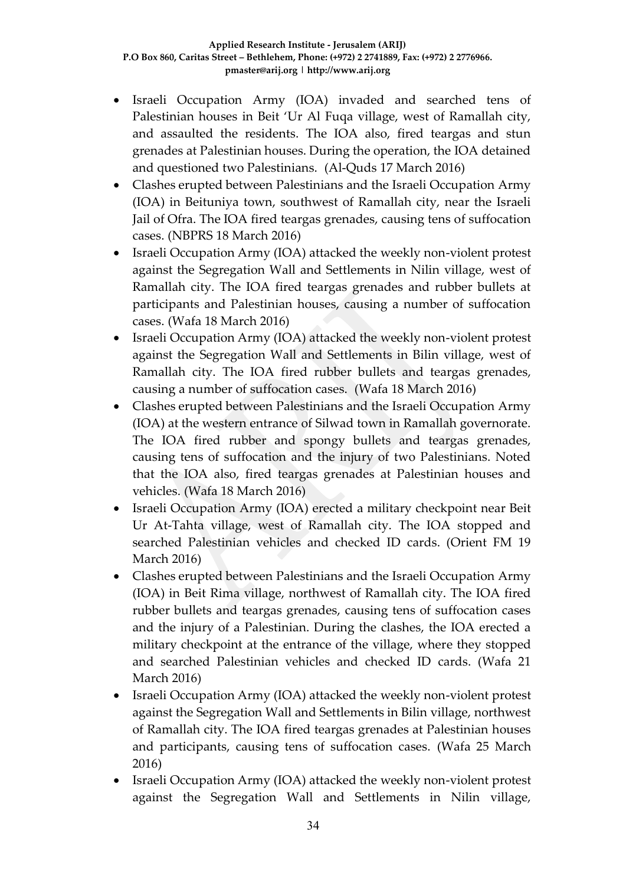- Israeli Occupation Army (IOA) invaded and searched tens of Palestinian houses in Beit 'Ur Al Fuqa village, west of Ramallah city, and assaulted the residents. The IOA also, fired teargas and stun grenades at Palestinian houses. During the operation, the IOA detained and questioned two Palestinians. (Al-Quds 17 March 2016)
- Clashes erupted between Palestinians and the Israeli Occupation Army (IOA) in Beituniya town, southwest of Ramallah city, near the Israeli Jail of Ofra. The IOA fired teargas grenades, causing tens of suffocation cases. (NBPRS 18 March 2016)
- Israeli Occupation Army (IOA) attacked the weekly non-violent protest against the Segregation Wall and Settlements in Nilin village, west of Ramallah city. The IOA fired teargas grenades and rubber bullets at participants and Palestinian houses, causing a number of suffocation cases. (Wafa 18 March 2016)
- Israeli Occupation Army (IOA) attacked the weekly non-violent protest against the Segregation Wall and Settlements in Bilin village, west of Ramallah city. The IOA fired rubber bullets and teargas grenades, causing a number of suffocation cases. (Wafa 18 March 2016)
- Clashes erupted between Palestinians and the Israeli Occupation Army (IOA) at the western entrance of Silwad town in Ramallah governorate. The IOA fired rubber and spongy bullets and teargas grenades, causing tens of suffocation and the injury of two Palestinians. Noted that the IOA also, fired teargas grenades at Palestinian houses and vehicles. (Wafa 18 March 2016)
- Israeli Occupation Army (IOA) erected a military checkpoint near Beit Ur At-Tahta village, west of Ramallah city. The IOA stopped and searched Palestinian vehicles and checked ID cards. (Orient FM 19 March 2016)
- Clashes erupted between Palestinians and the Israeli Occupation Army (IOA) in Beit Rima village, northwest of Ramallah city. The IOA fired rubber bullets and teargas grenades, causing tens of suffocation cases and the injury of a Palestinian. During the clashes, the IOA erected a military checkpoint at the entrance of the village, where they stopped and searched Palestinian vehicles and checked ID cards. (Wafa 21 March 2016)
- Israeli Occupation Army (IOA) attacked the weekly non-violent protest against the Segregation Wall and Settlements in Bilin village, northwest of Ramallah city. The IOA fired teargas grenades at Palestinian houses and participants, causing tens of suffocation cases. (Wafa 25 March 2016)
- Israeli Occupation Army (IOA) attacked the weekly non-violent protest against the Segregation Wall and Settlements in Nilin village,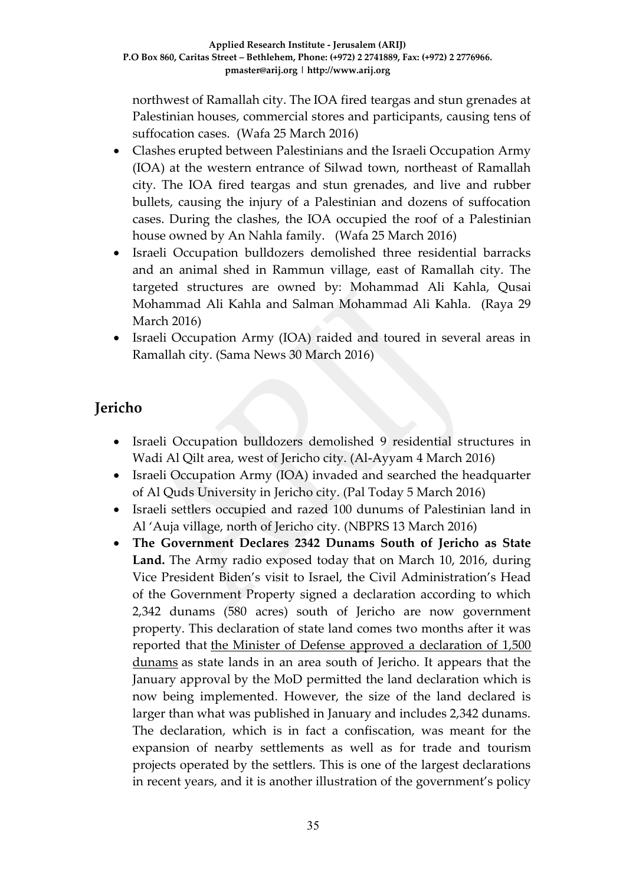northwest of Ramallah city. The IOA fired teargas and stun grenades at Palestinian houses, commercial stores and participants, causing tens of suffocation cases. (Wafa 25 March 2016)

- Clashes erupted between Palestinians and the Israeli Occupation Army (IOA) at the western entrance of Silwad town, northeast of Ramallah city. The IOA fired teargas and stun grenades, and live and rubber bullets, causing the injury of a Palestinian and dozens of suffocation cases. During the clashes, the IOA occupied the roof of a Palestinian house owned by An Nahla family. (Wafa 25 March 2016)
- Israeli Occupation bulldozers demolished three residential barracks and an animal shed in Rammun village, east of Ramallah city. The targeted structures are owned by: Mohammad Ali Kahla, Qusai Mohammad Ali Kahla and Salman Mohammad Ali Kahla. (Raya 29 March 2016)
- Israeli Occupation Army (IOA) raided and toured in several areas in Ramallah city. (Sama News 30 March 2016)

# **Jericho**

- Israeli Occupation bulldozers demolished 9 residential structures in Wadi Al Qilt area, west of Jericho city. (Al-Ayyam 4 March 2016)
- Israeli Occupation Army (IOA) invaded and searched the headquarter of Al Quds University in Jericho city. (Pal Today 5 March 2016)
- Israeli settlers occupied and razed 100 dunums of Palestinian land in Al 'Auja village, north of Jericho city. (NBPRS 13 March 2016)
- **The Government Declares 2342 Dunams South of Jericho as State Land.** The Army radio exposed today that on March 10, 2016, during Vice President Biden's visit to Israel, the Civil Administration's Head of the Government Property signed a declaration according to which 2,342 dunams (580 acres) south of Jericho are now government property. This declaration of state land comes two months after it was reported that [the Minister of Defense approved a declaration of 1,500](http://peacenow.org.il/eng/JerichoDeclaration)  [dunams](http://peacenow.org.il/eng/JerichoDeclaration) as state lands in an area south of Jericho. It appears that the January approval by the MoD permitted the land declaration which is now being implemented. However, the size of the land declared is larger than what was published in January and includes 2,342 dunams. The declaration, which is in fact a confiscation, was meant for the expansion of nearby settlements as well as for trade and tourism projects operated by the settlers. This is one of the largest declarations in recent years, and it is another illustration of the government's policy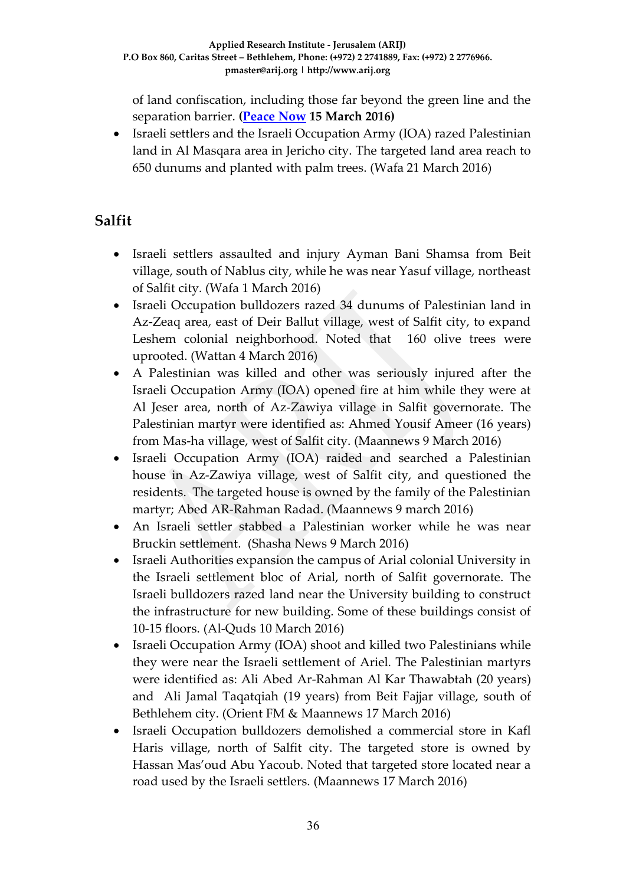of land confiscation, including those far beyond the green line and the separation barrier. **[\(Peace Now](http://peacenow.org.il/eng/JerichoDeclaration100316) 15 March 2016)**

 Israeli settlers and the Israeli Occupation Army (IOA) razed Palestinian land in Al Masqara area in Jericho city. The targeted land area reach to 650 dunums and planted with palm trees. (Wafa 21 March 2016)

# **Salfit**

- Israeli settlers assaulted and injury Ayman Bani Shamsa from Beit village, south of Nablus city, while he was near Yasuf village, northeast of Salfit city. (Wafa 1 March 2016)
- Israeli Occupation bulldozers razed 34 dunums of Palestinian land in Az-Zeaq area, east of Deir Ballut village, west of Salfit city, to expand Leshem colonial neighborhood. Noted that 160 olive trees were uprooted. (Wattan 4 March 2016)
- A Palestinian was killed and other was seriously injured after the Israeli Occupation Army (IOA) opened fire at him while they were at Al Jeser area, north of Az-Zawiya village in Salfit governorate. The Palestinian martyr were identified as: Ahmed Yousif Ameer (16 years) from Mas-ha village, west of Salfit city. (Maannews 9 March 2016)
- Israeli Occupation Army (IOA) raided and searched a Palestinian house in Az-Zawiya village, west of Salfit city, and questioned the residents. The targeted house is owned by the family of the Palestinian martyr; Abed AR-Rahman Radad. (Maannews 9 march 2016)
- An Israeli settler stabbed a Palestinian worker while he was near Bruckin settlement. (Shasha News 9 March 2016)
- Israeli Authorities expansion the campus of Arial colonial University in the Israeli settlement bloc of Arial, north of Salfit governorate. The Israeli bulldozers razed land near the University building to construct the infrastructure for new building. Some of these buildings consist of 10-15 floors. (Al-Quds 10 March 2016)
- Israeli Occupation Army (IOA) shoot and killed two Palestinians while they were near the Israeli settlement of Ariel. The Palestinian martyrs were identified as: Ali Abed Ar-Rahman Al Kar Thawabtah (20 years) and Ali Jamal Taqatqiah (19 years) from Beit Fajjar village, south of Bethlehem city. (Orient FM & Maannews 17 March 2016)
- Israeli Occupation bulldozers demolished a commercial store in Kafl Haris village, north of Salfit city. The targeted store is owned by Hassan Mas'oud Abu Yacoub. Noted that targeted store located near a road used by the Israeli settlers. (Maannews 17 March 2016)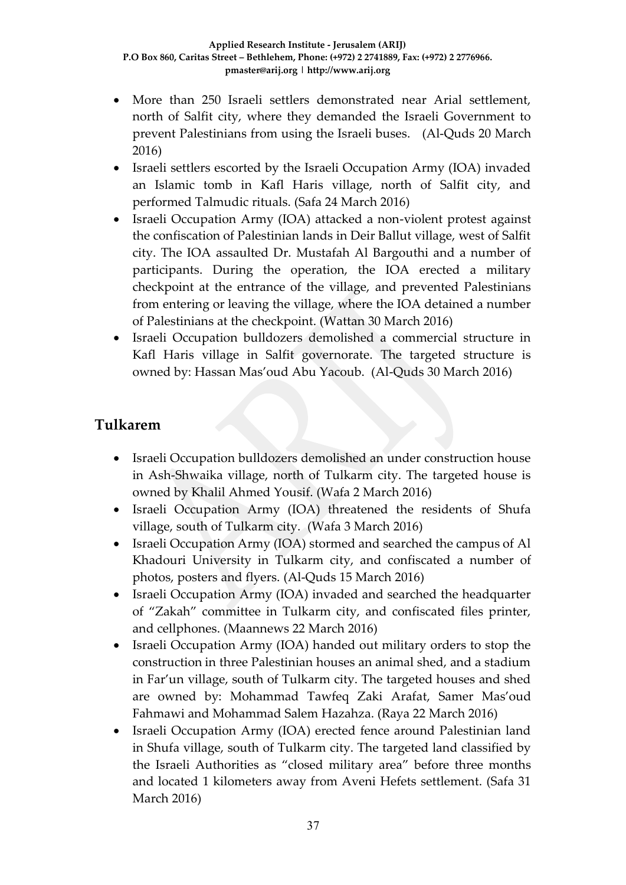- More than 250 Israeli settlers demonstrated near Arial settlement, north of Salfit city, where they demanded the Israeli Government to prevent Palestinians from using the Israeli buses. (Al-Quds 20 March 2016)
- Israeli settlers escorted by the Israeli Occupation Army (IOA) invaded an Islamic tomb in Kafl Haris village, north of Salfit city, and performed Talmudic rituals. (Safa 24 March 2016)
- Israeli Occupation Army (IOA) attacked a non-violent protest against the confiscation of Palestinian lands in Deir Ballut village, west of Salfit city. The IOA assaulted Dr. Mustafah Al Bargouthi and a number of participants. During the operation, the IOA erected a military checkpoint at the entrance of the village, and prevented Palestinians from entering or leaving the village, where the IOA detained a number of Palestinians at the checkpoint. (Wattan 30 March 2016)
- Israeli Occupation bulldozers demolished a commercial structure in Kafl Haris village in Salfit governorate. The targeted structure is owned by: Hassan Mas'oud Abu Yacoub. (Al-Quds 30 March 2016)

### **Tulkarem**

- Israeli Occupation bulldozers demolished an under construction house in Ash-Shwaika village, north of Tulkarm city. The targeted house is owned by Khalil Ahmed Yousif. (Wafa 2 March 2016)
- Israeli Occupation Army (IOA) threatened the residents of Shufa village, south of Tulkarm city. (Wafa 3 March 2016)
- Israeli Occupation Army (IOA) stormed and searched the campus of Al Khadouri University in Tulkarm city, and confiscated a number of photos, posters and flyers. (Al-Quds 15 March 2016)
- Israeli Occupation Army (IOA) invaded and searched the headquarter of "Zakah" committee in Tulkarm city, and confiscated files printer, and cellphones. (Maannews 22 March 2016)
- Israeli Occupation Army (IOA) handed out military orders to stop the construction in three Palestinian houses an animal shed, and a stadium in Far'un village, south of Tulkarm city. The targeted houses and shed are owned by: Mohammad Tawfeq Zaki Arafat, Samer Mas'oud Fahmawi and Mohammad Salem Hazahza. (Raya 22 March 2016)
- Israeli Occupation Army (IOA) erected fence around Palestinian land in Shufa village, south of Tulkarm city. The targeted land classified by the Israeli Authorities as "closed military area" before three months and located 1 kilometers away from Aveni Hefets settlement. (Safa 31 March 2016)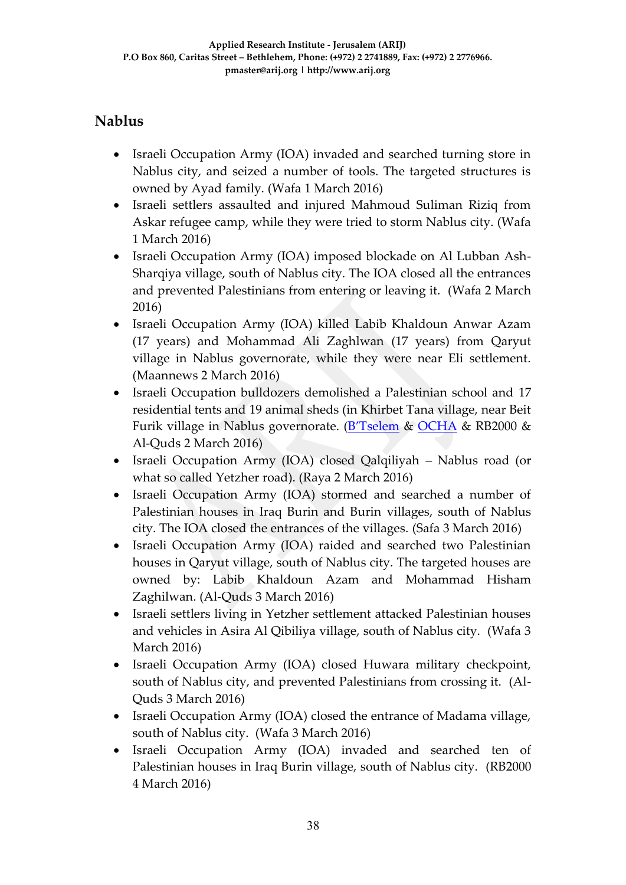# **Nablus**

- Israeli Occupation Army (IOA) invaded and searched turning store in Nablus city, and seized a number of tools. The targeted structures is owned by Ayad family. (Wafa 1 March 2016)
- Israeli settlers assaulted and injured Mahmoud Suliman Riziq from Askar refugee camp, while they were tried to storm Nablus city. (Wafa 1 March 2016)
- Israeli Occupation Army (IOA) imposed blockade on Al Lubban Ash-Sharqiya village, south of Nablus city. The IOA closed all the entrances and prevented Palestinians from entering or leaving it. (Wafa 2 March 2016)
- Israeli Occupation Army (IOA) killed Labib Khaldoun Anwar Azam (17 years) and Mohammad Ali Zaghlwan (17 years) from Qaryut village in Nablus governorate, while they were near Eli settlement. (Maannews 2 March 2016)
- Israeli Occupation bulldozers demolished a Palestinian school and 17 residential tents and 19 animal sheds (in Khirbet Tana village, near Beit Furik village in Nablus governorate. ([B'Tselem](http://www.btselem.org/planning_and_building/20160208_demolitions_in_jordan_valley) & [OCHA](http://us5.campaign-archive1.com/?u=5a6b19e1cb44562e4e7a92167&id=2d4bec8307&e=9f0c8b3eb2) & RB2000 & Al-Quds 2 March 2016)
- Israeli Occupation Army (IOA) closed Qalqiliyah Nablus road (or what so called Yetzher road). (Raya 2 March 2016)
- Israeli Occupation Army (IOA) stormed and searched a number of Palestinian houses in Iraq Burin and Burin villages, south of Nablus city. The IOA closed the entrances of the villages. (Safa 3 March 2016)
- Israeli Occupation Army (IOA) raided and searched two Palestinian houses in Qaryut village, south of Nablus city. The targeted houses are owned by: Labib Khaldoun Azam and Mohammad Hisham Zaghilwan. (Al-Quds 3 March 2016)
- Israeli settlers living in Yetzher settlement attacked Palestinian houses and vehicles in Asira Al Qibiliya village, south of Nablus city. (Wafa 3 March 2016)
- Israeli Occupation Army (IOA) closed Huwara military checkpoint, south of Nablus city, and prevented Palestinians from crossing it. (Al-Quds 3 March 2016)
- Israeli Occupation Army (IOA) closed the entrance of Madama village, south of Nablus city. (Wafa 3 March 2016)
- Israeli Occupation Army (IOA) invaded and searched ten of Palestinian houses in Iraq Burin village, south of Nablus city. (RB2000 4 March 2016)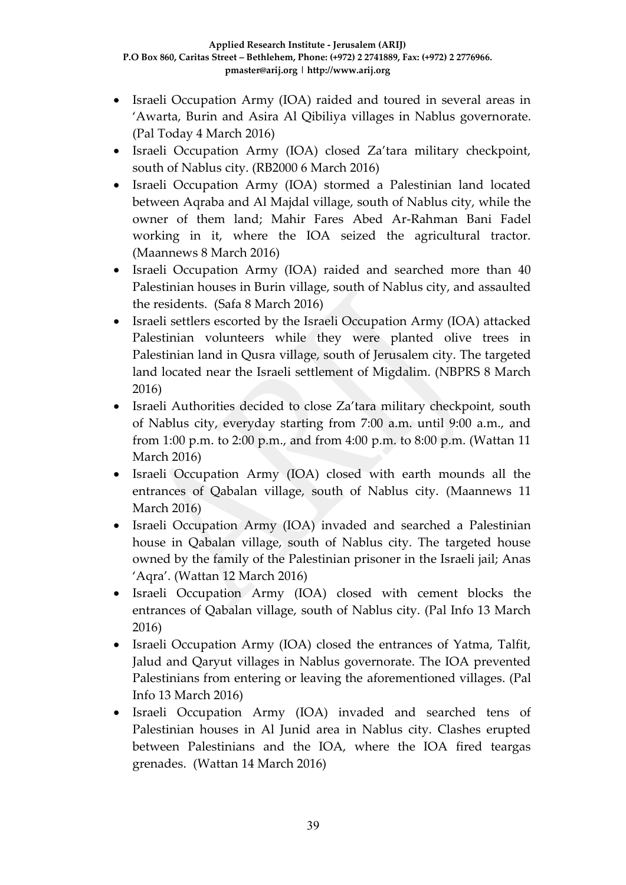- Israeli Occupation Army (IOA) raided and toured in several areas in 'Awarta, Burin and Asira Al Qibiliya villages in Nablus governorate. (Pal Today 4 March 2016)
- Israeli Occupation Army (IOA) closed Za'tara military checkpoint, south of Nablus city. (RB2000 6 March 2016)
- Israeli Occupation Army (IOA) stormed a Palestinian land located between Aqraba and Al Majdal village, south of Nablus city, while the owner of them land; Mahir Fares Abed Ar-Rahman Bani Fadel working in it, where the IOA seized the agricultural tractor. (Maannews 8 March 2016)
- Israeli Occupation Army (IOA) raided and searched more than 40 Palestinian houses in Burin village, south of Nablus city, and assaulted the residents. (Safa 8 March 2016)
- Israeli settlers escorted by the Israeli Occupation Army (IOA) attacked Palestinian volunteers while they were planted olive trees in Palestinian land in Qusra village, south of Jerusalem city. The targeted land located near the Israeli settlement of Migdalim. (NBPRS 8 March 2016)
- Israeli Authorities decided to close Za'tara military checkpoint, south of Nablus city, everyday starting from 7:00 a.m. until 9:00 a.m., and from 1:00 p.m. to 2:00 p.m., and from 4:00 p.m. to 8:00 p.m. (Wattan 11 March 2016)
- Israeli Occupation Army (IOA) closed with earth mounds all the entrances of Qabalan village, south of Nablus city. (Maannews 11 March 2016)
- Israeli Occupation Army (IOA) invaded and searched a Palestinian house in Qabalan village, south of Nablus city. The targeted house owned by the family of the Palestinian prisoner in the Israeli jail; Anas 'Aqra'. (Wattan 12 March 2016)
- Israeli Occupation Army (IOA) closed with cement blocks the entrances of Qabalan village, south of Nablus city. (Pal Info 13 March 2016)
- Israeli Occupation Army (IOA) closed the entrances of Yatma, Talfit, Jalud and Qaryut villages in Nablus governorate. The IOA prevented Palestinians from entering or leaving the aforementioned villages. (Pal Info 13 March 2016)
- Israeli Occupation Army (IOA) invaded and searched tens of Palestinian houses in Al Junid area in Nablus city. Clashes erupted between Palestinians and the IOA, where the IOA fired teargas grenades. (Wattan 14 March 2016)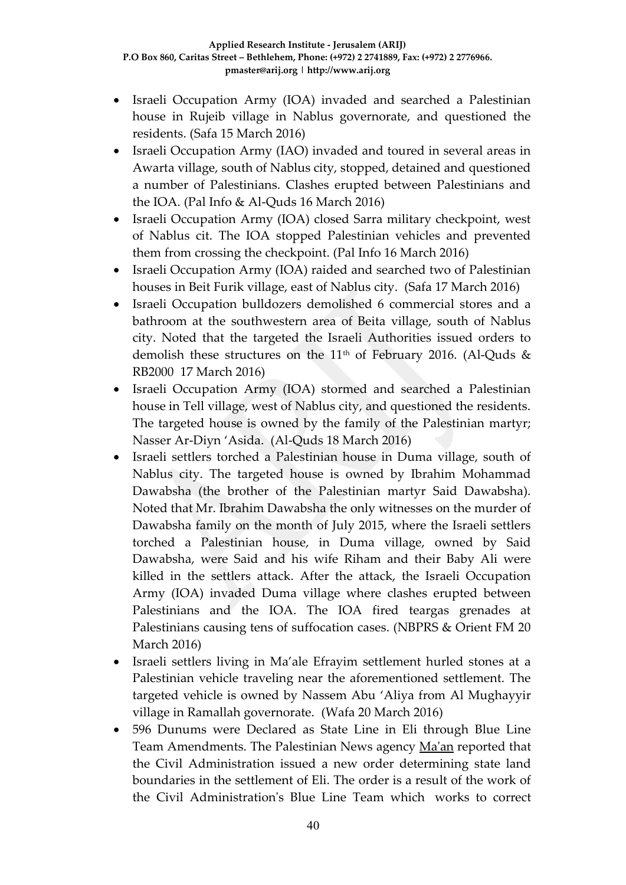- Israeli Occupation Army (IOA) invaded and searched a Palestinian house in Rujeib village in Nablus governorate, and questioned the residents. (Safa 15 March 2016)
- Israeli Occupation Army (IAO) invaded and toured in several areas in Awarta village, south of Nablus city, stopped, detained and questioned a number of Palestinians. Clashes erupted between Palestinians and the IOA. (Pal Info & Al-Quds 16 March 2016)
- Israeli Occupation Army (IOA) closed Sarra military checkpoint, west of Nablus cit. The IOA stopped Palestinian vehicles and prevented them from crossing the checkpoint. (Pal Info 16 March 2016)
- Israeli Occupation Army (IOA) raided and searched two of Palestinian houses in Beit Furik village, east of Nablus city. (Safa 17 March 2016)
- Israeli Occupation bulldozers demolished 6 commercial stores and a bathroom at the southwestern area of Beita village, south of Nablus city. Noted that the targeted the Israeli Authorities issued orders to demolish these structures on the  $11<sup>th</sup>$  of February 2016. (Al-Quds & RB2000 17 March 2016)
- Israeli Occupation Army (IOA) stormed and searched a Palestinian house in Tell village, west of Nablus city, and questioned the residents. The targeted house is owned by the family of the Palestinian martyr; Nasser Ar-Diyn 'Asida. (Al-Quds 18 March 2016)
- Israeli settlers torched a Palestinian house in Duma village, south of Nablus city. The targeted house is owned by Ibrahim Mohammad Dawabsha (the brother of the Palestinian martyr Said Dawabsha). Noted that Mr. Ibrahim Dawabsha the only witnesses on the murder of Dawabsha family on the month of July 2015, where the Israeli settlers torched a Palestinian house, in Duma village, owned by Said Dawabsha, were Said and his wife Riham and their Baby Ali were killed in the settlers attack. After the attack, the Israeli Occupation Army (IOA) invaded Duma village where clashes erupted between Palestinians and the IOA. The IOA fired teargas grenades at Palestinians causing tens of suffocation cases. (NBPRS & Orient FM 20 March 2016)
- Israeli settlers living in Ma'ale Efrayim settlement hurled stones at a Palestinian vehicle traveling near the aforementioned settlement. The targeted vehicle is owned by Nassem Abu 'Aliya from Al Mughayyir village in Ramallah governorate. (Wafa 20 March 2016)
- 596 Dunums were Declared as State Line in Eli through Blue Line Team Amendments. The Palestinian News agency [Ma'an](http://www.maannews.com/Content.aspx?id=770780) reported that the Civil Administration issued a new order determining state land boundaries in the settlement of Eli. The order is a result of the work of the Civil Administration's Blue Line Team which works to correct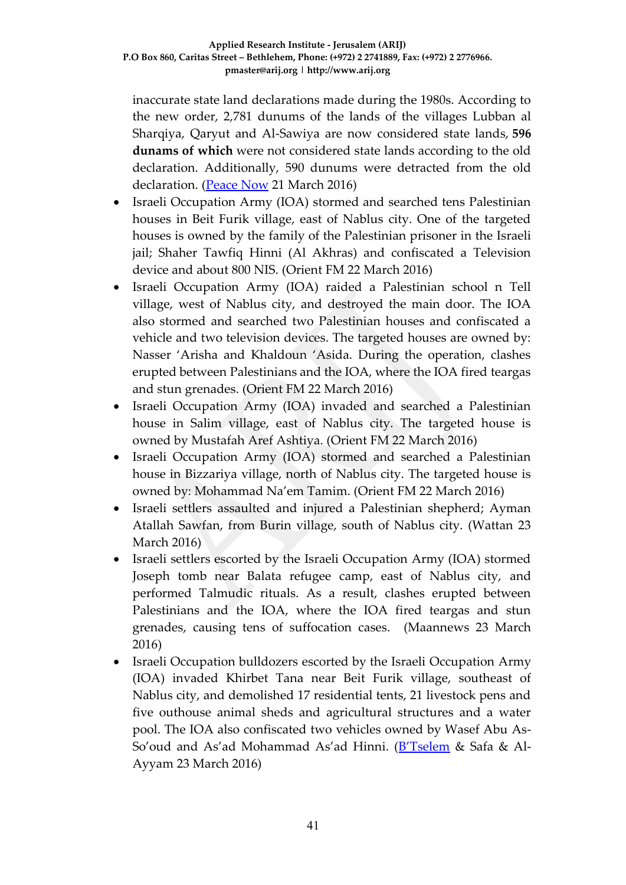inaccurate state land declarations made during the 1980s. According to the new order, 2,781 dunums of the lands of the villages Lubban al Sharqiya, Qaryut and Al-Sawiya are now considered state lands, **596 dunams of which** were not considered state lands according to the old declaration. Additionally, 590 dunums were detracted from the old declaration. [\(Peace Now](http://peacenow.org.il/eng/BlueLineEli) 21 March 2016)

- Israeli Occupation Army (IOA) stormed and searched tens Palestinian houses in Beit Furik village, east of Nablus city. One of the targeted houses is owned by the family of the Palestinian prisoner in the Israeli jail; Shaher Tawfiq Hinni (Al Akhras) and confiscated a Television device and about 800 NIS. (Orient FM 22 March 2016)
- Israeli Occupation Army (IOA) raided a Palestinian school n Tell village, west of Nablus city, and destroyed the main door. The IOA also stormed and searched two Palestinian houses and confiscated a vehicle and two television devices. The targeted houses are owned by: Nasser 'Arisha and Khaldoun 'Asida. During the operation, clashes erupted between Palestinians and the IOA, where the IOA fired teargas and stun grenades. (Orient FM 22 March 2016)
- Israeli Occupation Army (IOA) invaded and searched a Palestinian house in Salim village, east of Nablus city. The targeted house is owned by Mustafah Aref Ashtiya. (Orient FM 22 March 2016)
- Israeli Occupation Army (IOA) stormed and searched a Palestinian house in Bizzariya village, north of Nablus city. The targeted house is owned by: Mohammad Na'em Tamim. (Orient FM 22 March 2016)
- Israeli settlers assaulted and injured a Palestinian shepherd; Ayman Atallah Sawfan, from Burin village, south of Nablus city. (Wattan 23 March 2016)
- Israeli settlers escorted by the Israeli Occupation Army (IOA) stormed Joseph tomb near Balata refugee camp, east of Nablus city, and performed Talmudic rituals. As a result, clashes erupted between Palestinians and the IOA, where the IOA fired teargas and stun grenades, causing tens of suffocation cases. (Maannews 23 March 2016)
- Israeli Occupation bulldozers escorted by the Israeli Occupation Army (IOA) invaded Khirbet Tana near Beit Furik village, southeast of Nablus city, and demolished 17 residential tents, 21 livestock pens and five outhouse animal sheds and agricultural structures and a water pool. The IOA also confiscated two vehicles owned by Wasef Abu As-So'oud and As'ad Mohammad As'ad Hinni. (**B'Tselem** & Safa & Al-Ayyam 23 March 2016)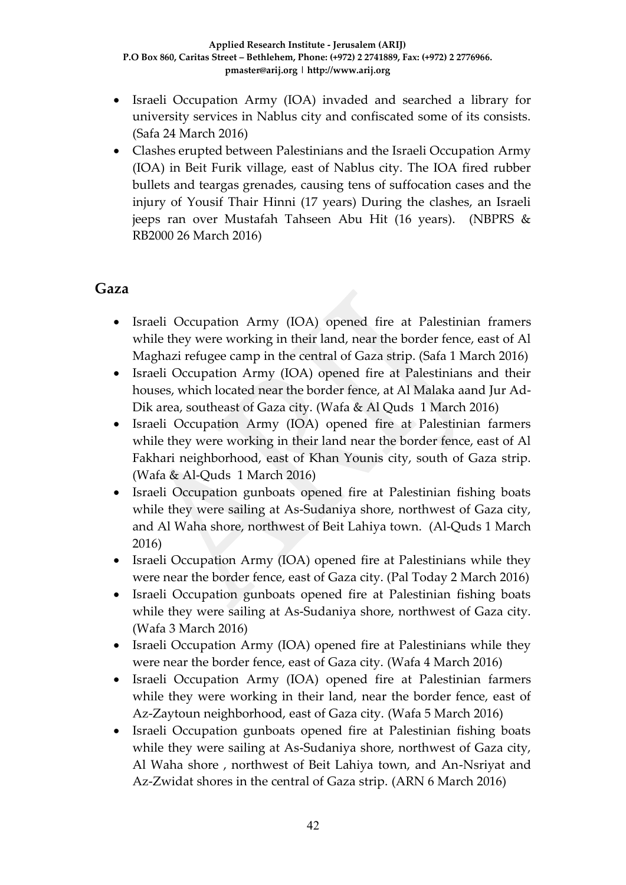- Israeli Occupation Army (IOA) invaded and searched a library for university services in Nablus city and confiscated some of its consists. (Safa 24 March 2016)
- Clashes erupted between Palestinians and the Israeli Occupation Army (IOA) in Beit Furik village, east of Nablus city. The IOA fired rubber bullets and teargas grenades, causing tens of suffocation cases and the injury of Yousif Thair Hinni (17 years) During the clashes, an Israeli jeeps ran over Mustafah Tahseen Abu Hit (16 years). (NBPRS & RB2000 26 March 2016)

### **Gaza**

- Israeli Occupation Army (IOA) opened fire at Palestinian framers while they were working in their land, near the border fence, east of Al Maghazi refugee camp in the central of Gaza strip. (Safa 1 March 2016)
- Israeli Occupation Army (IOA) opened fire at Palestinians and their houses, which located near the border fence, at Al Malaka aand Jur Ad-Dik area, southeast of Gaza city. (Wafa & Al Quds 1 March 2016)
- Israeli Occupation Army (IOA) opened fire at Palestinian farmers while they were working in their land near the border fence, east of Al Fakhari neighborhood, east of Khan Younis city, south of Gaza strip. (Wafa & Al-Quds 1 March 2016)
- Israeli Occupation gunboats opened fire at Palestinian fishing boats while they were sailing at As-Sudaniya shore, northwest of Gaza city, and Al Waha shore, northwest of Beit Lahiya town. (Al-Quds 1 March 2016)
- Israeli Occupation Army (IOA) opened fire at Palestinians while they were near the border fence, east of Gaza city. (Pal Today 2 March 2016)
- Israeli Occupation gunboats opened fire at Palestinian fishing boats while they were sailing at As-Sudaniya shore, northwest of Gaza city. (Wafa 3 March 2016)
- Israeli Occupation Army (IOA) opened fire at Palestinians while they were near the border fence, east of Gaza city. (Wafa 4 March 2016)
- Israeli Occupation Army (IOA) opened fire at Palestinian farmers while they were working in their land, near the border fence, east of Az-Zaytoun neighborhood, east of Gaza city. (Wafa 5 March 2016)
- Israeli Occupation gunboats opened fire at Palestinian fishing boats while they were sailing at As-Sudaniya shore, northwest of Gaza city, Al Waha shore , northwest of Beit Lahiya town, and An-Nsriyat and Az-Zwidat shores in the central of Gaza strip. (ARN 6 March 2016)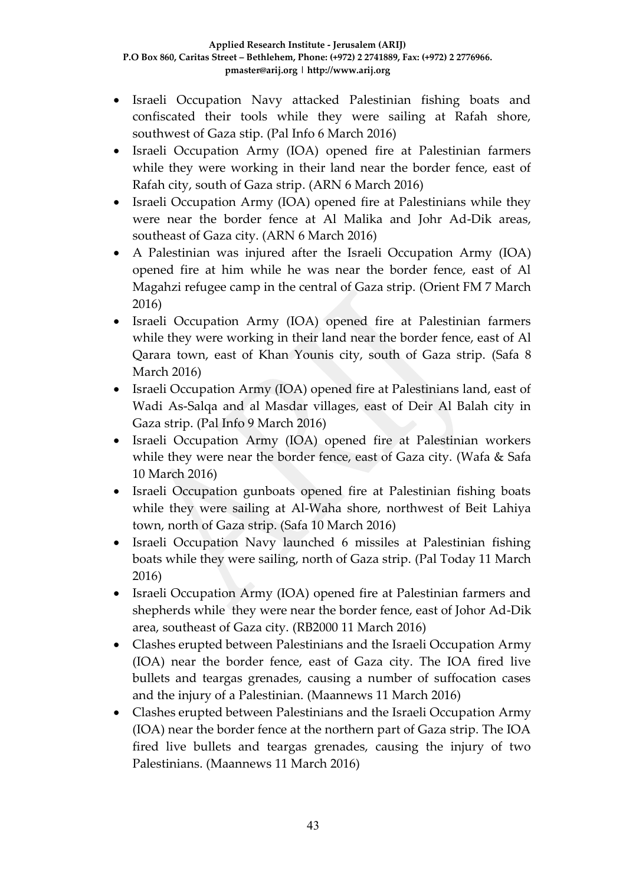- Israeli Occupation Navy attacked Palestinian fishing boats and confiscated their tools while they were sailing at Rafah shore, southwest of Gaza stip. (Pal Info 6 March 2016)
- Israeli Occupation Army (IOA) opened fire at Palestinian farmers while they were working in their land near the border fence, east of Rafah city, south of Gaza strip. (ARN 6 March 2016)
- Israeli Occupation Army (IOA) opened fire at Palestinians while they were near the border fence at Al Malika and Johr Ad-Dik areas, southeast of Gaza city. (ARN 6 March 2016)
- A Palestinian was injured after the Israeli Occupation Army (IOA) opened fire at him while he was near the border fence, east of Al Magahzi refugee camp in the central of Gaza strip. (Orient FM 7 March 2016)
- Israeli Occupation Army (IOA) opened fire at Palestinian farmers while they were working in their land near the border fence, east of Al Qarara town, east of Khan Younis city, south of Gaza strip. (Safa 8 March 2016)
- Israeli Occupation Army (IOA) opened fire at Palestinians land, east of Wadi As-Salqa and al Masdar villages, east of Deir Al Balah city in Gaza strip. (Pal Info 9 March 2016)
- Israeli Occupation Army (IOA) opened fire at Palestinian workers while they were near the border fence, east of Gaza city. (Wafa & Safa 10 March 2016)
- Israeli Occupation gunboats opened fire at Palestinian fishing boats while they were sailing at Al-Waha shore, northwest of Beit Lahiya town, north of Gaza strip. (Safa 10 March 2016)
- Israeli Occupation Navy launched 6 missiles at Palestinian fishing boats while they were sailing, north of Gaza strip. (Pal Today 11 March 2016)
- Israeli Occupation Army (IOA) opened fire at Palestinian farmers and shepherds while they were near the border fence, east of Johor Ad-Dik area, southeast of Gaza city. (RB2000 11 March 2016)
- Clashes erupted between Palestinians and the Israeli Occupation Army (IOA) near the border fence, east of Gaza city. The IOA fired live bullets and teargas grenades, causing a number of suffocation cases and the injury of a Palestinian. (Maannews 11 March 2016)
- Clashes erupted between Palestinians and the Israeli Occupation Army (IOA) near the border fence at the northern part of Gaza strip. The IOA fired live bullets and teargas grenades, causing the injury of two Palestinians. (Maannews 11 March 2016)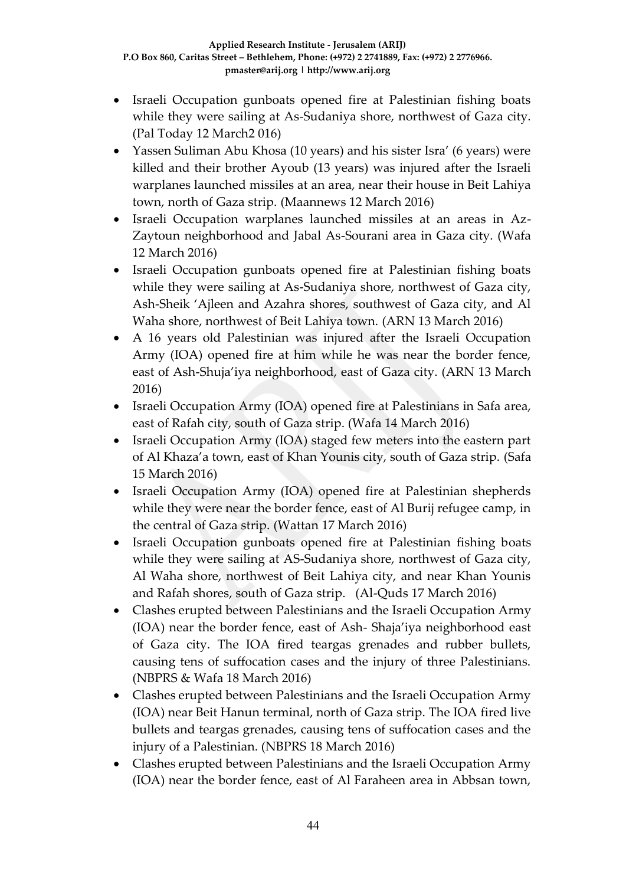- Israeli Occupation gunboats opened fire at Palestinian fishing boats while they were sailing at As-Sudaniya shore, northwest of Gaza city. (Pal Today 12 March2 016)
- Yassen Suliman Abu Khosa (10 years) and his sister Isra' (6 years) were killed and their brother Ayoub (13 years) was injured after the Israeli warplanes launched missiles at an area, near their house in Beit Lahiya town, north of Gaza strip. (Maannews 12 March 2016)
- Israeli Occupation warplanes launched missiles at an areas in Az-Zaytoun neighborhood and Jabal As-Sourani area in Gaza city. (Wafa 12 March 2016)
- Israeli Occupation gunboats opened fire at Palestinian fishing boats while they were sailing at As-Sudaniya shore, northwest of Gaza city, Ash-Sheik 'Ajleen and Azahra shores, southwest of Gaza city, and Al Waha shore, northwest of Beit Lahiya town. (ARN 13 March 2016)
- A 16 years old Palestinian was injured after the Israeli Occupation Army (IOA) opened fire at him while he was near the border fence, east of Ash-Shuja'iya neighborhood, east of Gaza city. (ARN 13 March 2016)
- Israeli Occupation Army (IOA) opened fire at Palestinians in Safa area, east of Rafah city, south of Gaza strip. (Wafa 14 March 2016)
- Israeli Occupation Army (IOA) staged few meters into the eastern part of Al Khaza'a town, east of Khan Younis city, south of Gaza strip. (Safa 15 March 2016)
- Israeli Occupation Army (IOA) opened fire at Palestinian shepherds while they were near the border fence, east of Al Burij refugee camp, in the central of Gaza strip. (Wattan 17 March 2016)
- Israeli Occupation gunboats opened fire at Palestinian fishing boats while they were sailing at AS-Sudaniya shore, northwest of Gaza city, Al Waha shore, northwest of Beit Lahiya city, and near Khan Younis and Rafah shores, south of Gaza strip. (Al-Quds 17 March 2016)
- Clashes erupted between Palestinians and the Israeli Occupation Army (IOA) near the border fence, east of Ash- Shaja'iya neighborhood east of Gaza city. The IOA fired teargas grenades and rubber bullets, causing tens of suffocation cases and the injury of three Palestinians. (NBPRS & Wafa 18 March 2016)
- Clashes erupted between Palestinians and the Israeli Occupation Army (IOA) near Beit Hanun terminal, north of Gaza strip. The IOA fired live bullets and teargas grenades, causing tens of suffocation cases and the injury of a Palestinian. (NBPRS 18 March 2016)
- Clashes erupted between Palestinians and the Israeli Occupation Army (IOA) near the border fence, east of Al Faraheen area in Abbsan town,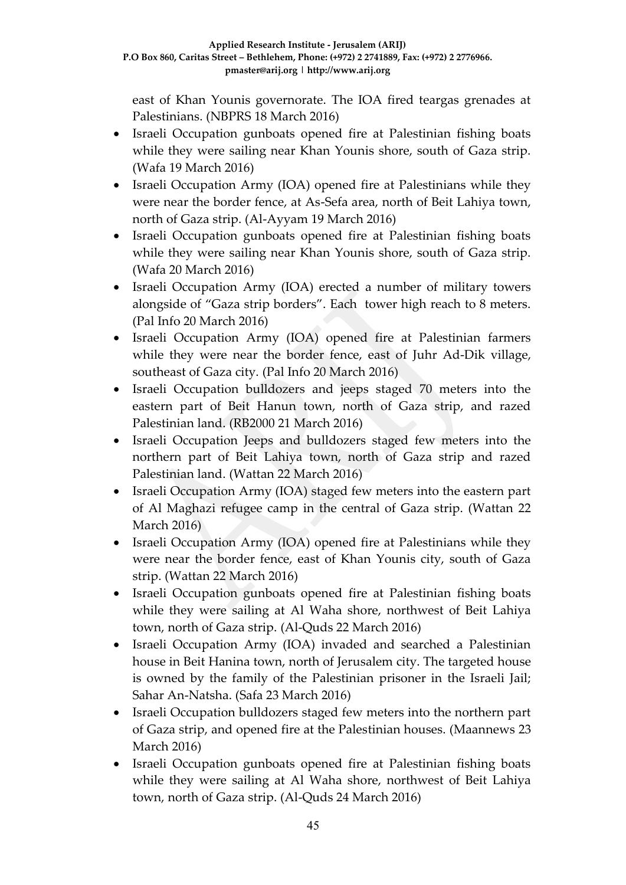east of Khan Younis governorate. The IOA fired teargas grenades at Palestinians. (NBPRS 18 March 2016)

- Israeli Occupation gunboats opened fire at Palestinian fishing boats while they were sailing near Khan Younis shore, south of Gaza strip. (Wafa 19 March 2016)
- Israeli Occupation Army (IOA) opened fire at Palestinians while they were near the border fence, at As-Sefa area, north of Beit Lahiya town, north of Gaza strip. (Al-Ayyam 19 March 2016)
- Israeli Occupation gunboats opened fire at Palestinian fishing boats while they were sailing near Khan Younis shore, south of Gaza strip. (Wafa 20 March 2016)
- Israeli Occupation Army (IOA) erected a number of military towers alongside of "Gaza strip borders". Each tower high reach to 8 meters. (Pal Info 20 March 2016)
- Israeli Occupation Army (IOA) opened fire at Palestinian farmers while they were near the border fence, east of Juhr Ad-Dik village, southeast of Gaza city. (Pal Info 20 March 2016)
- Israeli Occupation bulldozers and jeeps staged 70 meters into the eastern part of Beit Hanun town, north of Gaza strip, and razed Palestinian land. (RB2000 21 March 2016)
- Israeli Occupation Jeeps and bulldozers staged few meters into the northern part of Beit Lahiya town, north of Gaza strip and razed Palestinian land. (Wattan 22 March 2016)
- Israeli Occupation Army (IOA) staged few meters into the eastern part of Al Maghazi refugee camp in the central of Gaza strip. (Wattan 22 March 2016)
- Israeli Occupation Army (IOA) opened fire at Palestinians while they were near the border fence, east of Khan Younis city, south of Gaza strip. (Wattan 22 March 2016)
- Israeli Occupation gunboats opened fire at Palestinian fishing boats while they were sailing at Al Waha shore, northwest of Beit Lahiya town, north of Gaza strip. (Al-Quds 22 March 2016)
- Israeli Occupation Army (IOA) invaded and searched a Palestinian house in Beit Hanina town, north of Jerusalem city. The targeted house is owned by the family of the Palestinian prisoner in the Israeli Jail; Sahar An-Natsha. (Safa 23 March 2016)
- Israeli Occupation bulldozers staged few meters into the northern part of Gaza strip, and opened fire at the Palestinian houses. (Maannews 23 March 2016)
- Israeli Occupation gunboats opened fire at Palestinian fishing boats while they were sailing at Al Waha shore, northwest of Beit Lahiya town, north of Gaza strip. (Al-Quds 24 March 2016)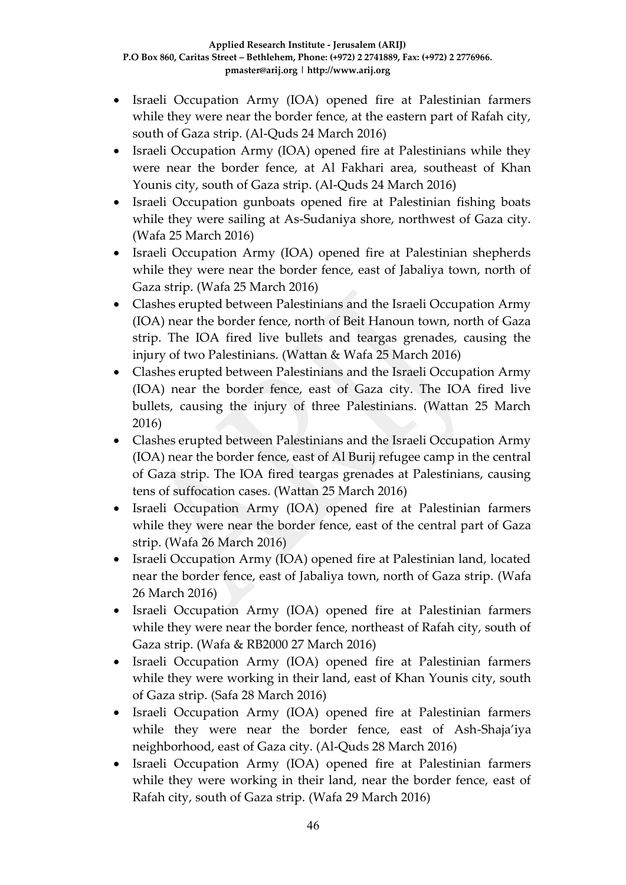- Israeli Occupation Army (IOA) opened fire at Palestinian farmers while they were near the border fence, at the eastern part of Rafah city, south of Gaza strip. (Al-Quds 24 March 2016)
- Israeli Occupation Army (IOA) opened fire at Palestinians while they were near the border fence, at Al Fakhari area, southeast of Khan Younis city, south of Gaza strip. (Al-Quds 24 March 2016)
- Israeli Occupation gunboats opened fire at Palestinian fishing boats while they were sailing at As-Sudaniya shore, northwest of Gaza city. (Wafa 25 March 2016)
- Israeli Occupation Army (IOA) opened fire at Palestinian shepherds while they were near the border fence, east of Jabaliya town, north of Gaza strip. (Wafa 25 March 2016)
- Clashes erupted between Palestinians and the Israeli Occupation Army (IOA) near the border fence, north of Beit Hanoun town, north of Gaza strip. The IOA fired live bullets and teargas grenades, causing the injury of two Palestinians. (Wattan & Wafa 25 March 2016)
- Clashes erupted between Palestinians and the Israeli Occupation Army (IOA) near the border fence, east of Gaza city. The IOA fired live bullets, causing the injury of three Palestinians. (Wattan 25 March 2016)
- Clashes erupted between Palestinians and the Israeli Occupation Army (IOA) near the border fence, east of Al Burij refugee camp in the central of Gaza strip. The IOA fired teargas grenades at Palestinians, causing tens of suffocation cases. (Wattan 25 March 2016)
- Israeli Occupation Army (IOA) opened fire at Palestinian farmers while they were near the border fence, east of the central part of Gaza strip. (Wafa 26 March 2016)
- Israeli Occupation Army (IOA) opened fire at Palestinian land, located near the border fence, east of Jabaliya town, north of Gaza strip. (Wafa 26 March 2016)
- Israeli Occupation Army (IOA) opened fire at Palestinian farmers while they were near the border fence, northeast of Rafah city, south of Gaza strip. (Wafa & RB2000 27 March 2016)
- Israeli Occupation Army (IOA) opened fire at Palestinian farmers while they were working in their land, east of Khan Younis city, south of Gaza strip. (Safa 28 March 2016)
- Israeli Occupation Army (IOA) opened fire at Palestinian farmers while they were near the border fence, east of Ash-Shaja'iya neighborhood, east of Gaza city. (Al-Quds 28 March 2016)
- Israeli Occupation Army (IOA) opened fire at Palestinian farmers while they were working in their land, near the border fence, east of Rafah city, south of Gaza strip. (Wafa 29 March 2016)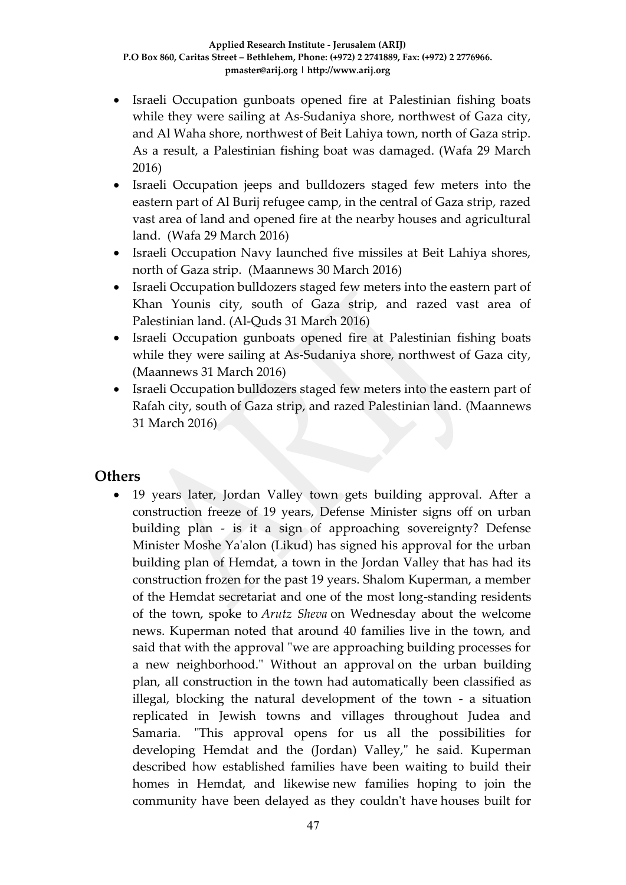- Israeli Occupation gunboats opened fire at Palestinian fishing boats while they were sailing at As-Sudaniya shore, northwest of Gaza city, and Al Waha shore, northwest of Beit Lahiya town, north of Gaza strip. As a result, a Palestinian fishing boat was damaged. (Wafa 29 March 2016)
- Israeli Occupation jeeps and bulldozers staged few meters into the eastern part of Al Burij refugee camp, in the central of Gaza strip, razed vast area of land and opened fire at the nearby houses and agricultural land. (Wafa 29 March 2016)
- Israeli Occupation Navy launched five missiles at Beit Lahiya shores, north of Gaza strip. (Maannews 30 March 2016)
- Israeli Occupation bulldozers staged few meters into the eastern part of Khan Younis city, south of Gaza strip, and razed vast area of Palestinian land. (Al-Quds 31 March 2016)
- Israeli Occupation gunboats opened fire at Palestinian fishing boats while they were sailing at As-Sudaniya shore, northwest of Gaza city, (Maannews 31 March 2016)
- Israeli Occupation bulldozers staged few meters into the eastern part of Rafah city, south of Gaza strip, and razed Palestinian land. (Maannews 31 March 2016)

### **Others**

 19 years later, Jordan Valley town gets building approval. After a construction freeze of 19 years, Defense Minister signs off on urban building plan - is it a sign of approaching sovereignty? Defense Minister Moshe Ya'alon (Likud) has signed his approval for the urban building plan of Hemdat, a town in the Jordan Valley that has had its construction frozen for the past 19 years. Shalom Kuperman, a member of the Hemdat secretariat and one of the most long-standing residents of the town, spoke to *Arutz Sheva* on Wednesday about the welcome news. Kuperman noted that around 40 families live in the town, and said that with the approval "we are approaching building processes for a new neighborhood." Without an approval on the urban building plan, all construction in the town had automatically been classified as illegal, blocking the natural development of the town - a situation replicated in Jewish towns and villages throughout Judea and Samaria. "This approval opens for us all the possibilities for developing Hemdat and the (Jordan) Valley," he said. Kuperman described how established families have been waiting to build their homes in Hemdat, and likewise new families hoping to join the community have been delayed as they couldn't have houses built for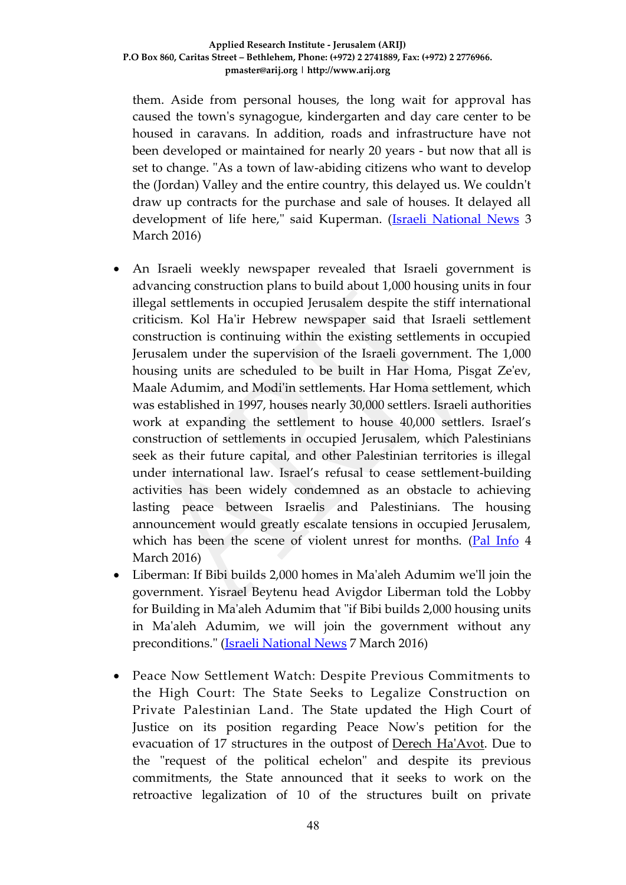them. Aside from personal houses, the long wait for approval has caused the town's synagogue, kindergarten and day care center to be housed in caravans. In addition, roads and infrastructure have not been developed or maintained for nearly 20 years - but now that all is set to change. "As a town of law-abiding citizens who want to develop the (Jordan) Valley and the entire country, this delayed us. We couldn't draw up contracts for the purchase and sale of houses. It delayed all development of life here," said Kuperman. [\(Israeli National News](http://www.israelnationalnews.com/News/News.aspx/208791#.Vtfbfvl94dV) 3 March 2016)

- An Israeli weekly newspaper revealed that Israeli government is advancing construction plans to build about 1,000 housing units in four illegal settlements in occupied Jerusalem despite the stiff international criticism. Kol Ha'ir Hebrew newspaper said that Israeli settlement construction is continuing within the existing settlements in occupied Jerusalem under the supervision of the Israeli government. The 1,000 housing units are scheduled to be built in Har Homa, Pisgat Ze'ev, Maale Adumim, and Modi'in settlements. Har Homa settlement, which was established in 1997, houses nearly 30,000 settlers. Israeli authorities work at expanding the settlement to house 40,000 settlers. Israel's construction of settlements in occupied Jerusalem, which Palestinians seek as their future capital, and other Palestinian territories is illegal under international law. Israel's refusal to cease settlement-building activities has been widely condemned as an obstacle to achieving lasting peace between Israelis and Palestinians. The housing announcement would greatly escalate tensions in occupied Jerusalem, which has been the scene of violent unrest for months. [\(Pal Info](http://english.palinfo.com/site/pages/details.aspx?itemid=77205) 4 March 2016)
- Liberman: If Bibi builds 2,000 homes in Ma'aleh Adumim we'll join the government. Yisrael Beytenu head Avigdor Liberman told the Lobby for Building in Ma'aleh Adumim that "if Bibi builds 2,000 housing units in Ma'aleh Adumim, we will join the government without any preconditions." [\(Israeli National News](http://www.israelnationalnews.com/News/Flash.aspx/353501#.Vt1yMvl94dU) 7 March 2016)
- Peace Now Settlement Watch: Despite Previous Commitments to the High Court: The State Seeks to Legalize Construction on Private Palestinian Land. The State updated the High Court of Justice on its position regarding Peace Now's petition for the evacuation of 17 structures in the outpost of [Derech Ha'Avot.](https://peacenow.org/entry.php?id=12622#.Vt2y9-ao6ip) Due to the "request of the political echelon" and despite its previous commitments, the State announced that it seeks to work on the retroactive legalization of 10 of the structures built on private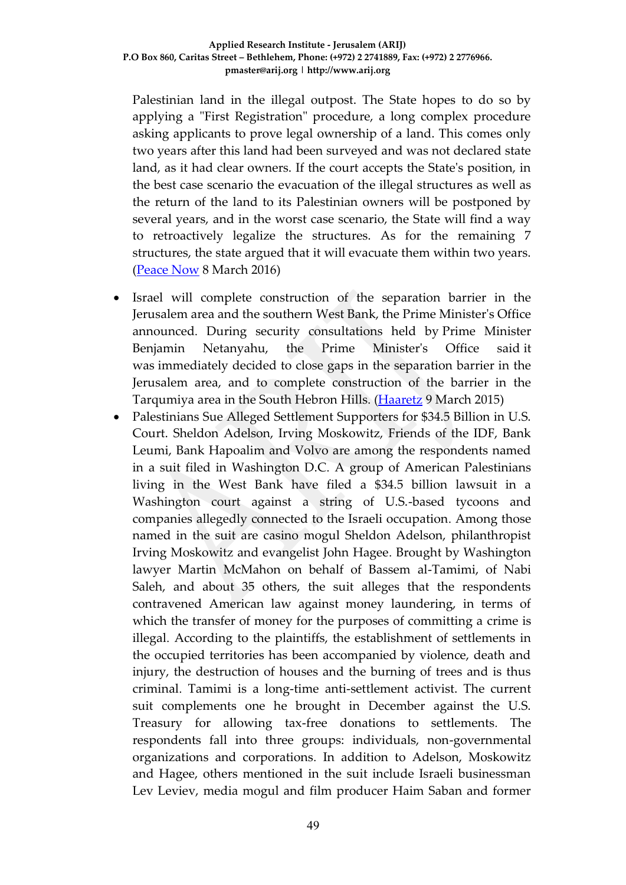Palestinian land in the illegal outpost. The State hopes to do so by applying a "First Registration" procedure, a long complex procedure asking applicants to prove legal ownership of a land. This comes only two years after this land had been surveyed and was not declared state land, as it had clear owners. If the court accepts the State's position, in the best case scenario the evacuation of the illegal structures as well as the return of the land to its Palestinian owners will be postponed by several years, and in the worst case scenario, the State will find a way to retroactively legalize the structures. As for the remaining 7 structures, the state argued that it will evacuate them within two years. [\(Peace Now](http://peacenow.org/entry.php?id=17194#.Vt5tXPl94dV) 8 March 2016)

- Israel will complete construction of the separation barrier in the Jerusalem area and the southern West Bank, the Prime Minister's Office announced. During security consultations held by Prime Minister Benjamin Netanyahu, the Prime Minister's Office said it was immediately decided to close gaps in the separation barrier in the Jerusalem area, and to complete construction of the barrier in the Tarqumiya area in the South Hebron Hills. [\(Haaretz](http://www.haaretz.com/israel-news/.premium-1.707775) 9 March 2015)
- Palestinians Sue Alleged Settlement Supporters for \$34.5 Billion in U.S. Court. Sheldon Adelson, Irving Moskowitz, Friends of the IDF, Bank Leumi, Bank Hapoalim and Volvo are among the respondents named in a suit filed in Washington D.C. A group of American Palestinians living in the West Bank have filed a \$34.5 billion lawsuit in a Washington court against a string of U.S.-based tycoons and companies allegedly connected to the Israeli occupation. Among those named in the suit are casino mogul Sheldon Adelson, philanthropist Irving Moskowitz and evangelist John Hagee. Brought by Washington lawyer Martin McMahon on behalf of Bassem al-Tamimi, of Nabi Saleh, and about 35 others, the suit alleges that the respondents contravened American law against money laundering, in terms of which the transfer of money for the purposes of committing a crime is illegal. According to the plaintiffs, the establishment of settlements in the occupied territories has been accompanied by violence, death and injury, the destruction of houses and the burning of trees and is thus criminal. Tamimi is a long-time anti-settlement activist. The current suit complements one he brought in December against the U.S. Treasury for allowing tax-free donations to settlements. The respondents fall into three groups: individuals, non-governmental organizations and corporations. In addition to Adelson, Moskowitz and Hagee, others mentioned in the suit include Israeli businessman Lev Leviev, media mogul and film producer Haim Saban and former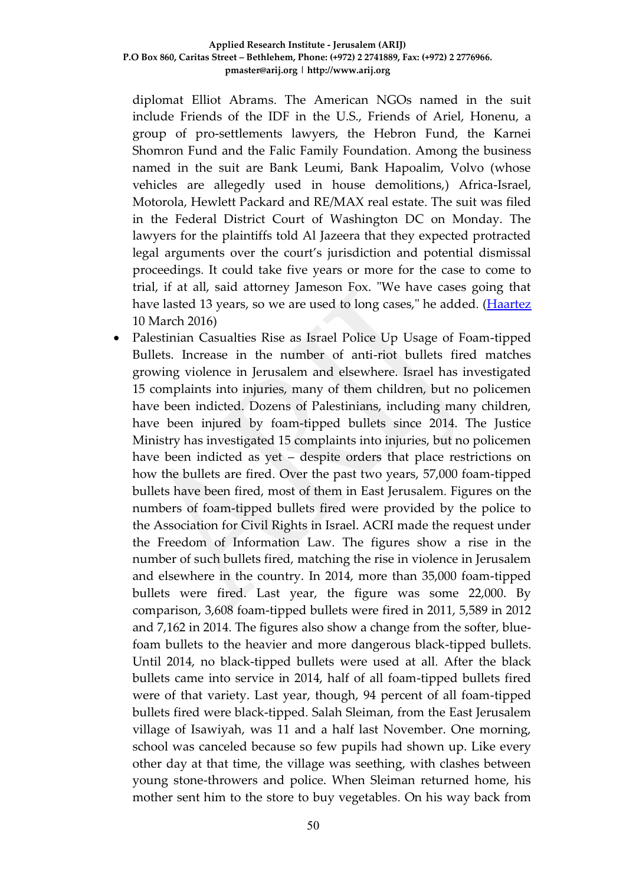diplomat Elliot Abrams. The American NGOs named in the suit include Friends of the IDF in the U.S., Friends of Ariel, Honenu, a group of pro-settlements lawyers, the Hebron Fund, the Karnei Shomron Fund and the Falic Family Foundation. Among the business named in the suit are Bank Leumi, Bank Hapoalim, Volvo (whose vehicles are allegedly used in house demolitions,) Africa-Israel, Motorola, Hewlett Packard and RE/MAX real estate. The suit was filed in the Federal District Court of Washington DC on Monday. The lawyers for the plaintiffs told Al Jazeera that they expected protracted legal arguments over the court's jurisdiction and potential dismissal proceedings. It could take five years or more for the case to come to trial, if at all, said attorney Jameson Fox. "We have cases going that have lasted 13 years, so we are used to long cases," he added. [\(Haartez](http://www.haaretz.com/israel-news/.premium-1.707612) 10 March 2016)

 Palestinian Casualties Rise as Israel Police Up Usage of Foam-tipped Bullets. Increase in the number of anti-riot bullets fired matches growing violence in Jerusalem and elsewhere. Israel has investigated 15 complaints into injuries, many of them children, but no policemen have been indicted. Dozens of Palestinians, including many children, have been injured by foam-tipped bullets since 2014. The Justice Ministry has investigated 15 complaints into injuries, but no policemen have been indicted as yet – despite orders that place restrictions on how the bullets are fired. Over the past two years, 57,000 foam-tipped bullets have been fired, most of them in East Jerusalem. Figures on the numbers of foam-tipped bullets fired were provided by the police to the Association for Civil Rights in Israel. ACRI made the request under the Freedom of Information Law. The figures show a rise in the number of such bullets fired, matching the rise in violence in Jerusalem and elsewhere in the country. In 2014, more than 35,000 foam-tipped bullets were fired. Last year, the figure was some 22,000. By comparison, 3,608 foam-tipped bullets were fired in 2011, 5,589 in 2012 and 7,162 in 2014. The figures also show a change from the softer, bluefoam bullets to the heavier and more dangerous black-tipped bullets. Until 2014, no black-tipped bullets were used at all. After the black bullets came into service in 2014, half of all foam-tipped bullets fired were of that variety. Last year, though, 94 percent of all foam-tipped bullets fired were black-tipped. Salah Sleiman, from the East Jerusalem village of Isawiyah, was 11 and a half last November. One morning, school was canceled because so few pupils had shown up. Like every other day at that time, the village was seething, with clashes between young stone-throwers and police. When Sleiman returned home, his mother sent him to the store to buy vegetables. On his way back from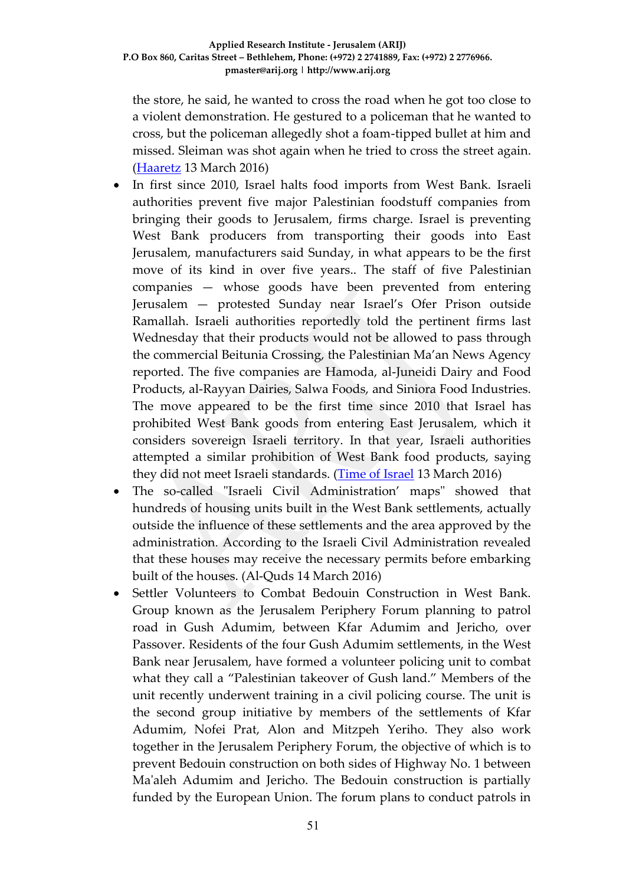the store, he said, he wanted to cross the road when he got too close to a violent demonstration. He gestured to a policeman that he wanted to cross, but the policeman allegedly shot a foam-tipped bullet at him and missed. Sleiman was shot again when he tried to cross the street again. [\(Haaretz](http://www.haaretz.com/israel-news/.premium-1.708446) 13 March 2016)

- In first since 2010, Israel halts food imports from West Bank. Israeli authorities prevent five major Palestinian foodstuff companies from bringing their goods to Jerusalem, firms charge. Israel is preventing West Bank producers from transporting their goods into East Jerusalem, manufacturers said Sunday, in what appears to be the first move of its kind in over five years.. The staff of five Palestinian companies — whose goods have been prevented from entering Jerusalem — protested Sunday near Israel's Ofer Prison outside Ramallah. Israeli authorities reportedly told the pertinent firms last Wednesday that their products would not be allowed to pass through the commercial Beitunia Crossing, the Palestinian Ma'an News Agency reported. The five companies are Hamoda, al-Juneidi Dairy and Food Products, al-Rayyan Dairies, Salwa Foods, and Siniora Food Industries. The move appeared to be the first time since 2010 that Israel has prohibited West Bank goods from entering East Jerusalem, which it considers sovereign Israeli territory. In that year, Israeli authorities attempted a similar prohibition of West Bank food products, saying they did not meet Israeli standards. [\(Time of Israel](http://www.timesofisrael.com/in-first-since-2010-israel-halts-food-imports-from-west-bank/) 13 March 2016)
- The so-called "Israeli Civil Administration' maps" showed that hundreds of housing units built in the West Bank settlements, actually outside the influence of these settlements and the area approved by the administration. According to the Israeli Civil Administration revealed that these houses may receive the necessary permits before embarking built of the houses. (Al-Quds 14 March 2016)
- Settler Volunteers to Combat Bedouin Construction in West Bank. Group known as the Jerusalem Periphery Forum planning to patrol road in Gush Adumim, between Kfar Adumim and Jericho, over Passover. Residents of the four Gush Adumim settlements, in the West Bank near Jerusalem, have formed a volunteer policing unit to combat what they call a "Palestinian takeover of Gush land." Members of the unit recently underwent training in a civil policing course. The unit is the second group initiative by members of the settlements of Kfar Adumim, Nofei Prat, Alon and Mitzpeh Yeriho. They also work together in the Jerusalem Periphery Forum, the objective of which is to prevent Bedouin construction on both sides of Highway No. 1 between Ma'aleh Adumim and Jericho. The Bedouin construction is partially funded by the European Union. The forum plans to conduct patrols in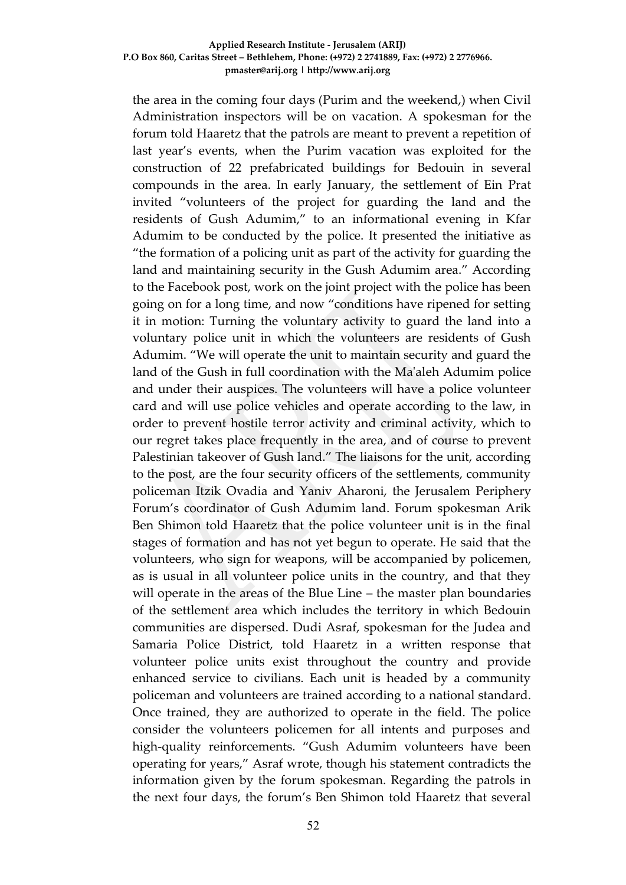#### **Applied Research Institute - Jerusalem (ARIJ) P.O Box 860, Caritas Street – Bethlehem, Phone: (+972) 2 2741889, Fax: (+972) 2 2776966. pmaster@arij.org | http://www.arij.org**

the area in the coming four days (Purim and the weekend,) when Civil Administration inspectors will be on vacation. A spokesman for the forum told Haaretz that the patrols are meant to prevent a repetition of last year's events, when the Purim vacation was exploited for the construction of 22 prefabricated buildings for Bedouin in several compounds in the area. In early January, the settlement of Ein Prat invited "volunteers of the project for guarding the land and the residents of Gush Adumim," to an informational evening in Kfar Adumim to be conducted by the police. It presented the initiative as "the formation of a policing unit as part of the activity for guarding the land and maintaining security in the Gush Adumim area." According to the Facebook post, work on the joint project with the police has been going on for a long time, and now "conditions have ripened for setting it in motion: Turning the voluntary activity to guard the land into a voluntary police unit in which the volunteers are residents of Gush Adumim. "We will operate the unit to maintain security and guard the land of the Gush in full coordination with the Ma'aleh Adumim police and under their auspices. The volunteers will have a police volunteer card and will use police vehicles and operate according to the law, in order to prevent hostile terror activity and criminal activity, which to our regret takes place frequently in the area, and of course to prevent Palestinian takeover of Gush land." The liaisons for the unit, according to the post, are the four security officers of the settlements, community policeman Itzik Ovadia and Yaniv Aharoni, the Jerusalem Periphery Forum's coordinator of Gush Adumim land. Forum spokesman Arik Ben Shimon told Haaretz that the police volunteer unit is in the final stages of formation and has not yet begun to operate. He said that the volunteers, who sign for weapons, will be accompanied by policemen, as is usual in all volunteer police units in the country, and that they will operate in the areas of the Blue Line – the master plan boundaries of the settlement area which includes the territory in which Bedouin communities are dispersed. Dudi Asraf, spokesman for the Judea and Samaria Police District, told Haaretz in a written response that volunteer police units exist throughout the country and provide enhanced service to civilians. Each unit is headed by a community policeman and volunteers are trained according to a national standard. Once trained, they are authorized to operate in the field. The police consider the volunteers policemen for all intents and purposes and high-quality reinforcements. "Gush Adumim volunteers have been operating for years," Asraf wrote, though his statement contradicts the information given by the forum spokesman. Regarding the patrols in the next four days, the forum's Ben Shimon told Haaretz that several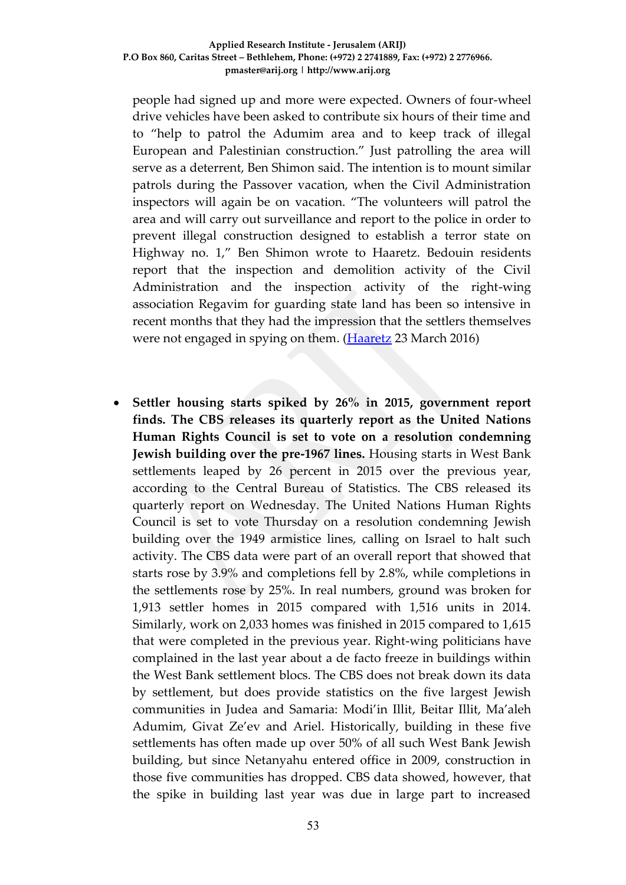#### **Applied Research Institute - Jerusalem (ARIJ) P.O Box 860, Caritas Street – Bethlehem, Phone: (+972) 2 2741889, Fax: (+972) 2 2776966. pmaster@arij.org | http://www.arij.org**

people had signed up and more were expected. Owners of four-wheel drive vehicles have been asked to contribute six hours of their time and to "help to patrol the Adumim area and to keep track of illegal European and Palestinian construction." Just patrolling the area will serve as a deterrent, Ben Shimon said. The intention is to mount similar patrols during the Passover vacation, when the Civil Administration inspectors will again be on vacation. "The volunteers will patrol the area and will carry out surveillance and report to the police in order to prevent illegal construction designed to establish a terror state on Highway no. 1," Ben Shimon wrote to Haaretz. Bedouin residents report that the inspection and demolition activity of the Civil Administration and the inspection activity of the right-wing association Regavim for guarding state land has been so intensive in recent months that they had the impression that the settlers themselves were not engaged in spying on them. [\(Haaretz](http://www.haaretz.com/israel-news/.premium-1.710430) 23 March 2016)

 **Settler housing starts spiked by 26% in 2015, government report finds. The CBS releases its quarterly report as the United Nations Human Rights Council is set to vote on a resolution condemning Jewish building over the pre-1967 lines.** Housing starts in West Bank settlements leaped by 26 percent in 2015 over the previous year, according to the Central Bureau of Statistics. The CBS released its quarterly report on Wednesday. The United Nations Human Rights Council is set to vote Thursday on a resolution condemning Jewish building over the 1949 armistice lines, calling on Israel to halt such activity. The CBS data were part of an overall report that showed that starts rose by 3.9% and completions fell by 2.8%, while completions in the settlements rose by 25%. In real numbers, ground was broken for 1,913 settler homes in 2015 compared with 1,516 units in 2014. Similarly, work on 2,033 homes was finished in 2015 compared to 1,615 that were completed in the previous year. Right-wing politicians have complained in the last year about a de facto freeze in buildings within the West Bank settlement blocs. The CBS does not break down its data by settlement, but does provide statistics on the five largest Jewish communities in Judea and Samaria: Modi'in Illit, Beitar Illit, Ma'aleh Adumim, Givat Ze'ev and Ariel. Historically, building in these five settlements has often made up over 50% of all such West Bank Jewish building, but since Netanyahu entered office in 2009, construction in those five communities has dropped. CBS data showed, however, that the spike in building last year was due in large part to increased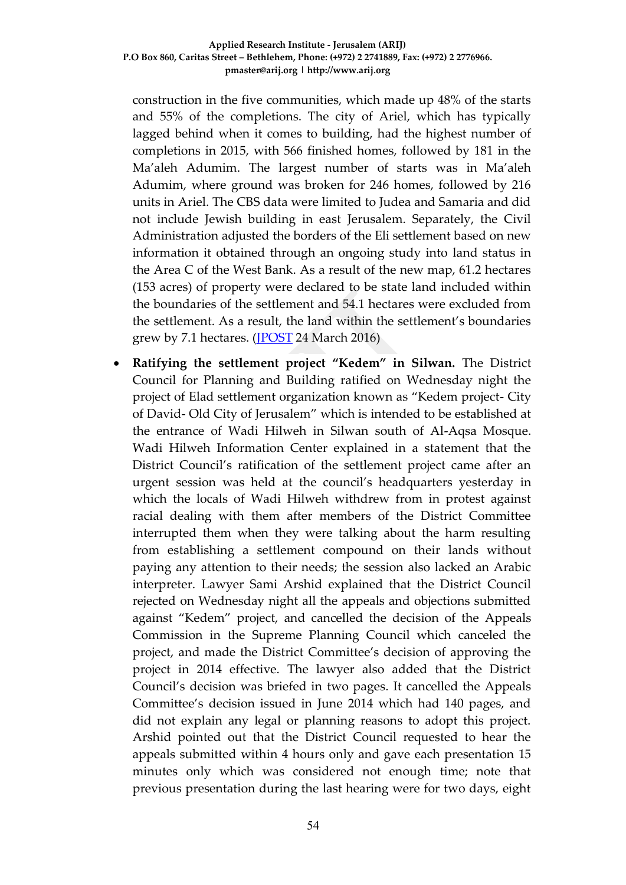construction in the five communities, which made up 48% of the starts and 55% of the completions. The city of Ariel, which has typically lagged behind when it comes to building, had the highest number of completions in 2015, with 566 finished homes, followed by 181 in the Ma'aleh Adumim. The largest number of starts was in Ma'aleh Adumim, where ground was broken for 246 homes, followed by 216 units in Ariel. The CBS data were limited to Judea and Samaria and did not include Jewish building in east Jerusalem. Separately, the Civil Administration adjusted the borders of the Eli settlement based on new information it obtained through an ongoing study into land status in the Area C of the West Bank. As a result of the new map, 61.2 hectares (153 acres) of property were declared to be state land included within the boundaries of the settlement and 54.1 hectares were excluded from the settlement. As a result, the land within the settlement's boundaries grew by 7.1 hectares. [\(JPOST](http://www.jpost.com/Arab-Israeli-Conflict/Settler-housing-starts-spiked-by-26-percent-in-2015-government-report-finds-448950) 24 March 2016)

 **Ratifying the settlement project "Kedem" in Silwan.** The District Council for Planning and Building ratified on Wednesday night the project of Elad settlement organization known as "Kedem project- City of David- Old City of Jerusalem" which is intended to be established at the entrance of Wadi Hilweh in Silwan south of Al-Aqsa Mosque. Wadi Hilweh Information Center explained in a statement that the District Council's ratification of the settlement project came after an urgent session was held at the council's headquarters yesterday in which the locals of Wadi Hilweh withdrew from in protest against racial dealing with them after members of the District Committee interrupted them when they were talking about the harm resulting from establishing a settlement compound on their lands without paying any attention to their needs; the session also lacked an Arabic interpreter. Lawyer Sami Arshid explained that the District Council rejected on Wednesday night all the appeals and objections submitted against "Kedem" project, and cancelled the decision of the Appeals Commission in the Supreme Planning Council which canceled the project, and made the District Committee's decision of approving the project in 2014 effective. The lawyer also added that the District Council's decision was briefed in two pages. It cancelled the Appeals Committee's decision issued in June 2014 which had 140 pages, and did not explain any legal or planning reasons to adopt this project. Arshid pointed out that the District Council requested to hear the appeals submitted within 4 hours only and gave each presentation 15 minutes only which was considered not enough time; note that previous presentation during the last hearing were for two days, eight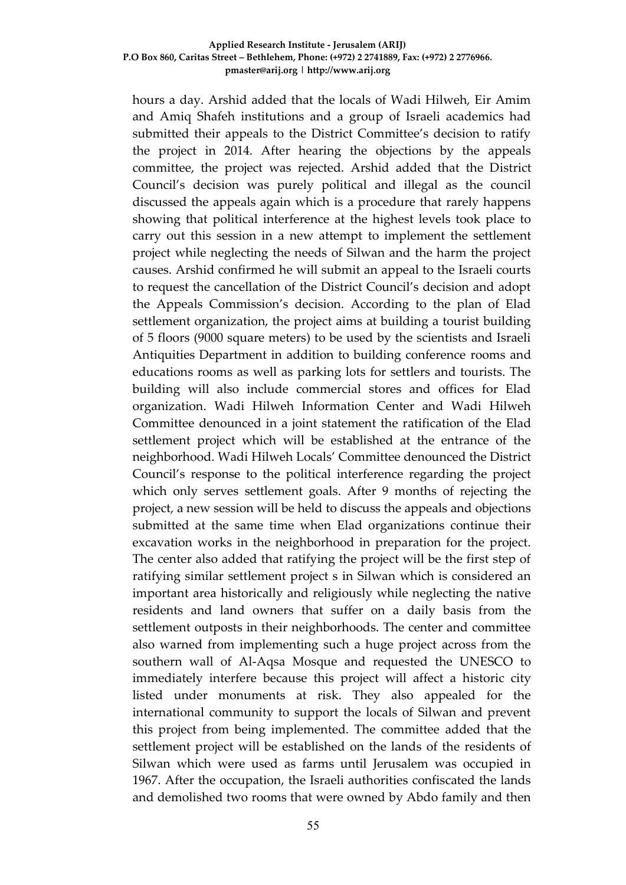#### **Applied Research Institute - Jerusalem (ARIJ) P.O Box 860, Caritas Street – Bethlehem, Phone: (+972) 2 2741889, Fax: (+972) 2 2776966. pmaster@arij.org | http://www.arij.org**

hours a day. Arshid added that the locals of Wadi Hilweh, Eir Amim and Amiq Shafeh institutions and a group of Israeli academics had submitted their appeals to the District Committee's decision to ratify the project in 2014. After hearing the objections by the appeals committee, the project was rejected. Arshid added that the District Council's decision was purely political and illegal as the council discussed the appeals again which is a procedure that rarely happens showing that political interference at the highest levels took place to carry out this session in a new attempt to implement the settlement project while neglecting the needs of Silwan and the harm the project causes. Arshid confirmed he will submit an appeal to the Israeli courts to request the cancellation of the District Council's decision and adopt the Appeals Commission's decision. According to the plan of Elad settlement organization, the project aims at building a tourist building of 5 floors (9000 square meters) to be used by the scientists and Israeli Antiquities Department in addition to building conference rooms and educations rooms as well as parking lots for settlers and tourists. The building will also include commercial stores and offices for Elad organization. Wadi Hilweh Information Center and Wadi Hilweh Committee denounced in a joint statement the ratification of the Elad settlement project which will be established at the entrance of the neighborhood. Wadi Hilweh Locals' Committee denounced the District Council's response to the political interference regarding the project which only serves settlement goals. After 9 months of rejecting the project, a new session will be held to discuss the appeals and objections submitted at the same time when Elad organizations continue their excavation works in the neighborhood in preparation for the project. The center also added that ratifying the project will be the first step of ratifying similar settlement project s in Silwan which is considered an important area historically and religiously while neglecting the native residents and land owners that suffer on a daily basis from the settlement outposts in their neighborhoods. The center and committee also warned from implementing such a huge project across from the southern wall of Al-Aqsa Mosque and requested the UNESCO to immediately interfere because this project will affect a historic city listed under monuments at risk. They also appealed for the international community to support the locals of Silwan and prevent this project from being implemented. The committee added that the settlement project will be established on the lands of the residents of Silwan which were used as farms until Jerusalem was occupied in 1967. After the occupation, the Israeli authorities confiscated the lands and demolished two rooms that were owned by Abdo family and then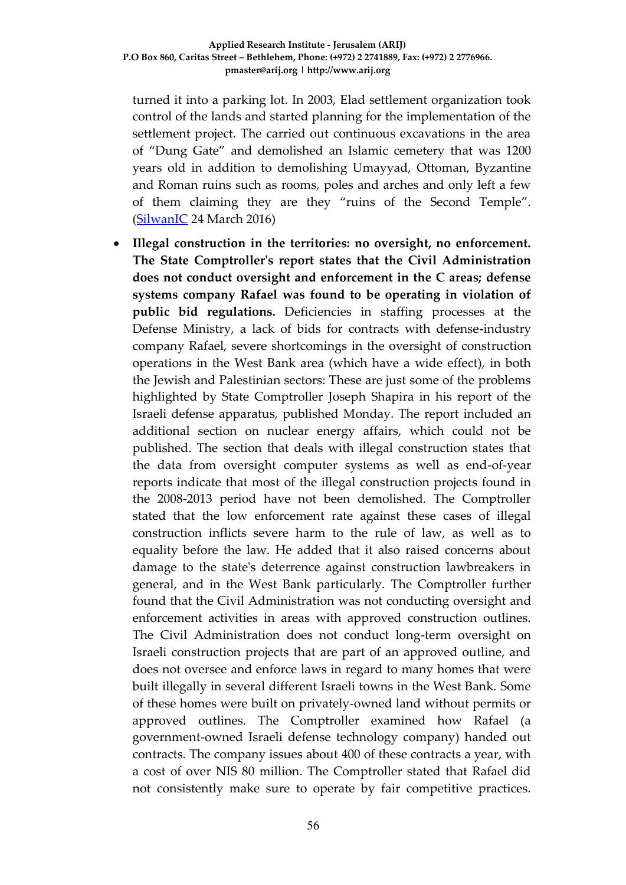turned it into a parking lot. In 2003, Elad settlement organization took control of the lands and started planning for the implementation of the settlement project. The carried out continuous excavations in the area of "Dung Gate" and demolished an Islamic cemetery that was 1200 years old in addition to demolishing Umayyad, Ottoman, Byzantine and Roman ruins such as rooms, poles and arches and only left a few of them claiming they are they "ruins of the Second Temple". [\(SilwanIC](http://www.silwanic.net/index.php/article/news/76227) 24 March 2016)

 **Illegal construction in the territories: no oversight, no enforcement. The State Comptroller's report states that the Civil Administration does not conduct oversight and enforcement in the C areas; defense systems company Rafael was found to be operating in violation of public bid regulations.** Deficiencies in staffing processes at the Defense Ministry, a lack of bids for contracts with defense-industry company Rafael, severe shortcomings in the oversight of construction operations in the West Bank area (which have a wide effect), in both the Jewish and Palestinian sectors: These are just some of the problems highlighted by State Comptroller Joseph Shapira in his report of the Israeli defense apparatus, published Monday. The report included an additional section on nuclear energy affairs, which could not be published. The section that deals with illegal construction states that the data from oversight computer systems as well as end-of-year reports indicate that most of the illegal construction projects found in the 2008-2013 period have not been demolished. The Comptroller stated that the low enforcement rate against these cases of illegal construction inflicts severe harm to the rule of law, as well as to equality before the law. He added that it also raised concerns about damage to the state's deterrence against construction lawbreakers in general, and in the West Bank particularly. The Comptroller further found that the Civil Administration was not conducting oversight and enforcement activities in areas with approved construction outlines. The Civil Administration does not conduct long-term oversight on Israeli construction projects that are part of an approved outline, and does not oversee and enforce laws in regard to many homes that were built illegally in several different Israeli towns in the West Bank. Some of these homes were built on privately-owned land without permits or approved outlines. The Comptroller examined how Rafael (a government-owned Israeli defense technology company) handed out contracts. The company issues about 400 of these contracts a year, with a cost of over NIS 80 million. The Comptroller stated that Rafael did not consistently make sure to operate by fair competitive practices.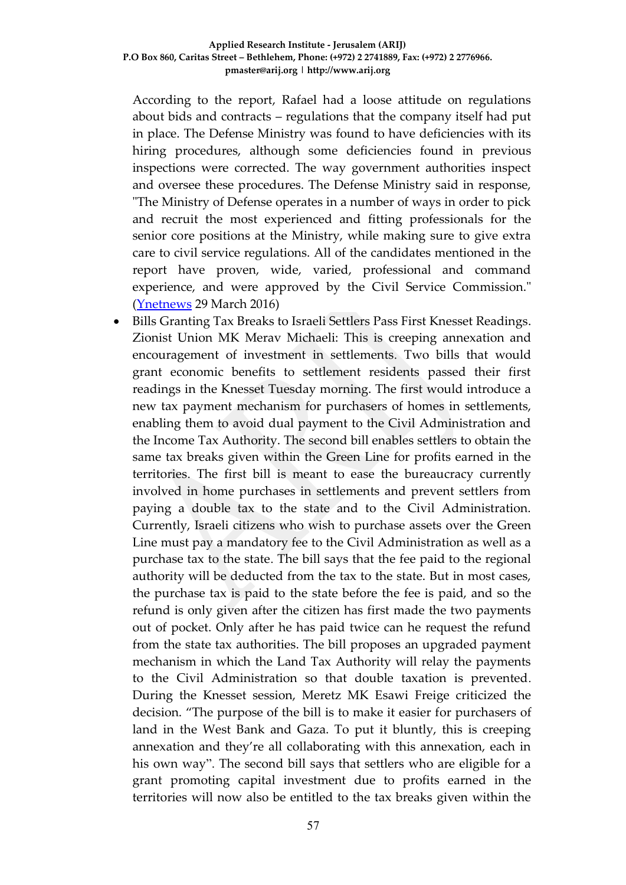According to the report, Rafael had a loose attitude on regulations about bids and contracts – regulations that the company itself had put in place. The Defense Ministry was found to have deficiencies with its hiring procedures, although some deficiencies found in previous inspections were corrected. The way government authorities inspect and oversee these procedures. The Defense Ministry said in response, "The Ministry of Defense operates in a number of ways in order to pick and recruit the most experienced and fitting professionals for the senior core positions at the Ministry, while making sure to give extra care to civil service regulations. All of the candidates mentioned in the report have proven, wide, varied, professional and command experience, and were approved by the Civil Service Commission." [\(Ynetnews](http://www.ynetnews.com/articles/0,7340,L-4784394,00.html) 29 March 2016)

 Bills Granting Tax Breaks to Israeli Settlers Pass First Knesset Readings. Zionist Union MK Merav Michaeli: This is creeping annexation and encouragement of investment in settlements. Two bills that would grant economic benefits to settlement residents passed their first readings in the Knesset Tuesday morning. The first would introduce a new tax payment mechanism for purchasers of homes in settlements, enabling them to avoid dual payment to the Civil Administration and the Income Tax Authority. The second bill enables settlers to obtain the same tax breaks given within the Green Line for profits earned in the territories. The first bill is meant to ease the bureaucracy currently involved in home purchases in settlements and prevent settlers from paying a double tax to the state and to the Civil Administration. Currently, Israeli citizens who wish to purchase assets over the Green Line must pay a mandatory fee to the Civil Administration as well as a purchase tax to the state. The bill says that the fee paid to the regional authority will be deducted from the tax to the state. But in most cases, the purchase tax is paid to the state before the fee is paid, and so the refund is only given after the citizen has first made the two payments out of pocket. Only after he has paid twice can he request the refund from the state tax authorities. The bill proposes an upgraded payment mechanism in which the Land Tax Authority will relay the payments to the Civil Administration so that double taxation is prevented. During the Knesset session, Meretz MK Esawi Freige criticized the decision. "The purpose of the bill is to make it easier for purchasers of land in the West Bank and Gaza. To put it bluntly, this is creeping annexation and they're all collaborating with this annexation, each in his own way". The second bill says that settlers who are eligible for a grant promoting capital investment due to profits earned in the territories will now also be entitled to the tax breaks given within the